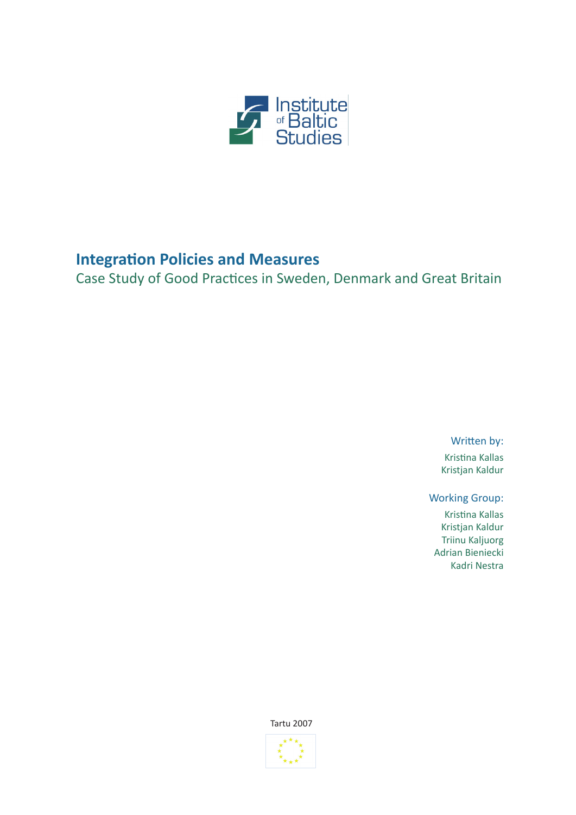

# **Integration Policies and Measures**

Case Study of Good Practices in Sweden, Denmark and Great Britain

Written by: Kristina Kallas Kristjan Kaldur

Working Group: Kristina Kallas Kristjan Kaldur Triinu Kaljuorg Adrian Bieniecki Kadri Nestra

Tartu 2007

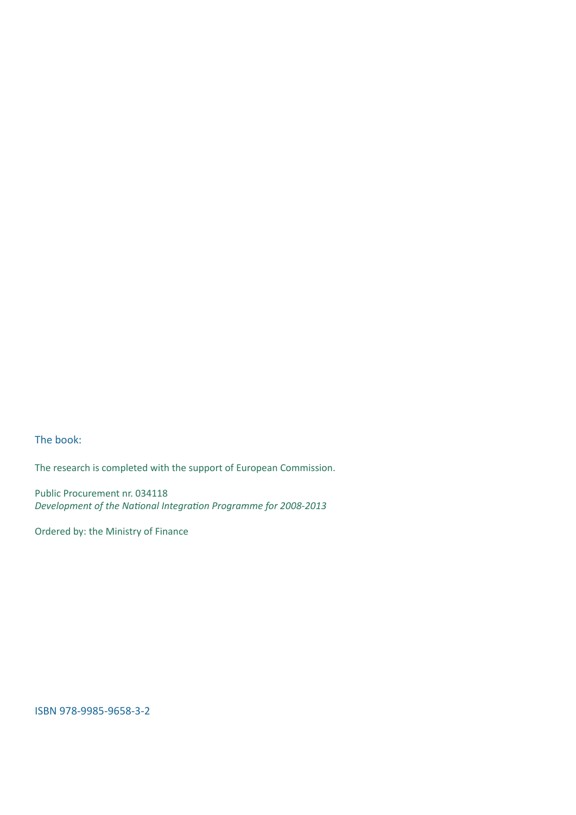The book:

The research is completed with the support of European Commission.

Public Procurement nr. 034118 *Development of the National Integration Programme for 2008-2013*

Ordered by: the Ministry of Finance

ISBN 978-9985-9658-3-2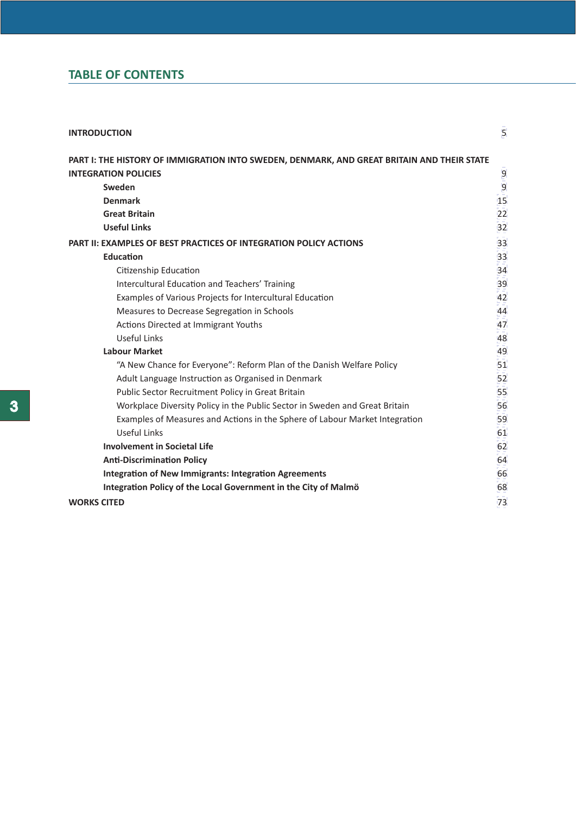# **TABLE OF CONTENTS**

| <b>INTRODUCTION</b>                                                                        | 5  |
|--------------------------------------------------------------------------------------------|----|
| PART I: THE HISTORY OF IMMIGRATION INTO SWEDEN, DENMARK, AND GREAT BRITAIN AND THEIR STATE |    |
| <b>INTEGRATION POLICIES</b>                                                                | 9  |
| Sweden                                                                                     | 9  |
| <b>Denmark</b>                                                                             | 15 |
| <b>Great Britain</b>                                                                       | 22 |
| <b>Useful Links</b>                                                                        | 32 |
| <b>PART II: EXAMPLES OF BEST PRACTICES OF INTEGRATION POLICY ACTIONS</b>                   | 33 |
| Education                                                                                  | 33 |
| Citizenship Education                                                                      | 34 |
| Intercultural Education and Teachers' Training                                             | 39 |
| Examples of Various Projects for Intercultural Education                                   | 42 |
| Measures to Decrease Segregation in Schools                                                | 44 |
| Actions Directed at Immigrant Youths                                                       | 47 |
| Useful Links                                                                               | 48 |
| <b>Labour Market</b>                                                                       | 49 |
| "A New Chance for Everyone": Reform Plan of the Danish Welfare Policy                      | 51 |
| Adult Language Instruction as Organised in Denmark                                         | 52 |
| Public Sector Recruitment Policy in Great Britain                                          | 55 |
| Workplace Diversity Policy in the Public Sector in Sweden and Great Britain                | 56 |
| Examples of Measures and Actions in the Sphere of Labour Market Integration                | 59 |
| Useful Links                                                                               | 61 |
| <b>Involvement in Societal Life</b>                                                        | 62 |
| <b>Anti-Discrimination Policy</b>                                                          | 64 |
| <b>Integration of New Immigrants: Integration Agreements</b>                               | 66 |
| Integration Policy of the Local Government in the City of Malmö                            | 68 |
| <b>WORKS CITED</b>                                                                         | 73 |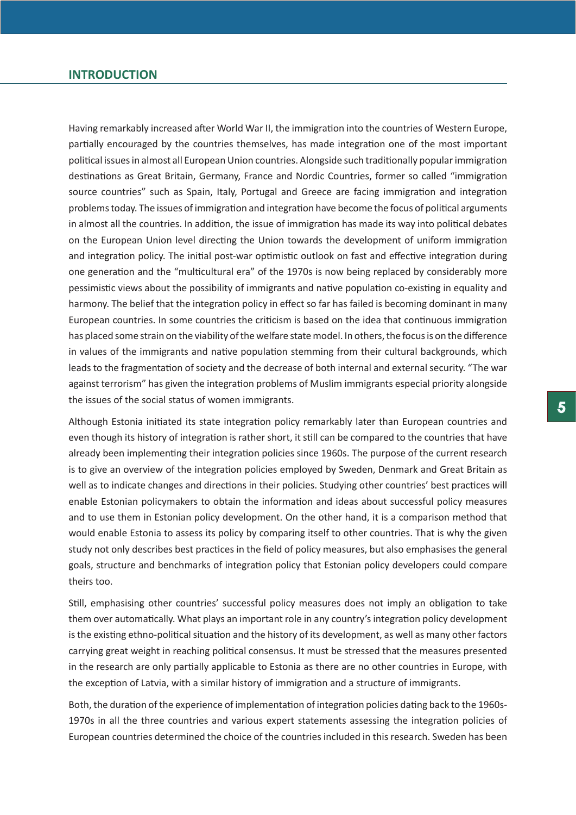## <span id="page-4-0"></span>**INTRODUCTION**

Having remarkably increased after World War II, the immigration into the countries of Western Europe, partially encouraged by the countries themselves, has made integration one of the most important political issues in almost all European Union countries. Alongside such traditionally popular immigration destinations as Great Britain, Germany, France and Nordic Countries, former so called "immigration source countries" such as Spain, Italy, Portugal and Greece are facing immigration and integration problems today. The issues of immigration and integration have become the focus of political arguments in almost all the countries. In addition, the issue of immigration has made its way into political debates on the European Union level directing the Union towards the development of uniform immigration and integration policy. The initial post-war optimistic outlook on fast and effective integration during one generation and the "multicultural era" of the 1970s is now being replaced by considerably more pessimistic views about the possibility of immigrants and native population co-existing in equality and harmony. The belief that the integration policy in effect so far has failed is becoming dominant in many European countries. In some countries the criticism is based on the idea that continuous immigration has placed some strain on the viability of the welfare state model. In others, the focus is on the difference in values of the immigrants and native population stemming from their cultural backgrounds, which leads to the fragmentation of society and the decrease of both internal and external security. "The war against terrorism" has given the integration problems of Muslim immigrants especial priority alongside the issues of the social status of women immigrants.

Although Estonia initiated its state integration policy remarkably later than European countries and even though its history of integration is rather short, it still can be compared to the countries that have already been implementing their integration policies since 1960s. The purpose of the current research is to give an overview of the integration policies employed by Sweden, Denmark and Great Britain as well as to indicate changes and directions in their policies. Studying other countries' best practices will enable Estonian policymakers to obtain the information and ideas about successful policy measures and to use them in Estonian policy development. On the other hand, it is a comparison method that would enable Estonia to assess its policy by comparing itself to other countries. That is why the given study not only describes best practices in the field of policy measures, but also emphasises the general goals, structure and benchmarks of integration policy that Estonian policy developers could compare theirs too.

Still, emphasising other countries' successful policy measures does not imply an obligation to take them over automatically. What plays an important role in any country's integration policy development is the existing ethno-political situation and the history of its development, as well as many other factors carrying great weight in reaching political consensus. It must be stressed that the measures presented in the research are only partially applicable to Estonia as there are no other countries in Europe, with the exception of Latvia, with a similar history of immigration and a structure of immigrants.

Both, the duration of the experience of implementation of integration policies dating back to the 1960s-1970s in all the three countries and various expert statements assessing the integration policies of European countries determined the choice of the countries included in this research. Sweden has been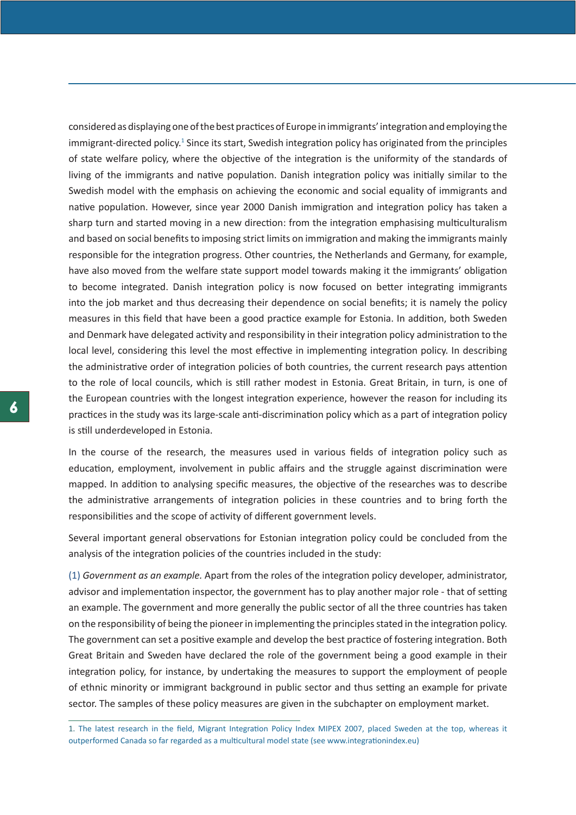considered as displaying one of the best practices of Europe in immigrants' integration and employing the immigrant-directed policy.<sup>1</sup> Since its start, Swedish integration policy has originated from the principles of state welfare policy, where the objective of the integration is the uniformity of the standards of living of the immigrants and native population. Danish integration policy was initially similar to the Swedish model with the emphasis on achieving the economic and social equality of immigrants and native population. However, since year 2000 Danish immigration and integration policy has taken a sharp turn and started moving in a new direction: from the integration emphasising multiculturalism and based on social benefits to imposing strict limits on immigration and making the immigrants mainly responsible for the integration progress. Other countries, the Netherlands and Germany, for example, have also moved from the welfare state support model towards making it the immigrants' obligation to become integrated. Danish integration policy is now focused on better integrating immigrants into the job market and thus decreasing their dependence on social benefits; it is namely the policy measures in this field that have been a good practice example for Estonia. In addition, both Sweden and Denmark have delegated activity and responsibility in their integration policy administration to the local level, considering this level the most effective in implementing integration policy. In describing the administrative order of integration policies of both countries, the current research pays attention to the role of local councils, which is still rather modest in Estonia. Great Britain, in turn, is one of the European countries with the longest integration experience, however the reason for including its practices in the study was its large-scale anti-discrimination policy which as a part of integration policy is still underdeveloped in Estonia.

In the course of the research, the measures used in various fields of integration policy such as education, employment, involvement in public affairs and the struggle against discrimination were mapped. In addition to analysing specific measures, the objective of the researches was to describe the administrative arrangements of integration policies in these countries and to bring forth the responsibilities and the scope of activity of different government levels.

Several important general observations for Estonian integration policy could be concluded from the analysis of the integration policies of the countries included in the study:

(1) *Government as an example.* Apart from the roles of the integration policy developer, administrator, advisor and implementation inspector, the government has to play another major role - that of setting an example. The government and more generally the public sector of all the three countries has taken on the responsibility of being the pioneer in implementing the principles stated in the integration policy. The government can set a positive example and develop the best practice of fostering integration. Both Great Britain and Sweden have declared the role of the government being a good example in their integration policy, for instance, by undertaking the measures to support the employment of people of ethnic minority or immigrant background in public sector and thus setting an example for private sector. The samples of these policy measures are given in the subchapter on employment market.

<sup>1.</sup> The latest research in the field, Migrant Integration Policy Index MIPEX 2007, placed Sweden at the top, whereas it outperformed Canada so far regarded as a multicultural model state (see www.integrationindex.eu)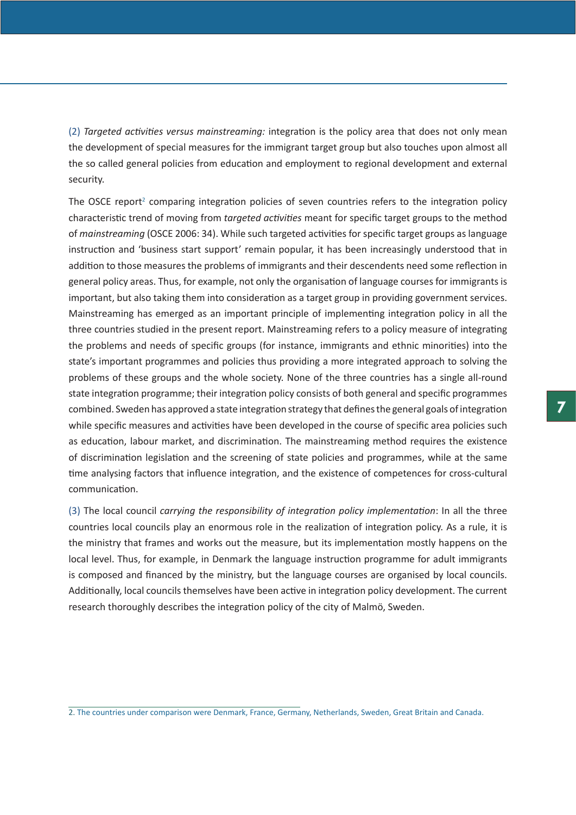(2) *Targeted activities versus mainstreaming:* integration is the policy area that does not only mean the development of special measures for the immigrant target group but also touches upon almost all the so called general policies from education and employment to regional development and external security.

The OSCE report<sup>2</sup> comparing integration policies of seven countries refers to the integration policy characteristic trend of moving from *targeted activities* meant for specific target groups to the method of *mainstreaming* (OSCE 2006: 34). While such targeted activities for specific target groups as language instruction and 'business start support' remain popular, it has been increasingly understood that in addition to those measures the problems of immigrants and their descendents need some reflection in general policy areas. Thus, for example, not only the organisation of language courses for immigrants is important, but also taking them into consideration as a target group in providing government services. Mainstreaming has emerged as an important principle of implementing integration policy in all the three countries studied in the present report. Mainstreaming refers to a policy measure of integrating the problems and needs of specific groups (for instance, immigrants and ethnic minorities) into the state's important programmes and policies thus providing a more integrated approach to solving the problems of these groups and the whole society. None of the three countries has a single all-round state integration programme; their integration policy consists of both general and specific programmes combined. Sweden has approved a state integration strategy that defines the general goals of integration while specific measures and activities have been developed in the course of specific area policies such as education, labour market, and discrimination. The mainstreaming method requires the existence of discrimination legislation and the screening of state policies and programmes, while at the same time analysing factors that influence integration, and the existence of competences for cross-cultural communication.

(3) The local council *carrying the responsibility of integration policy implementation*: In all the three countries local councils play an enormous role in the realization of integration policy. As a rule, it is the ministry that frames and works out the measure, but its implementation mostly happens on the local level. Thus, for example, in Denmark the language instruction programme for adult immigrants is composed and financed by the ministry, but the language courses are organised by local councils. Additionally, local councils themselves have been active in integration policy development. The current research thoroughly describes the integration policy of the city of Malmö, Sweden.

<sup>2.</sup> The countries under comparison were Denmark, France, Germany, Netherlands, Sweden, Great Britain and Canada.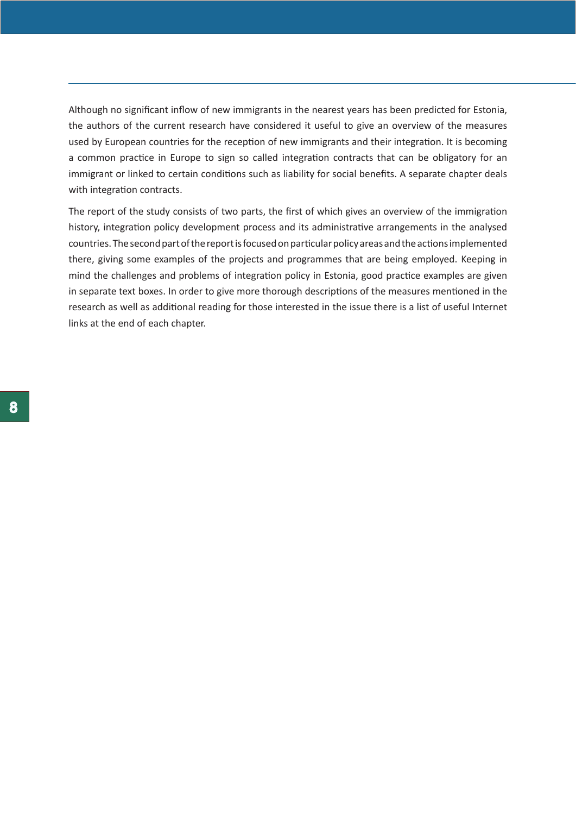Although no significant inflow of new immigrants in the nearest years has been predicted for Estonia, the authors of the current research have considered it useful to give an overview of the measures used by European countries for the reception of new immigrants and their integration. It is becoming a common practice in Europe to sign so called integration contracts that can be obligatory for an immigrant or linked to certain conditions such as liability for social benefits. A separate chapter deals with integration contracts.

The report of the study consists of two parts, the first of which gives an overview of the immigration history, integration policy development process and its administrative arrangements in the analysed countries. The second part of the report is focused on particular policy areas and the actions implemented there, giving some examples of the projects and programmes that are being employed. Keeping in mind the challenges and problems of integration policy in Estonia, good practice examples are given in separate text boxes. In order to give more thorough descriptions of the measures mentioned in the research as well as additional reading for those interested in the issue there is a list of useful Internet links at the end of each chapter.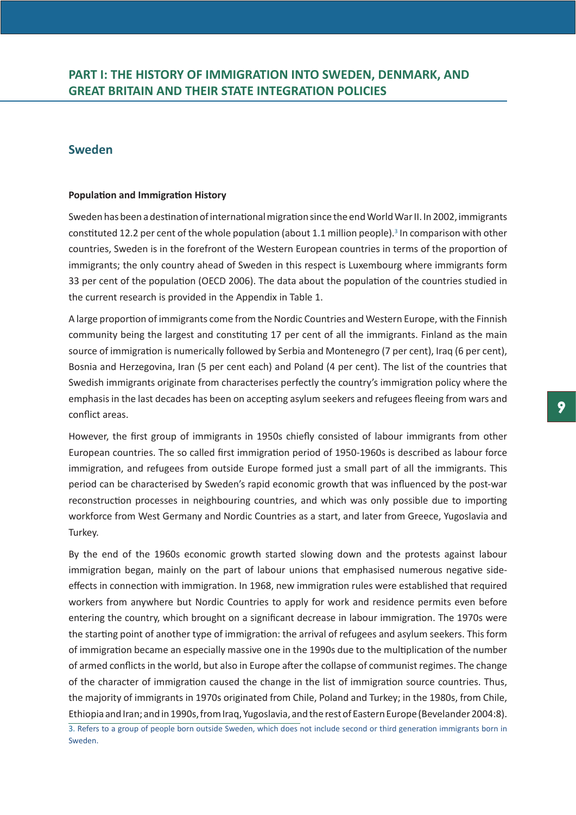# <span id="page-8-0"></span>**Sweden**

## **Population and Immigration History**

Sweden has been a destination of international migration since the end World War II. In 2002, immigrants constituted 12.2 per cent of the whole population (about 1.1 million people).<sup>3</sup> In comparison with other countries, Sweden is in the forefront of the Western European countries in terms of the proportion of immigrants; the only country ahead of Sweden in this respect is Luxembourg where immigrants form 33 per cent of the population (OECD 2006). The data about the population of the countries studied in the current research is provided in the Appendix in Table 1.

A large proportion of immigrants come from the Nordic Countries and Western Europe, with the Finnish community being the largest and constituting 17 per cent of all the immigrants. Finland as the main source of immigration is numerically followed by Serbia and Montenegro (7 per cent), Iraq (6 per cent), Bosnia and Herzegovina, Iran (5 per cent each) and Poland (4 per cent). The list of the countries that Swedish immigrants originate from characterises perfectly the country's immigration policy where the emphasis in the last decades has been on accepting asylum seekers and refugees fleeing from wars and conflict areas.

However, the first group of immigrants in 1950s chiefly consisted of labour immigrants from other European countries. The so called first immigration period of 1950-1960s is described as labour force immigration, and refugees from outside Europe formed just a small part of all the immigrants. This period can be characterised by Sweden's rapid economic growth that was influenced by the post-war reconstruction processes in neighbouring countries, and which was only possible due to importing workforce from West Germany and Nordic Countries as a start, and later from Greece, Yugoslavia and Turkey.

By the end of the 1960s economic growth started slowing down and the protests against labour immigration began, mainly on the part of labour unions that emphasised numerous negative sideeffects in connection with immigration. In 1968, new immigration rules were established that required workers from anywhere but Nordic Countries to apply for work and residence permits even before entering the country, which brought on a significant decrease in labour immigration. The 1970s were the starting point of another type of immigration: the arrival of refugees and asylum seekers. This form of immigration became an especially massive one in the 1990s due to the multiplication of the number of armed conflicts in the world, but also in Europe after the collapse of communist regimes. The change of the character of immigration caused the change in the list of immigration source countries. Thus, the majority of immigrants in 1970s originated from Chile, Poland and Turkey; in the 1980s, from Chile, Ethiopia and Iran; and in 1990s, from Iraq, Yugoslavia, and the rest of Eastern Europe (Bevelander 2004:8). 3. Refers to a group of people born outside Sweden, which does not include second or third generation immigrants born in

Sweden.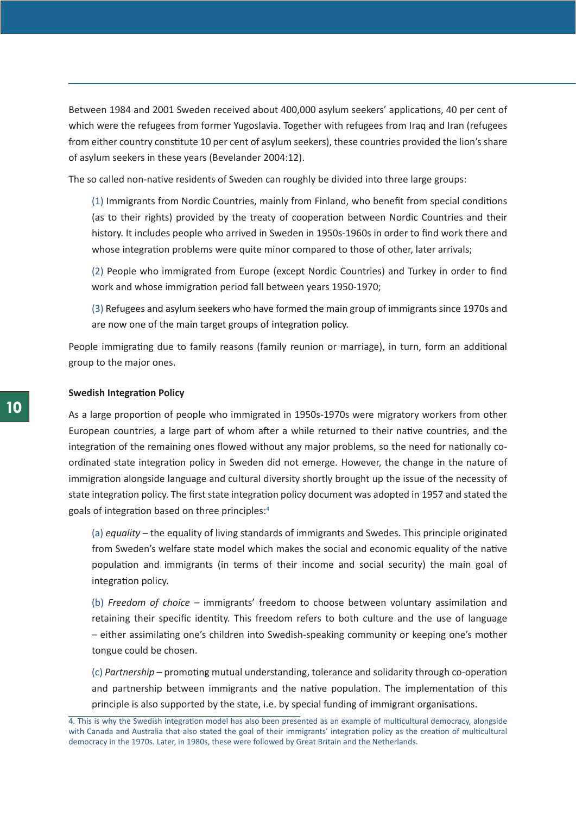Between 1984 and 2001 Sweden received about 400,000 asylum seekers' applications, 40 per cent of which were the refugees from former Yugoslavia. Together with refugees from Iraq and Iran (refugees from either country constitute 10 per cent of asylum seekers), these countries provided the lion's share of asylum seekers in these years (Bevelander 2004:12).

The so called non-native residents of Sweden can roughly be divided into three large groups:

(1) Immigrants from Nordic Countries, mainly from Finland, who benefit from special conditions (as to their rights) provided by the treaty of cooperation between Nordic Countries and their history. It includes people who arrived in Sweden in 1950s-1960s in order to find work there and whose integration problems were quite minor compared to those of other, later arrivals;

(2) People who immigrated from Europe (except Nordic Countries) and Turkey in order to find work and whose immigration period fall between years 1950-1970;

(3) Refugees and asylum seekers who have formed the main group of immigrants since 1970s and are now one of the main target groups of integration policy.

People immigrating due to family reasons (family reunion or marriage), in turn, form an additional group to the major ones.

#### **Swedish Integration Policy**

As a large proportion of people who immigrated in 1950s-1970s were migratory workers from other European countries, a large part of whom after a while returned to their native countries, and the integration of the remaining ones flowed without any major problems, so the need for nationally coordinated state integration policy in Sweden did not emerge. However, the change in the nature of immigration alongside language and cultural diversity shortly brought up the issue of the necessity of state integration policy. The first state integration policy document was adopted in 1957 and stated the goals of integration based on three principles:4

(a) *equality* – the equality of living standards of immigrants and Swedes. This principle originated from Sweden's welfare state model which makes the social and economic equality of the native population and immigrants (in terms of their income and social security) the main goal of integration policy.

(b) *Freedom of choice –* immigrants' freedom to choose between voluntary assimilation and retaining their specific identity. This freedom refers to both culture and the use of language – either assimilating one's children into Swedish-speaking community or keeping one's mother tongue could be chosen.

(c) *Partnership –* promoting mutual understanding, tolerance and solidarity through co-operation and partnership between immigrants and the native population. The implementation of this principle is also supported by the state, i.e. by special funding of immigrant organisations.

<sup>4.</sup> This is why the Swedish integration model has also been presented as an example of multicultural democracy, alongside with Canada and Australia that also stated the goal of their immigrants' integration policy as the creation of multicultural democracy in the 1970s. Later, in 1980s, these were followed by Great Britain and the Netherlands.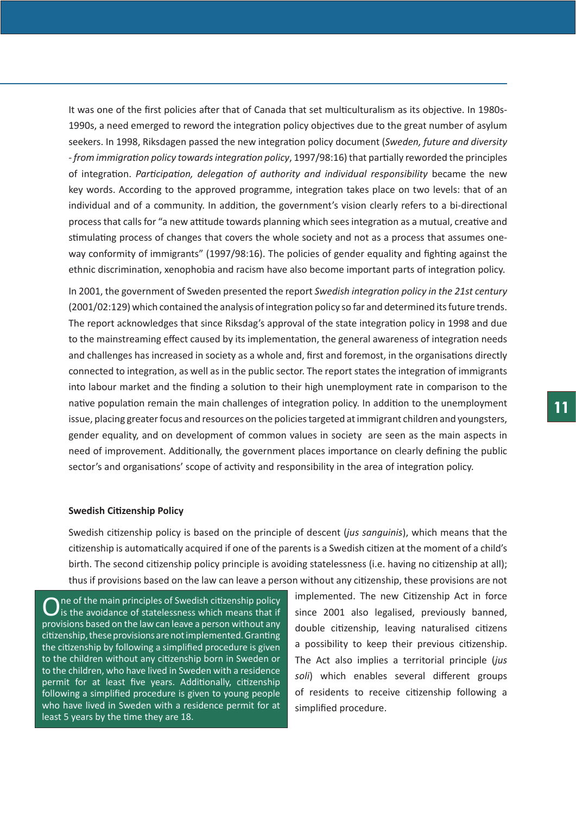It was one of the first policies after that of Canada that set multiculturalism as its objective. In 1980s-1990s, a need emerged to reword the integration policy objectives due to the great number of asylum seekers. In 1998, Riksdagen passed the new integration policy document (*Sweden, future and diversity - from immigration policy towards integration policy*, 1997/98:16) that partially reworded the principles of integration. *Participation, delegation of authority and individual responsibility* became the new key words. According to the approved programme, integration takes place on two levels: that of an individual and of a community. In addition, the government's vision clearly refers to a bi-directional process that calls for "a new attitude towards planning which sees integration as a mutual, creative and stimulating process of changes that covers the whole society and not as a process that assumes oneway conformity of immigrants" (1997/98:16). The policies of gender equality and fighting against the ethnic discrimination, xenophobia and racism have also become important parts of integration policy.

In 2001, the government of Sweden presented the report *Swedish integration policy in the 21st century*  (2001/02:129) which contained the analysis of integration policy so far and determined its future trends. The report acknowledges that since Riksdag's approval of the state integration policy in 1998 and due to the mainstreaming effect caused by its implementation, the general awareness of integration needs and challenges has increased in society as a whole and, first and foremost, in the organisations directly connected to integration, as well as in the public sector. The report states the integration of immigrants into labour market and the finding a solution to their high unemployment rate in comparison to the native population remain the main challenges of integration policy. In addition to the unemployment issue, placing greater focus and resources on the policies targeted at immigrant children and youngsters, gender equality, and on development of common values in society are seen as the main aspects in need of improvement. Additionally, the government places importance on clearly defining the public sector's and organisations' scope of activity and responsibility in the area of integration policy.

#### **Swedish Citizenship Policy**

Swedish citizenship policy is based on the principle of descent (*jus sanguinis*), which means that the citizenship is automatically acquired if one of the parents is a Swedish citizen at the moment of a child's birth. The second citizenship policy principle is avoiding statelessness (i.e. having no citizenship at all); thus if provisions based on the law can leave a person without any citizenship, these provisions are not

 $\mathbf{O}$  is the avoidance of statelessness which means that if  $\mathbf{O}$  is the avoidance of statelessness which means that if provisions based on the law can leave a person without any citizenship, these provisions are not implemented. Granting the citizenship by following a simplified procedure is given to the children without any citizenship born in Sweden or to the children, who have lived in Sweden with a residence permit for at least five years. Additionally, citizenship following a simplified procedure is given to young people who have lived in Sweden with a residence permit for at least 5 years by the time they are 18.

implemented. The new Citizenship Act in force since 2001 also legalised, previously banned, double citizenship, leaving naturalised citizens a possibility to keep their previous citizenship. The Act also implies a territorial principle (*jus soli*) which enables several different groups of residents to receive citizenship following a simplified procedure.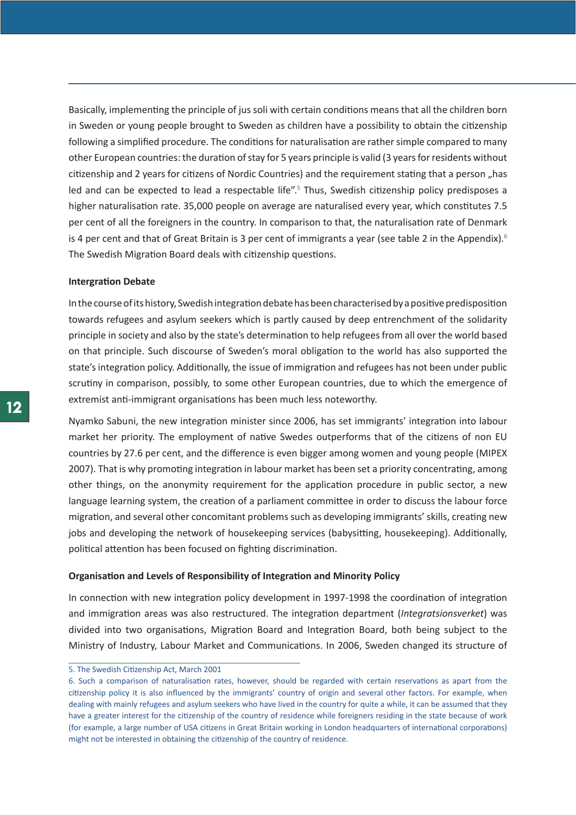Basically, implementing the principle of jus soli with certain conditions means that all the children born in Sweden or young people brought to Sweden as children have a possibility to obtain the citizenship following a simplified procedure. The conditions for naturalisation are rather simple compared to many other European countries: the duration of stay for 5 years principle is valid (3 years for residents without citizenship and 2 years for citizens of Nordic Countries) and the requirement stating that a person "has led and can be expected to lead a respectable life".<sup>5</sup> Thus, Swedish citizenship policy predisposes a higher naturalisation rate. 35,000 people on average are naturalised every year, which constitutes 7.5 per cent of all the foreigners in the country. In comparison to that, the naturalisation rate of Denmark is 4 per cent and that of Great Britain is 3 per cent of immigrants a year (see table 2 in the Appendix).<sup>6</sup> The Swedish Migration Board deals with citizenship questions.

#### **Intergration Debate**

In the course of its history, Swedish integration debate has been characterised by a positive predisposition towards refugees and asylum seekers which is partly caused by deep entrenchment of the solidarity principle in society and also by the state's determination to help refugees from all over the world based on that principle. Such discourse of Sweden's moral obligation to the world has also supported the state's integration policy. Additionally, the issue of immigration and refugees has not been under public scrutiny in comparison, possibly, to some other European countries, due to which the emergence of extremist anti-immigrant organisations has been much less noteworthy.

Nyamko Sabuni, the new integration minister since 2006, has set immigrants' integration into labour market her priority. The employment of native Swedes outperforms that of the citizens of non EU countries by 27.6 per cent, and the difference is even bigger among women and young people (MIPEX 2007). That is why promoting integration in labour market has been set a priority concentrating, among other things, on the anonymity requirement for the application procedure in public sector, a new language learning system, the creation of a parliament committee in order to discuss the labour force migration, and several other concomitant problems such as developing immigrants' skills, creating new jobs and developing the network of housekeeping services (babysitting, housekeeping). Additionally, political attention has been focused on fighting discrimination.

## **Organisation and Levels of Responsibility of Integration and Minority Policy**

In connection with new integration policy development in 1997-1998 the coordination of integration and immigration areas was also restructured. The integration department (*Integratsionsverket*) was divided into two organisations, Migration Board and Integration Board, both being subject to the Ministry of Industry, Labour Market and Communications. In 2006, Sweden changed its structure of

<sup>5.</sup> The Swedish Citizenship Act, March 2001

<sup>6.</sup> Such a comparison of naturalisation rates, however, should be regarded with certain reservations as apart from the citizenship policy it is also influenced by the immigrants' country of origin and several other factors. For example, when dealing with mainly refugees and asylum seekers who have lived in the country for quite a while, it can be assumed that they have a greater interest for the citizenship of the country of residence while foreigners residing in the state because of work (for example, a large number of USA citizens in Great Britain working in London headquarters of international corporations) might not be interested in obtaining the citizenship of the country of residence.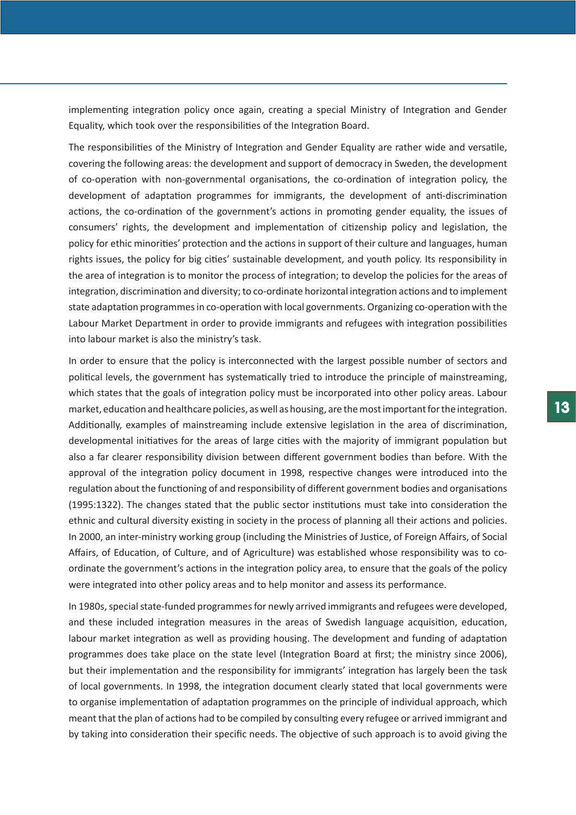implementing integration policy once again, creating a special Ministry of Integration and Gender Equality, which took over the responsibilities of the Integration Board.

The responsibilities of the Ministry of Integration and Gender Equality are rather wide and versatile, covering the following areas: the development and support of democracy in Sweden, the development of co-operation with non-governmental organisations, the co-ordination of integration policy, the development of adaptation programmes for immigrants, the development of anti-discrimination actions, the co-ordination of the government's actions in promoting gender equality, the issues of consumers' rights, the development and implementation of citizenship policy and legislation, the policy for ethic minorities' protection and the actions in support of their culture and languages, human rights issues, the policy for big cities' sustainable development, and youth policy. Its responsibility in the area of integration is to monitor the process of integration; to develop the policies for the areas of integration, discrimination and diversity; to co-ordinate horizontal integration actions and to implement state adaptation programmes in co-operation with local governments. Organizing co-operation with the Labour Market Department in order to provide immigrants and refugees with integration possibilities into labour market is also the ministry's task.

In order to ensure that the policy is interconnected with the largest possible number of sectors and political levels, the government has systematically tried to introduce the principle of mainstreaming, which states that the goals of integration policy must be incorporated into other policy areas. Labour market, education and healthcare policies, as well as housing, are the most important for the integration. Additionally, examples of mainstreaming include extensive legislation in the area of discrimination, developmental initiatives for the areas of large cities with the majority of immigrant population but also a far clearer responsibility division between different government bodies than before. With the approval of the integration policy document in 1998, respective changes were introduced into the regulation about the functioning of and responsibility of different government bodies and organisations (1995:1322). The changes stated that the public sector institutions must take into consideration the ethnic and cultural diversity existing in society in the process of planning all their actions and policies. In 2000, an inter-ministry working group (including the Ministries of Justice, of Foreign Affairs, of Social Affairs, of Education, of Culture, and of Agriculture) was established whose responsibility was to coordinate the government's actions in the integration policy area, to ensure that the goals of the policy were integrated into other policy areas and to help monitor and assess its performance.

In 1980s, special state-funded programmes for newly arrived immigrants and refugees were developed, and these included integration measures in the areas of Swedish language acquisition, education, labour market integration as well as providing housing. The development and funding of adaptation programmes does take place on the state level (Integration Board at first; the ministry since 2006), but their implementation and the responsibility for immigrants' integration has largely been the task of local governments. In 1998, the integration document clearly stated that local governments were to organise implementation of adaptation programmes on the principle of individual approach, which meant that the plan of actions had to be compiled by consulting every refugee or arrived immigrant and by taking into consideration their specific needs. The objective of such approach is to avoid giving the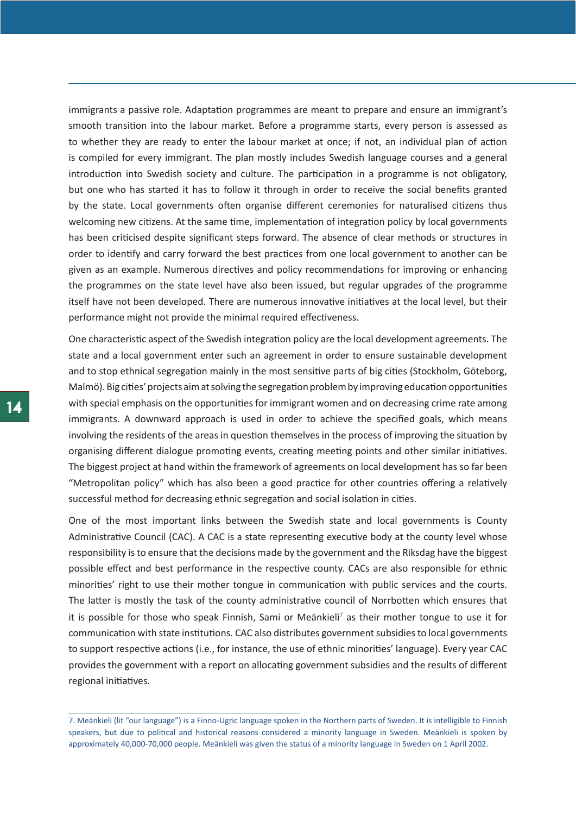immigrants a passive role. Adaptation programmes are meant to prepare and ensure an immigrant's smooth transition into the labour market. Before a programme starts, every person is assessed as to whether they are ready to enter the labour market at once; if not, an individual plan of action is compiled for every immigrant. The plan mostly includes Swedish language courses and a general introduction into Swedish society and culture. The participation in a programme is not obligatory, but one who has started it has to follow it through in order to receive the social benefits granted by the state. Local governments often organise different ceremonies for naturalised citizens thus welcoming new citizens. At the same time, implementation of integration policy by local governments has been criticised despite significant steps forward. The absence of clear methods or structures in order to identify and carry forward the best practices from one local government to another can be given as an example. Numerous directives and policy recommendations for improving or enhancing the programmes on the state level have also been issued, but regular upgrades of the programme itself have not been developed. There are numerous innovative initiatives at the local level, but their performance might not provide the minimal required effectiveness.

One characteristic aspect of the Swedish integration policy are the local development agreements. The state and a local government enter such an agreement in order to ensure sustainable development and to stop ethnical segregation mainly in the most sensitive parts of big cities (Stockholm, Göteborg, Malmö). Big cities' projects aim at solving the segregation problem by improving education opportunities with special emphasis on the opportunities for immigrant women and on decreasing crime rate among immigrants. A downward approach is used in order to achieve the specified goals, which means involving the residents of the areas in question themselves in the process of improving the situation by organising different dialogue promoting events, creating meeting points and other similar initiatives. The biggest project at hand within the framework of agreements on local development has so far been "Metropolitan policy" which has also been a good practice for other countries offering a relatively successful method for decreasing ethnic segregation and social isolation in cities.

One of the most important links between the Swedish state and local governments is County Administrative Council (CAC). A CAC is a state representing executive body at the county level whose responsibility is to ensure that the decisions made by the government and the Riksdag have the biggest possible effect and best performance in the respective county. CACs are also responsible for ethnic minorities' right to use their mother tongue in communication with public services and the courts. The latter is mostly the task of the county administrative council of Norrbotten which ensures that it is possible for those who speak Finnish, Sami or Meänkieli<sup>7</sup> as their mother tongue to use it for communication with state institutions. CAC also distributes government subsidies to local governments to support respective actions (i.e., for instance, the use of ethnic minorities' language). Every year CAC provides the government with a report on allocating government subsidies and the results of different regional initiatives.

<sup>7.</sup> Meänkieli (lit "our language") is a Finno-Ugric language spoken in the Northern parts of Sweden. It is intelligible to Finnish speakers, but due to political and historical reasons considered a minority language in Sweden. Meänkieli is spoken by approximately 40,000-70,000 people. Meänkieli was given the status of a minority language in Sweden on 1 April 2002.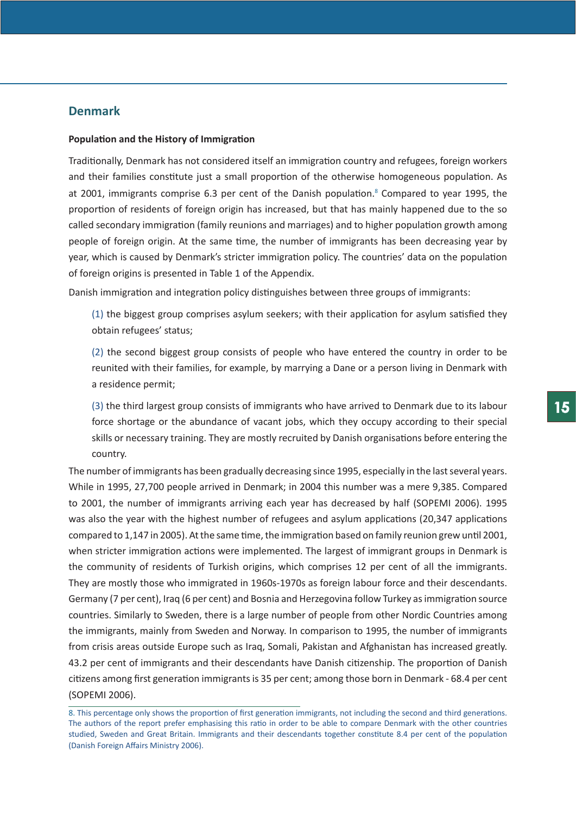# **Denmark**

#### **Population and the History of Immigration**

Traditionally, Denmark has not considered itself an immigration country and refugees, foreign workers and their families constitute just a small proportion of the otherwise homogeneous population. As at 2001, immigrants comprise 6.3 per cent of the Danish population.<sup>8</sup> Compared to year 1995, the proportion of residents of foreign origin has increased, but that has mainly happened due to the so called secondary immigration (family reunions and marriages) and to higher population growth among people of foreign origin. At the same time, the number of immigrants has been decreasing year by year, which is caused by Denmark's stricter immigration policy. The countries' data on the population of foreign origins is presented in Table 1 of the Appendix.

Danish immigration and integration policy distinguishes between three groups of immigrants:

(1) the biggest group comprises asylum seekers; with their application for asylum satisfied they obtain refugees' status;

(2) the second biggest group consists of people who have entered the country in order to be reunited with their families, for example, by marrying a Dane or a person living in Denmark with a residence permit;

(3) the third largest group consists of immigrants who have arrived to Denmark due to its labour force shortage or the abundance of vacant jobs, which they occupy according to their special skills or necessary training. They are mostly recruited by Danish organisations before entering the country.

The number of immigrants has been gradually decreasing since 1995, especially in the last several years. While in 1995, 27,700 people arrived in Denmark; in 2004 this number was a mere 9,385. Compared to 2001, the number of immigrants arriving each year has decreased by half (SOPEMI 2006). 1995 was also the year with the highest number of refugees and asylum applications (20,347 applications compared to 1,147 in 2005). At the same time, the immigration based on family reunion grew until 2001, when stricter immigration actions were implemented. The largest of immigrant groups in Denmark is the community of residents of Turkish origins, which comprises 12 per cent of all the immigrants. They are mostly those who immigrated in 1960s-1970s as foreign labour force and their descendants. Germany (7 per cent), Iraq (6 per cent) and Bosnia and Herzegovina follow Turkey as immigration source countries. Similarly to Sweden, there is a large number of people from other Nordic Countries among the immigrants, mainly from Sweden and Norway. In comparison to 1995, the number of immigrants from crisis areas outside Europe such as Iraq, Somali, Pakistan and Afghanistan has increased greatly. 43.2 per cent of immigrants and their descendants have Danish citizenship. The proportion of Danish citizens among first generation immigrants is 35 per cent; among those born in Denmark - 68.4 per cent (SOPEMI 2006).

<sup>8.</sup> This percentage only shows the proportion of first generation immigrants, not including the second and third generations. The authors of the report prefer emphasising this ratio in order to be able to compare Denmark with the other countries studied, Sweden and Great Britain. Immigrants and their descendants together constitute 8.4 per cent of the population (Danish Foreign Affairs Ministry 2006).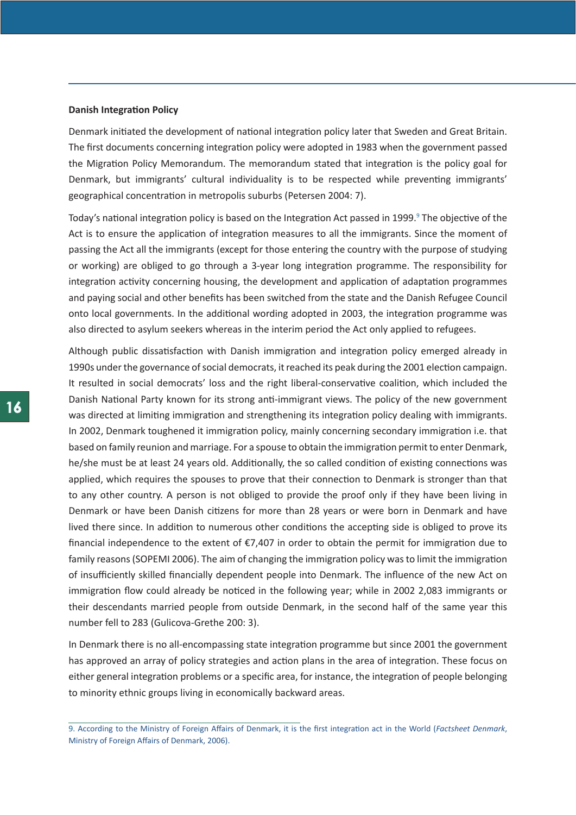#### **Danish Integration Policy**

Denmark initiated the development of national integration policy later that Sweden and Great Britain. The first documents concerning integration policy were adopted in 1983 when the government passed the Migration Policy Memorandum. The memorandum stated that integration is the policy goal for Denmark, but immigrants' cultural individuality is to be respected while preventing immigrants' geographical concentration in metropolis suburbs (Petersen 2004: 7).

Today's national integration policy is based on the Integration Act passed in 1999.<sup>9</sup> The objective of the Act is to ensure the application of integration measures to all the immigrants. Since the moment of passing the Act all the immigrants (except for those entering the country with the purpose of studying or working) are obliged to go through a 3-year long integration programme. The responsibility for integration activity concerning housing, the development and application of adaptation programmes and paying social and other benefits has been switched from the state and the Danish Refugee Council onto local governments. In the additional wording adopted in 2003, the integration programme was also directed to asylum seekers whereas in the interim period the Act only applied to refugees.

Although public dissatisfaction with Danish immigration and integration policy emerged already in 1990s under the governance of social democrats, it reached its peak during the 2001 election campaign. It resulted in social democrats' loss and the right liberal-conservative coalition, which included the Danish National Party known for its strong anti-immigrant views. The policy of the new government was directed at limiting immigration and strengthening its integration policy dealing with immigrants. In 2002, Denmark toughened it immigration policy, mainly concerning secondary immigration i.e. that based on family reunion and marriage. For a spouse to obtain the immigration permit to enter Denmark, he/she must be at least 24 years old. Additionally, the so called condition of existing connections was applied, which requires the spouses to prove that their connection to Denmark is stronger than that to any other country. A person is not obliged to provide the proof only if they have been living in Denmark or have been Danish citizens for more than 28 years or were born in Denmark and have lived there since. In addition to numerous other conditions the accepting side is obliged to prove its financial independence to the extent of  $\epsilon$ 7,407 in order to obtain the permit for immigration due to family reasons (SOPEMI 2006). The aim of changing the immigration policy was to limit the immigration of insufficiently skilled financially dependent people into Denmark. The influence of the new Act on immigration flow could already be noticed in the following year; while in 2002 2,083 immigrants or their descendants married people from outside Denmark, in the second half of the same year this number fell to 283 (Gulicova-Grethe 200: 3).

In Denmark there is no all-encompassing state integration programme but since 2001 the government has approved an array of policy strategies and action plans in the area of integration. These focus on either general integration problems or a specific area, for instance, the integration of people belonging to minority ethnic groups living in economically backward areas.

<sup>9.</sup> According to the Ministry of Foreign Affairs of Denmark, it is the first integration act in the World (*Factsheet Denmark*, Ministry of Foreign Affairs of Denmark, 2006).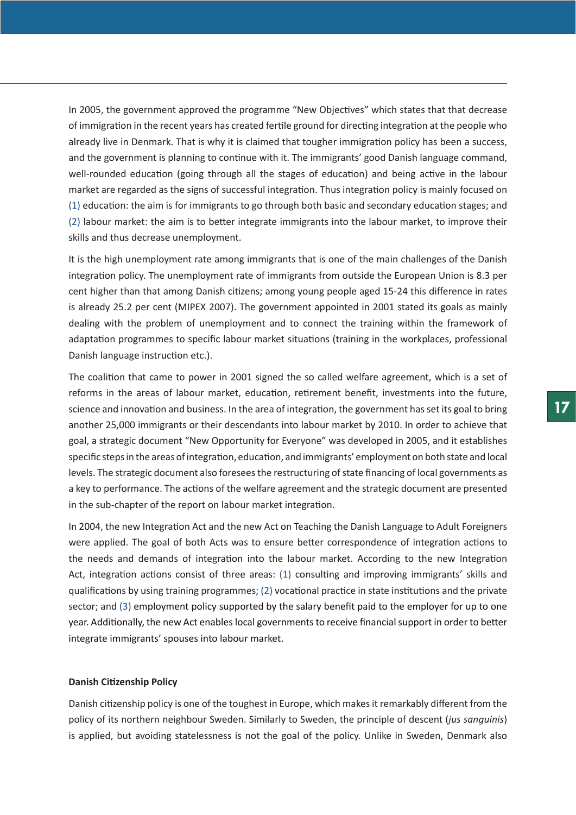In 2005, the government approved the programme "New Objectives" which states that that decrease of immigration in the recent years has created fertile ground for directing integration at the people who already live in Denmark. That is why it is claimed that tougher immigration policy has been a success, and the government is planning to continue with it. The immigrants' good Danish language command, well-rounded education (going through all the stages of education) and being active in the labour market are regarded as the signs of successful integration. Thus integration policy is mainly focused on (1) education: the aim is for immigrants to go through both basic and secondary education stages; and (2) labour market: the aim is to better integrate immigrants into the labour market, to improve their skills and thus decrease unemployment.

It is the high unemployment rate among immigrants that is one of the main challenges of the Danish integration policy. The unemployment rate of immigrants from outside the European Union is 8.3 per cent higher than that among Danish citizens; among young people aged 15-24 this difference in rates is already 25.2 per cent (MIPEX 2007). The government appointed in 2001 stated its goals as mainly dealing with the problem of unemployment and to connect the training within the framework of adaptation programmes to specific labour market situations (training in the workplaces, professional Danish language instruction etc.).

The coalition that came to power in 2001 signed the so called welfare agreement, which is a set of reforms in the areas of labour market, education, retirement benefit, investments into the future, science and innovation and business. In the area of integration, the government has set its goal to bring another 25,000 immigrants or their descendants into labour market by 2010. In order to achieve that goal, a strategic document "New Opportunity for Everyone" was developed in 2005, and it establishes specific steps in the areas of integration, education, and immigrants' employment on both state and local levels. The strategic document also foresees the restructuring of state financing of local governments as a key to performance. The actions of the welfare agreement and the strategic document are presented in the sub-chapter of the report on labour market integration.

In 2004, the new Integration Act and the new Act on Teaching the Danish Language to Adult Foreigners were applied. The goal of both Acts was to ensure better correspondence of integration actions to the needs and demands of integration into the labour market. According to the new Integration Act, integration actions consist of three areas: (1) consulting and improving immigrants' skills and qualifications by using training programmes; (2) vocational practice in state institutions and the private sector; and (3) employment policy supported by the salary benefit paid to the employer for up to one year. Additionally, the new Act enables local governments to receive financial support in order to better integrate immigrants' spouses into labour market.

## **Danish Citizenship Policy**

Danish citizenship policy is one of the toughest in Europe, which makes it remarkably different from the policy of its northern neighbour Sweden. Similarly to Sweden, the principle of descent (*jus sanguinis*) is applied, but avoiding statelessness is not the goal of the policy. Unlike in Sweden, Denmark also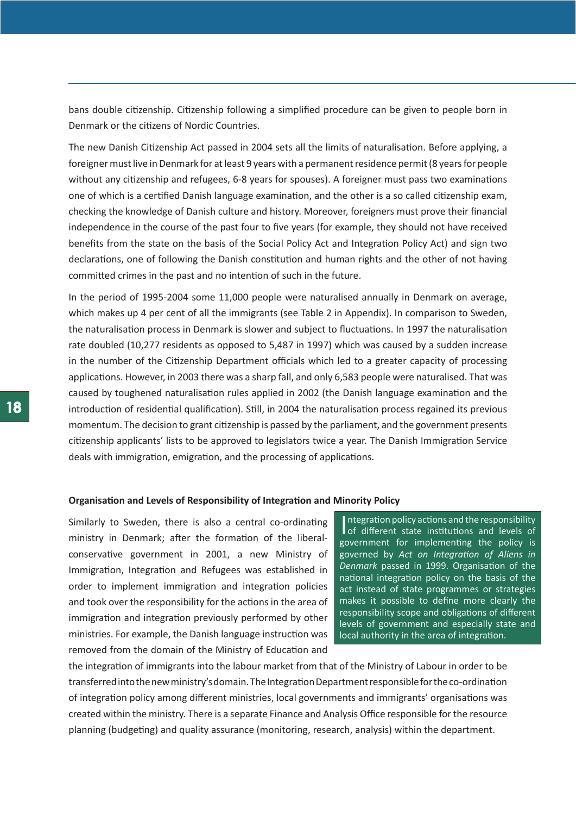bans double citizenship. Citizenship following a simplified procedure can be given to people born in Denmark or the citizens of Nordic Countries.

The new Danish Citizenship Act passed in 2004 sets all the limits of naturalisation. Before applying, a foreigner must live in Denmark for at least 9 years with a permanent residence permit (8 years for people without any citizenship and refugees, 6-8 years for spouses). A foreigner must pass two examinations one of which is a certified Danish language examination, and the other is a so called citizenship exam, checking the knowledge of Danish culture and history. Moreover, foreigners must prove their financial independence in the course of the past four to five years (for example, they should not have received benefits from the state on the basis of the Social Policy Act and Integration Policy Act) and sign two declarations, one of following the Danish constitution and human rights and the other of not having committed crimes in the past and no intention of such in the future.

In the period of 1995-2004 some 11,000 people were naturalised annually in Denmark on average, which makes up 4 per cent of all the immigrants (see Table 2 in Appendix). In comparison to Sweden, the naturalisation process in Denmark is slower and subject to fluctuations. In 1997 the naturalisation rate doubled (10,277 residents as opposed to 5,487 in 1997) which was caused by a sudden increase in the number of the Citizenship Department officials which led to a greater capacity of processing applications. However, in 2003 there was a sharp fall, and only 6,583 people were naturalised. That was caused by toughened naturalisation rules applied in 2002 (the Danish language examination and the introduction of residential qualification). Still, in 2004 the naturalisation process regained its previous momentum. The decision to grant citizenship is passed by the parliament, and the government presents citizenship applicants' lists to be approved to legislators twice a year. The Danish Immigration Service deals with immigration, emigration, and the processing of applications.

### **Organisation and Levels of Responsibility of Integration and Minority Policy**

Similarly to Sweden, there is also a central co-ordinating ministry in Denmark; after the formation of the liberalconservative government in 2001, a new Ministry of Immigration, Integration and Refugees was established in order to implement immigration and integration policies and took over the responsibility for the actions in the area of immigration and integration previously performed by other ministries. For example, the Danish language instruction was removed from the domain of the Ministry of Education and

Integration policy actions and the responsibility<br>of different state institutions and levels of ntegration policy actions and the responsibility government for implementing the policy is governed by *Act on Integration of Aliens in Denmark* passed in 1999. Organisation of the national integration policy on the basis of the act instead of state programmes or strategies makes it possible to define more clearly the responsibility scope and obligations of different levels of government and especially state and local authority in the area of integration.

the integration of immigrants into the labour market from that of the Ministry of Labour in order to be transferred into the new ministry's domain. The Integration Department responsible for the co-ordination of integration policy among different ministries, local governments and immigrants' organisations was created within the ministry. There is a separate Finance and Analysis Office responsible for the resource planning (budgeting) and quality assurance (monitoring, research, analysis) within the department.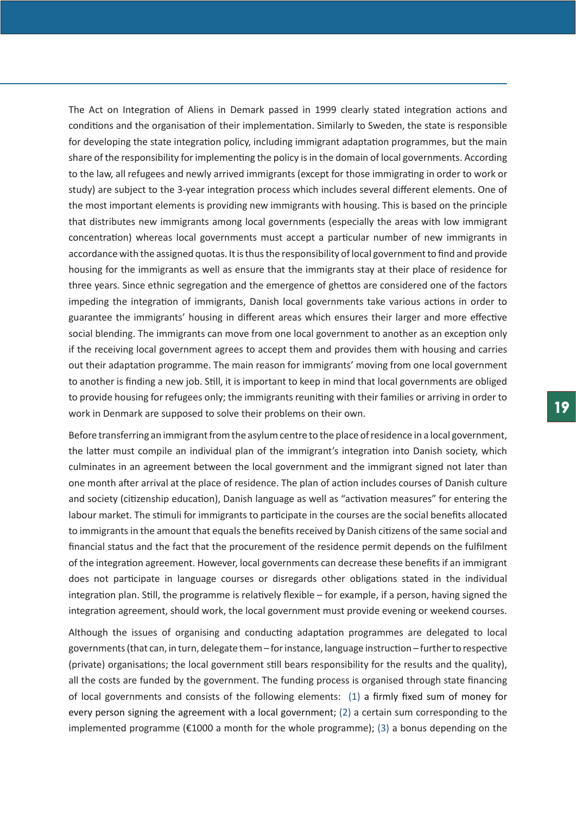The Act on Integration of Aliens in Demark passed in 1999 clearly stated integration actions and conditions and the organisation of their implementation. Similarly to Sweden, the state is responsible for developing the state integration policy, including immigrant adaptation programmes, but the main share of the responsibility for implementing the policy is in the domain of local governments. According to the law, all refugees and newly arrived immigrants (except for those immigrating in order to work or study) are subject to the 3-year integration process which includes several different elements. One of the most important elements is providing new immigrants with housing. This is based on the principle that distributes new immigrants among local governments (especially the areas with low immigrant concentration) whereas local governments must accept a particular number of new immigrants in accordance with the assigned quotas. It is thus the responsibility of local government to find and provide housing for the immigrants as well as ensure that the immigrants stay at their place of residence for three years. Since ethnic segregation and the emergence of ghettos are considered one of the factors impeding the integration of immigrants, Danish local governments take various actions in order to guarantee the immigrants' housing in different areas which ensures their larger and more effective social blending. The immigrants can move from one local government to another as an exception only if the receiving local government agrees to accept them and provides them with housing and carries out their adaptation programme. The main reason for immigrants' moving from one local government to another is finding a new job. Still, it is important to keep in mind that local governments are obliged to provide housing for refugees only; the immigrants reuniting with their families or arriving in order to work in Denmark are supposed to solve their problems on their own.

Before transferring an immigrant from the asylum centre to the place of residence in a local government, the latter must compile an individual plan of the immigrant's integration into Danish society, which culminates in an agreement between the local government and the immigrant signed not later than one month after arrival at the place of residence. The plan of action includes courses of Danish culture and society (citizenship education), Danish language as well as "activation measures" for entering the labour market. The stimuli for immigrants to participate in the courses are the social benefits allocated to immigrants in the amount that equals the benefits received by Danish citizens of the same social and financial status and the fact that the procurement of the residence permit depends on the fulfilment of the integration agreement. However, local governments can decrease these benefits if an immigrant does not participate in language courses or disregards other obligations stated in the individual integration plan. Still, the programme is relatively flexible – for example, if a person, having signed the integration agreement, should work, the local government must provide evening or weekend courses.

Although the issues of organising and conducting adaptation programmes are delegated to local governments (that can, in turn, delegate them – for instance, language instruction – further to respective (private) organisations; the local government still bears responsibility for the results and the quality), all the costs are funded by the government. The funding process is organised through state financing of local governments and consists of the following elements: (1) a firmly fixed sum of money for every person signing the agreement with a local government; (2) a certain sum corresponding to the implemented programme ( $\epsilon$ 1000 a month for the whole programme); (3) a bonus depending on the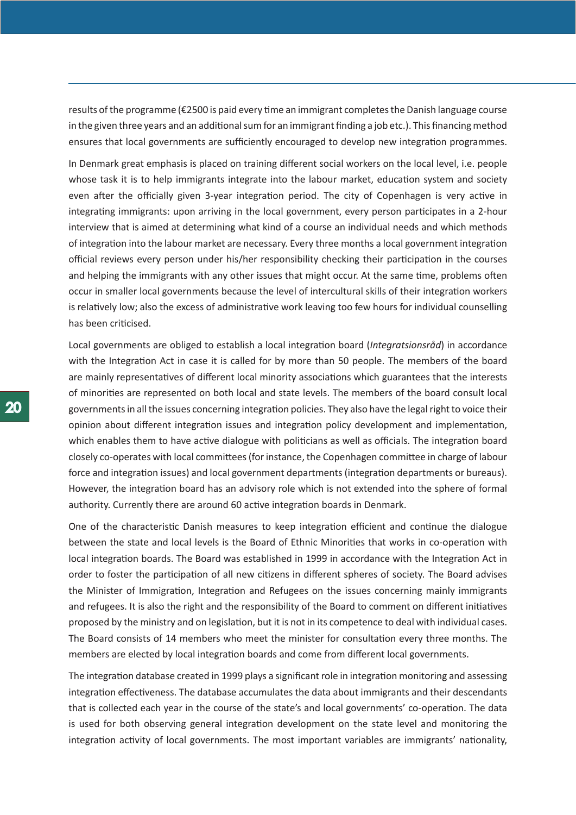results of the programme (€2500 is paid every time an immigrant completes the Danish language course in the given three years and an additional sum for an immigrant finding a job etc.). This financing method ensures that local governments are sufficiently encouraged to develop new integration programmes.

In Denmark great emphasis is placed on training different social workers on the local level, i.e. people whose task it is to help immigrants integrate into the labour market, education system and society even after the officially given 3-year integration period. The city of Copenhagen is very active in integrating immigrants: upon arriving in the local government, every person participates in a 2-hour interview that is aimed at determining what kind of a course an individual needs and which methods of integration into the labour market are necessary. Every three months a local government integration official reviews every person under his/her responsibility checking their participation in the courses and helping the immigrants with any other issues that might occur. At the same time, problems often occur in smaller local governments because the level of intercultural skills of their integration workers is relatively low; also the excess of administrative work leaving too few hours for individual counselling has been criticised.

Local governments are obliged to establish a local integration board (*Integratsionsråd*) in accordance with the Integration Act in case it is called for by more than 50 people. The members of the board are mainly representatives of different local minority associations which guarantees that the interests of minorities are represented on both local and state levels. The members of the board consult local governments in all the issues concerning integration policies. They also have the legal right to voice their opinion about different integration issues and integration policy development and implementation, which enables them to have active dialogue with politicians as well as officials. The integration board closely co-operates with local committees (for instance, the Copenhagen committee in charge of labour force and integration issues) and local government departments (integration departments or bureaus). However, the integration board has an advisory role which is not extended into the sphere of formal authority. Currently there are around 60 active integration boards in Denmark.

One of the characteristic Danish measures to keep integration efficient and continue the dialogue between the state and local levels is the Board of Ethnic Minorities that works in co-operation with local integration boards. The Board was established in 1999 in accordance with the Integration Act in order to foster the participation of all new citizens in different spheres of society. The Board advises the Minister of Immigration, Integration and Refugees on the issues concerning mainly immigrants and refugees. It is also the right and the responsibility of the Board to comment on different initiatives proposed by the ministry and on legislation, but it is not in its competence to deal with individual cases. The Board consists of 14 members who meet the minister for consultation every three months. The members are elected by local integration boards and come from different local governments.

The integration database created in 1999 plays a significant role in integration monitoring and assessing integration effectiveness. The database accumulates the data about immigrants and their descendants that is collected each year in the course of the state's and local governments' co-operation. The data is used for both observing general integration development on the state level and monitoring the integration activity of local governments. The most important variables are immigrants' nationality,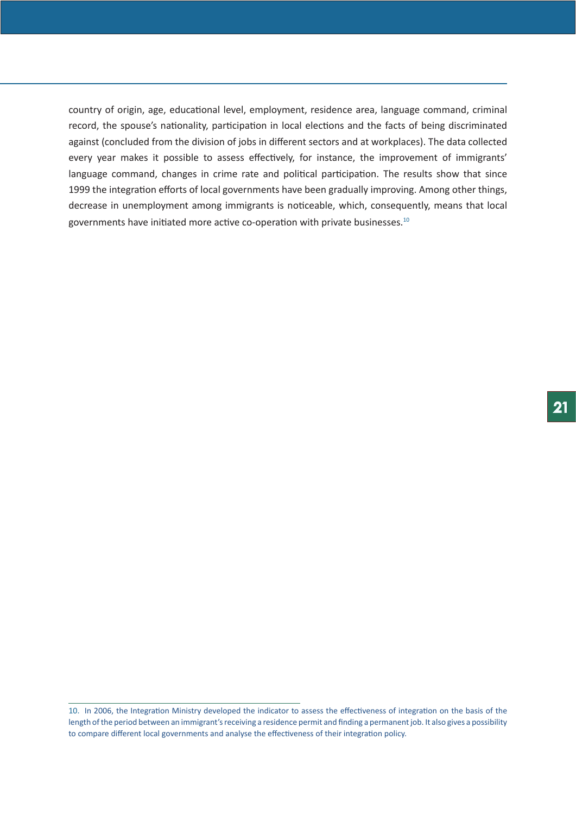country of origin, age, educational level, employment, residence area, language command, criminal record, the spouse's nationality, participation in local elections and the facts of being discriminated against (concluded from the division of jobs in different sectors and at workplaces). The data collected every year makes it possible to assess effectively, for instance, the improvement of immigrants' language command, changes in crime rate and political participation. The results show that since 1999 the integration efforts of local governments have been gradually improving. Among other things, decrease in unemployment among immigrants is noticeable, which, consequently, means that local governments have initiated more active co-operation with private businesses.10

<sup>10.</sup> In 2006, the Integration Ministry developed the indicator to assess the effectiveness of integration on the basis of the length of the period between an immigrant's receiving a residence permit and finding a permanent job. It also gives a possibility to compare different local governments and analyse the effectiveness of their integration policy.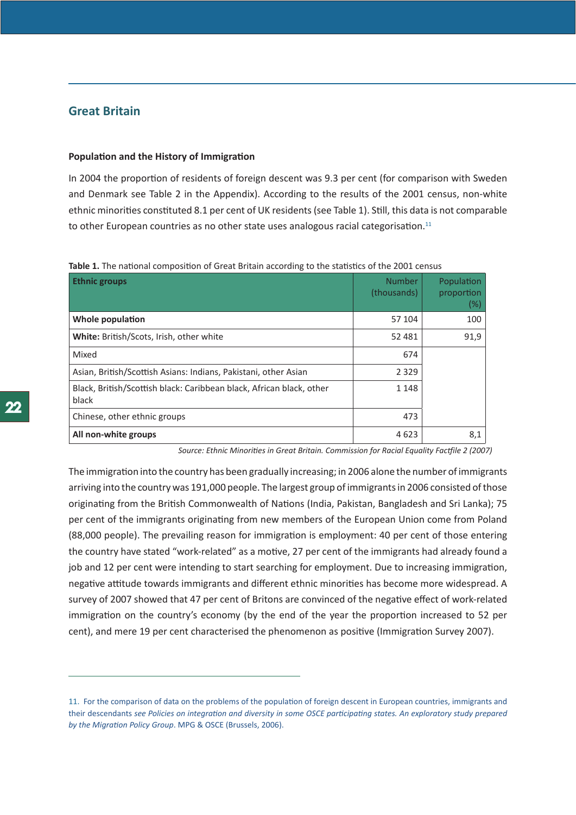# <span id="page-21-0"></span>**Great Britain**

## **Population and the History of Immigration**

In 2004 the proportion of residents of foreign descent was 9.3 per cent (for comparison with Sweden and Denmark see Table 2 in the Appendix). According to the results of the 2001 census, non-white ethnic minorities constituted 8.1 per cent of UK residents (see Table 1). Still, this data is not comparable to other European countries as no other state uses analogous racial categorisation.<sup>11</sup>

| <b>Ethnic groups</b>                                                          | <b>Number</b><br>(thousands) | Population<br>proportion<br>$(\%)$ |
|-------------------------------------------------------------------------------|------------------------------|------------------------------------|
| Whole population                                                              | 57 104                       | 100                                |
| <b>White:</b> British/Scots, Irish, other white                               | 52 481                       | 91,9                               |
| Mixed                                                                         | 674                          |                                    |
| Asian, British/Scottish Asians: Indians, Pakistani, other Asian               | 2 3 2 9                      |                                    |
| Black, British/Scottish black: Caribbean black, African black, other<br>black | 1 1 4 8                      |                                    |
| Chinese, other ethnic groups                                                  | 473                          |                                    |
| All non-white groups                                                          | 4623                         | 8,1                                |

Table 1. The national composition of Great Britain according to the statistics of the 2001 census

*Source: Ethnic Minorities in Great Britain. Commission for Racial Equality Factfile 2 (2007)*

The immigration into the country has been gradually increasing; in 2006 alone the number of immigrants arriving into the country was 191,000 people. The largest group of immigrants in 2006 consisted of those originating from the British Commonwealth of Nations (India, Pakistan, Bangladesh and Sri Lanka); 75 per cent of the immigrants originating from new members of the European Union come from Poland (88,000 people). The prevailing reason for immigration is employment: 40 per cent of those entering the country have stated "work-related" as a motive, 27 per cent of the immigrants had already found a job and 12 per cent were intending to start searching for employment. Due to increasing immigration, negative attitude towards immigrants and different ethnic minorities has become more widespread. A survey of 2007 showed that 47 per cent of Britons are convinced of the negative effect of work-related immigration on the country's economy (by the end of the year the proportion increased to 52 per cent), and mere 19 per cent characterised the phenomenon as positive (Immigration Survey 2007).

<sup>11.</sup> For the comparison of data on the problems of the population of foreign descent in European countries, immigrants and their descendants *see Policies on integration and diversity in some OSCE participating states. An exploratory study prepared by the Migration Policy Group*. MPG & OSCE (Brussels, 2006).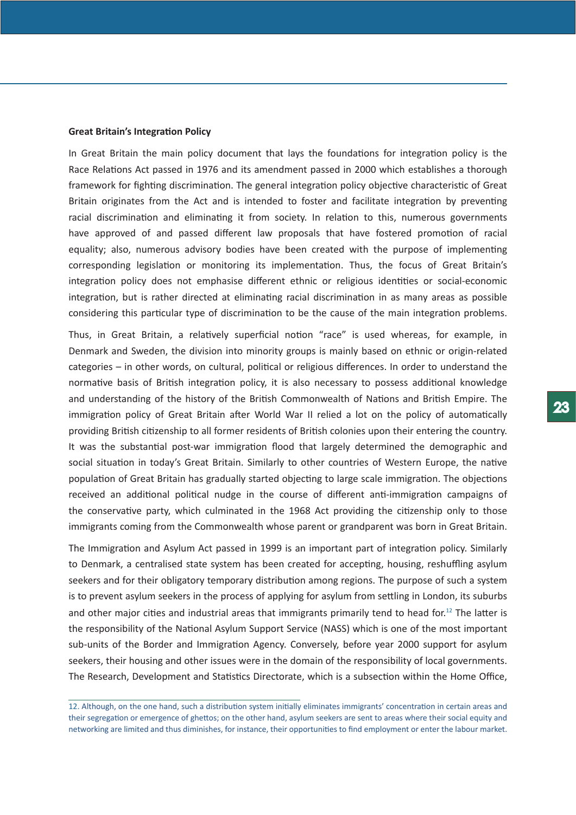#### **Great Britain's Integration Policy**

In Great Britain the main policy document that lays the foundations for integration policy is the Race Relations Act passed in 1976 and its amendment passed in 2000 which establishes a thorough framework for fighting discrimination. The general integration policy objective characteristic of Great Britain originates from the Act and is intended to foster and facilitate integration by preventing racial discrimination and eliminating it from society. In relation to this, numerous governments have approved of and passed different law proposals that have fostered promotion of racial equality; also, numerous advisory bodies have been created with the purpose of implementing corresponding legislation or monitoring its implementation. Thus, the focus of Great Britain's integration policy does not emphasise different ethnic or religious identities or social-economic integration, but is rather directed at eliminating racial discrimination in as many areas as possible considering this particular type of discrimination to be the cause of the main integration problems.

Thus, in Great Britain, a relatively superficial notion "race" is used whereas, for example, in Denmark and Sweden, the division into minority groups is mainly based on ethnic or origin-related categories – in other words, on cultural, political or religious differences. In order to understand the normative basis of British integration policy, it is also necessary to possess additional knowledge and understanding of the history of the British Commonwealth of Nations and British Empire. The immigration policy of Great Britain after World War II relied a lot on the policy of automatically providing British citizenship to all former residents of British colonies upon their entering the country. It was the substantial post-war immigration flood that largely determined the demographic and social situation in today's Great Britain. Similarly to other countries of Western Europe, the native population of Great Britain has gradually started objecting to large scale immigration. The objections received an additional political nudge in the course of different anti-immigration campaigns of the conservative party, which culminated in the 1968 Act providing the citizenship only to those immigrants coming from the Commonwealth whose parent or grandparent was born in Great Britain.

The Immigration and Asylum Act passed in 1999 is an important part of integration policy. Similarly to Denmark, a centralised state system has been created for accepting, housing, reshuffling asylum seekers and for their obligatory temporary distribution among regions. The purpose of such a system is to prevent asylum seekers in the process of applying for asylum from settling in London, its suburbs and other major cities and industrial areas that immigrants primarily tend to head for.<sup>12</sup> The latter is the responsibility of the National Asylum Support Service (NASS) which is one of the most important sub-units of the Border and Immigration Agency. Conversely, before year 2000 support for asylum seekers, their housing and other issues were in the domain of the responsibility of local governments. The Research, Development and Statistics Directorate, which is a subsection within the Home Office,

<sup>12.</sup> Although, on the one hand, such a distribution system initially eliminates immigrants' concentration in certain areas and their segregation or emergence of ghettos; on the other hand, asylum seekers are sent to areas where their social equity and networking are limited and thus diminishes, for instance, their opportunities to find employment or enter the labour market.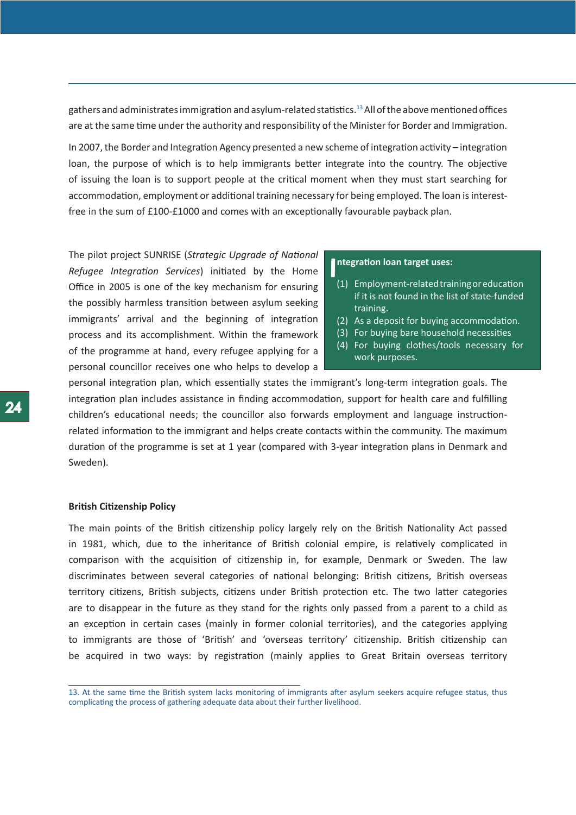gathers and administrates immigration and asylum-related statistics.13 All of the above mentioned offices are at the same time under the authority and responsibility of the Minister for Border and Immigration.

In 2007, the Border and Integration Agency presented a new scheme of integration activity – integration loan, the purpose of which is to help immigrants better integrate into the country. The objective of issuing the loan is to support people at the critical moment when they must start searching for accommodation, employment or additional training necessary for being employed. The loan is interestfree in the sum of £100-£1000 and comes with an exceptionally favourable payback plan.

The pilot project SUNRISE (*Strategic Upgrade of National Refugee Integration Services*) initiated by the Home Office in 2005 is one of the key mechanism for ensuring the possibly harmless transition between asylum seeking immigrants' arrival and the beginning of integration process and its accomplishment. Within the framework of the programme at hand, every refugee applying for a personal councillor receives one who helps to develop a

# **I** ntegration loan target uses:

- (1) Employment-related training or education if it is not found in the list of state-funded training.
- (2) As a deposit for buying accommodation.
- (3) For buying bare household necessities
- (4) For buying clothes/tools necessary for work purposes.

personal integration plan, which essentially states the immigrant's long-term integration goals. The integration plan includes assistance in finding accommodation, support for health care and fulfilling children's educational needs; the councillor also forwards employment and language instructionrelated information to the immigrant and helps create contacts within the community. The maximum duration of the programme is set at 1 year (compared with 3-year integration plans in Denmark and Sweden).

## **British Citizenship Policy**

The main points of the British citizenship policy largely rely on the British Nationality Act passed in 1981, which, due to the inheritance of British colonial empire, is relatively complicated in comparison with the acquisition of citizenship in, for example, Denmark or Sweden. The law discriminates between several categories of national belonging: British citizens, British overseas territory citizens, British subjects, citizens under British protection etc. The two latter categories are to disappear in the future as they stand for the rights only passed from a parent to a child as an exception in certain cases (mainly in former colonial territories), and the categories applying to immigrants are those of 'British' and 'overseas territory' citizenship. British citizenship can be acquired in two ways: by registration (mainly applies to Great Britain overseas territory

13. At the same time the British system lacks monitoring of immigrants after asylum seekers acquire refugee status, thus complicating the process of gathering adequate data about their further livelihood.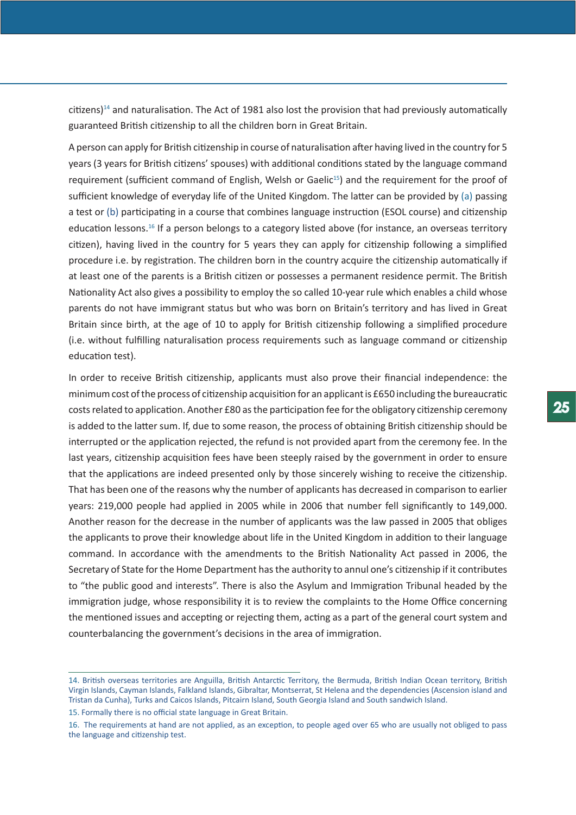citizens)<sup>14</sup> and naturalisation. The Act of 1981 also lost the provision that had previously automatically guaranteed British citizenship to all the children born in Great Britain.

A person can apply for British citizenship in course of naturalisation after having lived in the country for 5 years (3 years for British citizens' spouses) with additional conditions stated by the language command requirement (sufficient command of English, Welsh or Gaelic<sup>15</sup>) and the requirement for the proof of sufficient knowledge of everyday life of the United Kingdom. The latter can be provided by (a) passing a test or (b) participating in a course that combines language instruction (ESOL course) and citizenship education lessons.16 If a person belongs to a category listed above (for instance, an overseas territory citizen), having lived in the country for 5 years they can apply for citizenship following a simplified procedure i.e. by registration. The children born in the country acquire the citizenship automatically if at least one of the parents is a British citizen or possesses a permanent residence permit. The British Nationality Act also gives a possibility to employ the so called 10-year rule which enables a child whose parents do not have immigrant status but who was born on Britain's territory and has lived in Great Britain since birth, at the age of 10 to apply for British citizenship following a simplified procedure (i.e. without fulfilling naturalisation process requirements such as language command or citizenship education test).

In order to receive British citizenship, applicants must also prove their financial independence: the minimum cost of the process of citizenship acquisition for an applicant is £650 including the bureaucratic costs related to application. Another £80 as the participation fee for the obligatory citizenship ceremony is added to the latter sum. If, due to some reason, the process of obtaining British citizenship should be interrupted or the application rejected, the refund is not provided apart from the ceremony fee. In the last years, citizenship acquisition fees have been steeply raised by the government in order to ensure that the applications are indeed presented only by those sincerely wishing to receive the citizenship. That has been one of the reasons why the number of applicants has decreased in comparison to earlier years: 219,000 people had applied in 2005 while in 2006 that number fell significantly to 149,000. Another reason for the decrease in the number of applicants was the law passed in 2005 that obliges the applicants to prove their knowledge about life in the United Kingdom in addition to their language command. In accordance with the amendments to the British Nationality Act passed in 2006, the Secretary of State for the Home Department has the authority to annul one's citizenship if it contributes to "the public good and interests". There is also the Asylum and Immigration Tribunal headed by the immigration judge, whose responsibility it is to review the complaints to the Home Office concerning the mentioned issues and accepting or rejecting them, acting as a part of the general court system and counterbalancing the government's decisions in the area of immigration.

<sup>14.</sup> British overseas territories are Anguilla, British Antarctic Territory, the Bermuda, British Indian Ocean territory, British Virgin Islands, Cayman Islands, Falkland Islands, Gibraltar, Montserrat, St Helena and the dependencies (Ascension island and Tristan da Cunha), Turks and Caicos Islands, Pitcairn Island, South Georgia Island and South sandwich Island.

<sup>15.</sup> Formally there is no official state language in Great Britain.

<sup>16.</sup> The requirements at hand are not applied, as an exception, to people aged over 65 who are usually not obliged to pass the language and citizenship test.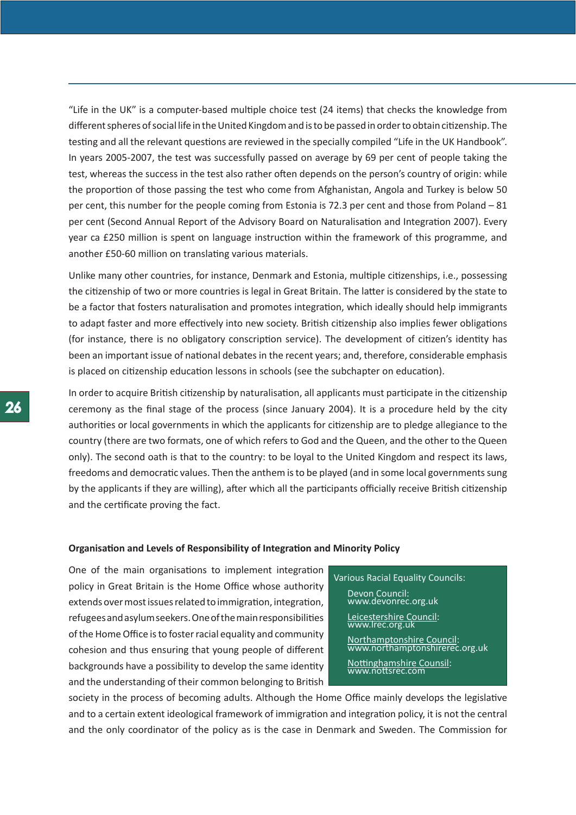"Life in the UK" is a computer-based multiple choice test (24 items) that checks the knowledge from different spheres of social life in the United Kingdom and is to be passed in order to obtain citizenship. The testing and all the relevant questions are reviewed in the specially compiled "Life in the UK Handbook". In years 2005-2007, the test was successfully passed on average by 69 per cent of people taking the test, whereas the success in the test also rather often depends on the person's country of origin: while the proportion of those passing the test who come from Afghanistan, Angola and Turkey is below 50 per cent, this number for the people coming from Estonia is 72.3 per cent and those from Poland – 81 per cent (Second Annual Report of the Advisory Board on Naturalisation and Integration 2007). Every year ca £250 million is spent on language instruction within the framework of this programme, and another £50-60 million on translating various materials.

Unlike many other countries, for instance, Denmark and Estonia, multiple citizenships, i.e., possessing the citizenship of two or more countries is legal in Great Britain. The latter is considered by the state to be a factor that fosters naturalisation and promotes integration, which ideally should help immigrants to adapt faster and more effectively into new society. British citizenship also implies fewer obligations (for instance, there is no obligatory conscription service). The development of citizen's identity has been an important issue of national debates in the recent years; and, therefore, considerable emphasis is placed on citizenship education lessons in schools (see the subchapter on education).

In order to acquire British citizenship by naturalisation, all applicants must participate in the citizenship ceremony as the final stage of the process (since January 2004). It is a procedure held by the city authorities or local governments in which the applicants for citizenship are to pledge allegiance to the country (there are two formats, one of which refers to God and the Queen, and the other to the Queen only). The second oath is that to the country: to be loyal to the United Kingdom and respect its laws, freedoms and democratic values. Then the anthem is to be played (and in some local governments sung by the applicants if they are willing), after which all the participants officially receive British citizenship and the certificate proving the fact.

#### **Organisation and Levels of Responsibility of Integration and Minority Policy**

One of the main organisations to implement integration policy in Great Britain is the Home Office whose authority extends over most issues related to immigration, integration, refugees and asylum seekers. One of the main responsibilities of the Home Office is to foster racial equality and community cohesion and thus ensuring that young people of different backgrounds have a possibility to develop the same identity and the understanding of their common belonging to British

Various Racial Equality Councils: Devon Council: www.devonrec.org.uk Leicestershire Council: www.lrec.org.uk Northamptonshire Council: www.northamptonshirerec.org.uk Nottinghamshire Counsil: www.nottsrec.com

society in the process of becoming adults. Although the Home Office mainly develops the legislative and to a certain extent ideological framework of immigration and integration policy, it is not the central and the only coordinator of the policy as is the case in Denmark and Sweden. The Commission for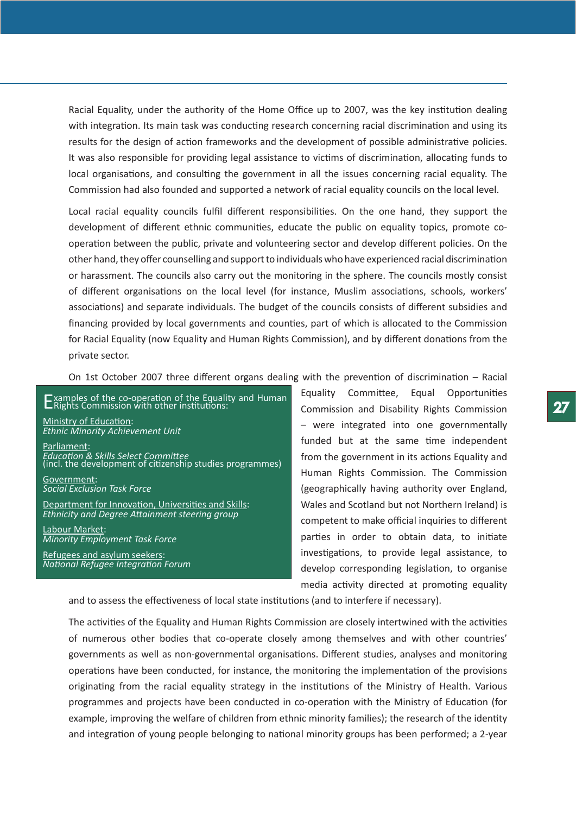Racial Equality, under the authority of the Home Office up to 2007, was the key institution dealing with integration. Its main task was conducting research concerning racial discrimination and using its results for the design of action frameworks and the development of possible administrative policies. It was also responsible for providing legal assistance to victims of discrimination, allocating funds to local organisations, and consulting the government in all the issues concerning racial equality. The Commission had also founded and supported a network of racial equality councils on the local level.

Local racial equality councils fulfil different responsibilities. On the one hand, they support the development of different ethnic communities, educate the public on equality topics, promote cooperation between the public, private and volunteering sector and develop different policies. On the other hand, they offer counselling and support to individuals who have experienced racial discrimination or harassment. The councils also carry out the monitoring in the sphere. The councils mostly consist of different organisations on the local level (for instance, Muslim associations, schools, workers' associations) and separate individuals. The budget of the councils consists of different subsidies and financing provided by local governments and counties, part of which is allocated to the Commission for Racial Equality (now Equality and Human Rights Commission), and by different donations from the private sector.

On 1st October 2007 three different organs dealing with the prevention of discrimination – Racial

Ministry of Education: *[Ethnic Minority Achievement Uni](http://www.standards.dfes.gov.uk/ethnicminorities/)t*

Parliament: *[Education & Skills Select Committe](http://www.parliament.uk/edskills/)e* (incl. the development of citizenship studies programmes)

Government: *[Social Exclusion Task Forc](http://www.cabinetoffice.gov.uk/social_exclusion_task_force/)e*

Department for Innovation, Universities and Skills: *[Ethnicity and Degree Attainment steering grou](http://www.heacademy.ac.uk/projects/detail/Ethnicity_Degree_Attainment_project)p*

Labour Market: *[Minority Employment Task Forc](http://www.emetaskforce.gov.uk/)e*

Refugees and asylum seekers: *[National Refugee Integration Forum](http://www.nrif.org.uk/)*

Equality Committee, Equal Opportunities Commission and Disability Rights Commission – were integrated into one governmentally funded but at the same time independent from the government in its actions Equality and Human Rights Commission. The Commission (geographically having authority over England, Wales and Scotland but not Northern Ireland) is competent to make official inquiries to different parties in order to obtain data, to initiate investigations, to provide legal assistance, to develop corresponding legislation, to organise media activity directed at promoting equality Examples of the co-operation of the Equality and Human Equality Committee, Equal Opportunities<br>Commission with other institutions: Commission and Disability Rights Commission

and to assess the effectiveness of local state institutions (and to interfere if necessary).

The activities of the Equality and Human Rights Commission are closely intertwined with the activities of numerous other bodies that co-operate closely among themselves and with other countries' governments as well as non-governmental organisations. Different studies, analyses and monitoring operations have been conducted, for instance, the monitoring the implementation of the provisions originating from the racial equality strategy in the institutions of the Ministry of Health. Various programmes and projects have been conducted in co-operation with the Ministry of Education (for example, improving the welfare of children from ethnic minority families); the research of the identity and integration of young people belonging to national minority groups has been performed; a 2-year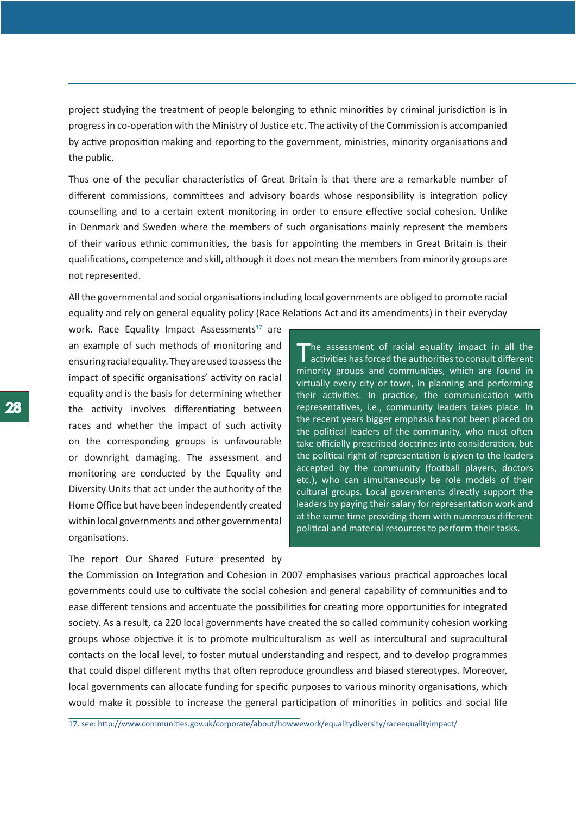project studying the treatment of people belonging to ethnic minorities by criminal jurisdiction is in progress in co-operation with the Ministry of Justice etc. The activity of the Commission is accompanied by active proposition making and reporting to the government, ministries, minority organisations and the public.

Thus one of the peculiar characteristics of Great Britain is that there are a remarkable number of different commissions, committees and advisory boards whose responsibility is integration policy counselling and to a certain extent monitoring in order to ensure effective social cohesion. Unlike in Denmark and Sweden where the members of such organisations mainly represent the members of their various ethnic communities, the basis for appointing the members in Great Britain is their qualifications, competence and skill, although it does not mean the members from minority groups are not represented.

All the governmental and social organisations including local governments are obliged to promote racial equality and rely on general equality policy (Race Relations Act and its amendments) in their everyday

work. Race Equality Impact Assessments $17$  are an example of such methods of monitoring and ensuring racial equality. They are used to assess the impact of specific organisations' activity on racial equality and is the basis for determining whether the activity involves differentiating between races and whether the impact of such activity on the corresponding groups is unfavourable or downright damaging. The assessment and monitoring are conducted by the Equality and Diversity Units that act under the authority of the Home Office but have been independently created within local governments and other governmental organisations.

The report Our Shared Future presented by

The assessment of racial equality impact in all the activities has forced the authorities to consult different minority groups and communities, which are found in virtually every city or town, in planning and performing their activities. In practice, the communication with representatives, i.e., community leaders takes place. In the recent years bigger emphasis has not been placed on the political leaders of the community, who must often take officially prescribed doctrines into consideration, but the political right of representation is given to the leaders accepted by the community (football players, doctors etc.), who can simultaneously be role models of their cultural groups. Local governments directly support the leaders by paying their salary for representation work and at the same time providing them with numerous different political and material resources to perform their tasks.

the Commission on Integration and Cohesion in 2007 emphasises various practical approaches local governments could use to cultivate the social cohesion and general capability of communities and to ease different tensions and accentuate the possibilities for creating more opportunities for integrated society. As a result, ca 220 local governments have created the so called community cohesion working groups whose objective it is to promote multiculturalism as well as intercultural and supracultural contacts on the local level, to foster mutual understanding and respect, and to develop programmes that could dispel different myths that often reproduce groundless and biased stereotypes. Moreover, local governments can allocate funding for specific purposes to various minority organisations, which would make it possible to increase the general participation of minorities in politics and social life

17. see: http://www.communities.gov.uk/corporate/about/howwework/equalitydiversity/raceequalityimpact/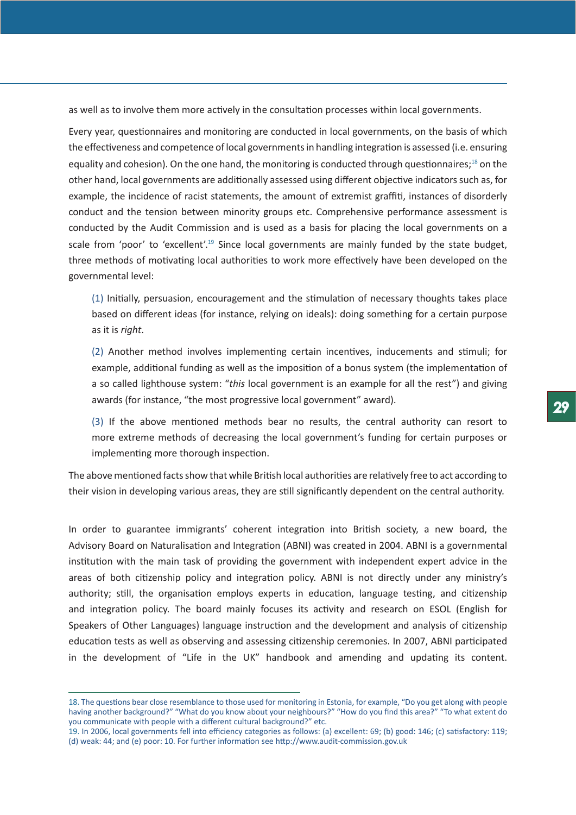as well as to involve them more actively in the consultation processes within local governments.

Every year, questionnaires and monitoring are conducted in local governments, on the basis of which the effectiveness and competence of local governments in handling integration is assessed (i.e. ensuring equality and cohesion). On the one hand, the monitoring is conducted through questionnaires;<sup>18</sup> on the other hand, local governments are additionally assessed using different objective indicators such as, for example, the incidence of racist statements, the amount of extremist graffiti, instances of disorderly conduct and the tension between minority groups etc. Comprehensive performance assessment is conducted by the Audit Commission and is used as a basis for placing the local governments on a scale from 'poor' to 'excellent'.<sup>19</sup> Since local governments are mainly funded by the state budget, three methods of motivating local authorities to work more effectively have been developed on the governmental level:

(1) Initially, persuasion, encouragement and the stimulation of necessary thoughts takes place based on different ideas (for instance, relying on ideals): doing something for a certain purpose as it is *right*.

(2) Another method involves implementing certain incentives, inducements and stimuli; for example, additional funding as well as the imposition of a bonus system (the implementation of a so called lighthouse system: "*this* local government is an example for all the rest") and giving awards (for instance, "the most progressive local government" award).

(3) If the above mentioned methods bear no results, the central authority can resort to more extreme methods of decreasing the local government's funding for certain purposes or implementing more thorough inspection.

The above mentioned facts show that while British local authorities are relatively free to act according to their vision in developing various areas, they are still significantly dependent on the central authority.

In order to guarantee immigrants' coherent integration into British society, a new board, the Advisory Board on Naturalisation and Integration (ABNI) was created in 2004. ABNI is a governmental institution with the main task of providing the government with independent expert advice in the areas of both citizenship policy and integration policy. ABNI is not directly under any ministry's authority; still, the organisation employs experts in education, language testing, and citizenship and integration policy. The board mainly focuses its activity and research on ESOL (English for Speakers of Other Languages) language instruction and the development and analysis of citizenship education tests as well as observing and assessing citizenship ceremonies. In 2007, ABNI participated in the development of "Life in the UK" handbook and amending and updating its content.

<sup>18.</sup> The questions bear close resemblance to those used for monitoring in Estonia, for example, "Do you get along with people having another background?" "What do you know about your neighbours?" "How do you find this area?" "To what extent do you communicate with people with a different cultural background?" etc.

<sup>19.</sup> In 2006, local governments fell into efficiency categories as follows: (a) excellent: 69; (b) good: 146; (c) satisfactory: 119; (d) weak: 44; and (e) poor: 10. For further information see http://www.audit-commission.gov.uk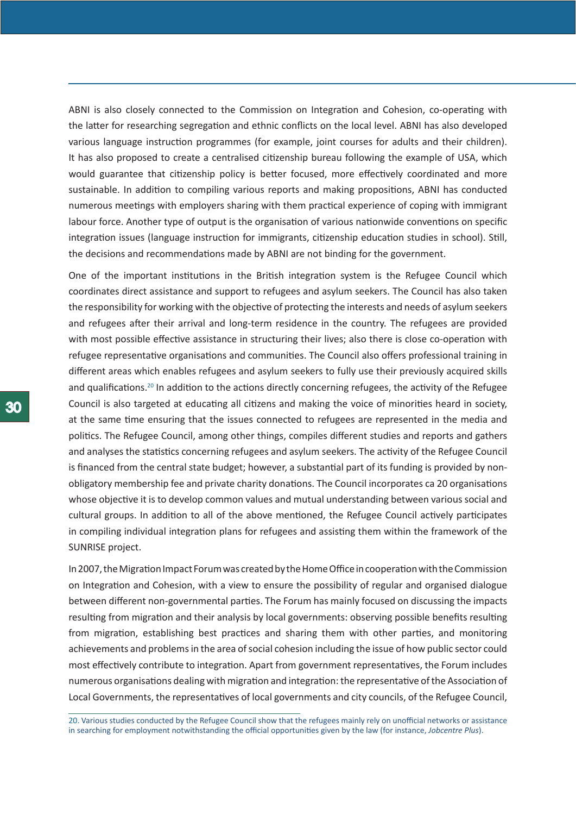ABNI is also closely connected to the Commission on Integration and Cohesion, co-operating with the latter for researching segregation and ethnic conflicts on the local level. ABNI has also developed various language instruction programmes (for example, joint courses for adults and their children). It has also proposed to create a centralised citizenship bureau following the example of USA, which would guarantee that citizenship policy is better focused, more effectively coordinated and more sustainable. In addition to compiling various reports and making propositions, ABNI has conducted numerous meetings with employers sharing with them practical experience of coping with immigrant labour force. Another type of output is the organisation of various nationwide conventions on specific integration issues (language instruction for immigrants, citizenship education studies in school). Still, the decisions and recommendations made by ABNI are not binding for the government.

One of the important institutions in the British integration system is the Refugee Council which coordinates direct assistance and support to refugees and asylum seekers. The Council has also taken the responsibility for working with the objective of protecting the interests and needs of asylum seekers and refugees after their arrival and long-term residence in the country. The refugees are provided with most possible effective assistance in structuring their lives; also there is close co-operation with refugee representative organisations and communities. The Council also offers professional training in different areas which enables refugees and asylum seekers to fully use their previously acquired skills and qualifications.20 In addition to the actions directly concerning refugees, the activity of the Refugee Council is also targeted at educating all citizens and making the voice of minorities heard in society, at the same time ensuring that the issues connected to refugees are represented in the media and politics. The Refugee Council, among other things, compiles different studies and reports and gathers and analyses the statistics concerning refugees and asylum seekers. The activity of the Refugee Council is financed from the central state budget; however, a substantial part of its funding is provided by nonobligatory membership fee and private charity donations. The Council incorporates ca 20 organisations whose objective it is to develop common values and mutual understanding between various social and cultural groups. In addition to all of the above mentioned, the Refugee Council actively participates in compiling individual integration plans for refugees and assisting them within the framework of the SUNRISE project.

In 2007, the Migration Impact Forum was created by the Home Office in cooperation with the Commission on Integration and Cohesion, with a view to ensure the possibility of regular and organised dialogue between different non-governmental parties. The Forum has mainly focused on discussing the impacts resulting from migration and their analysis by local governments: observing possible benefits resulting from migration, establishing best practices and sharing them with other parties, and monitoring achievements and problems in the area of social cohesion including the issue of how public sector could most effectively contribute to integration. Apart from government representatives, the Forum includes numerous organisations dealing with migration and integration: the representative of the Association of Local Governments, the representatives of local governments and city councils, of the Refugee Council,

20. Various studies conducted by the Refugee Council show that the refugees mainly rely on unofficial networks or assistance in searching for employment notwithstanding the official opportunities given by the law (for instance, *Jobcentre Plus*).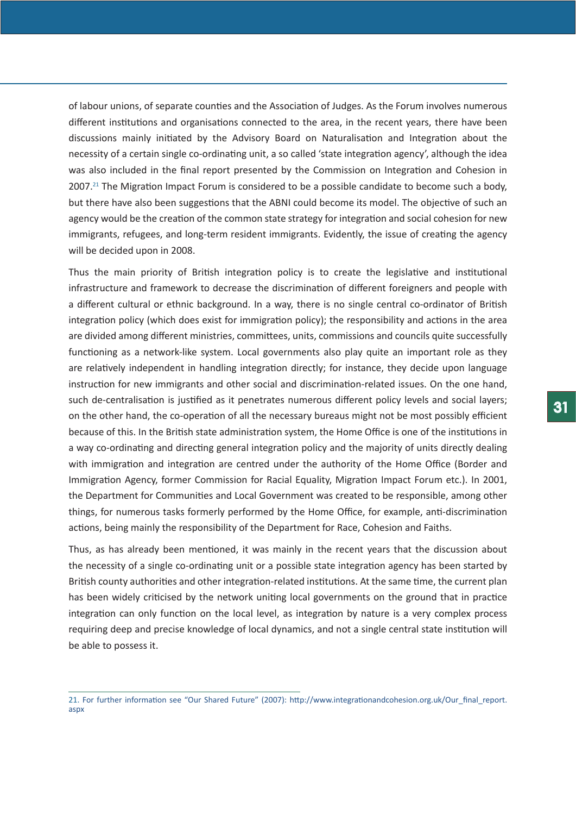of labour unions, of separate counties and the Association of Judges. As the Forum involves numerous different institutions and organisations connected to the area, in the recent years, there have been discussions mainly initiated by the Advisory Board on Naturalisation and Integration about the necessity of a certain single co-ordinating unit, a so called 'state integration agency', although the idea was also included in the final report presented by the Commission on Integration and Cohesion in  $2007<sup>21</sup>$  The Migration Impact Forum is considered to be a possible candidate to become such a body, but there have also been suggestions that the ABNI could become its model. The objective of such an agency would be the creation of the common state strategy for integration and social cohesion for new immigrants, refugees, and long-term resident immigrants. Evidently, the issue of creating the agency will be decided upon in 2008.

Thus the main priority of British integration policy is to create the legislative and institutional infrastructure and framework to decrease the discrimination of different foreigners and people with a different cultural or ethnic background. In a way, there is no single central co-ordinator of British integration policy (which does exist for immigration policy); the responsibility and actions in the area are divided among different ministries, committees, units, commissions and councils quite successfully functioning as a network-like system. Local governments also play quite an important role as they are relatively independent in handling integration directly; for instance, they decide upon language instruction for new immigrants and other social and discrimination-related issues. On the one hand, such de-centralisation is justified as it penetrates numerous different policy levels and social layers; on the other hand, the co-operation of all the necessary bureaus might not be most possibly efficient because of this. In the British state administration system, the Home Office is one of the institutions in a way co-ordinating and directing general integration policy and the majority of units directly dealing with immigration and integration are centred under the authority of the Home Office (Border and Immigration Agency, former Commission for Racial Equality, Migration Impact Forum etc.). In 2001, the Department for Communities and Local Government was created to be responsible, among other things, for numerous tasks formerly performed by the Home Office, for example, anti-discrimination actions, being mainly the responsibility of the Department for Race, Cohesion and Faiths.

Thus, as has already been mentioned, it was mainly in the recent years that the discussion about the necessity of a single co-ordinating unit or a possible state integration agency has been started by British county authorities and other integration-related institutions. At the same time, the current plan has been widely criticised by the network uniting local governments on the ground that in practice integration can only function on the local level, as integration by nature is a very complex process requiring deep and precise knowledge of local dynamics, and not a single central state institution will be able to possess it.

<sup>21.</sup> For further information see "Our Shared Future" (2007): http://www.integrationandcohesion.org.uk/Our\_final\_report. aspx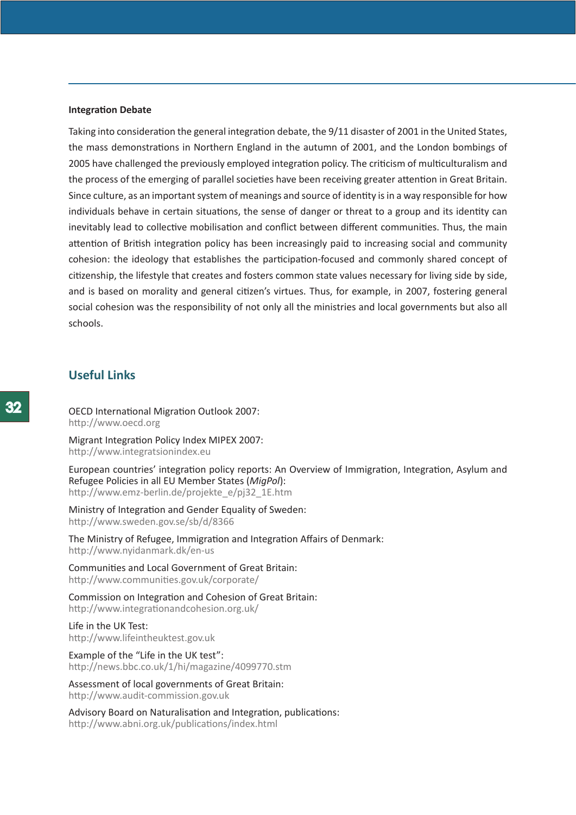#### <span id="page-31-0"></span>**Integration Debate**

Taking into consideration the general integration debate, the 9/11 disaster of 2001 in the United States, the mass demonstrations in Northern England in the autumn of 2001, and the London bombings of 2005 have challenged the previously employed integration policy. The criticism of multiculturalism and the process of the emerging of parallel societies have been receiving greater attention in Great Britain. Since culture, as an important system of meanings and source of identity is in a way responsible for how individuals behave in certain situations, the sense of danger or threat to a group and its identity can inevitably lead to collective mobilisation and conflict between different communities. Thus, the main attention of British integration policy has been increasingly paid to increasing social and community cohesion: the ideology that establishes the participation-focused and commonly shared concept of citizenship, the lifestyle that creates and fosters common state values necessary for living side by side, and is based on morality and general citizen's virtues. Thus, for example, in 2007, fostering general social cohesion was the responsibility of not only all the ministries and local governments but also all schools.

# **Useful Links**

OECD International Migration Outlook 2007: http://www.oecd.org

Migrant Integration Policy Index MIPEX 2007: http://www.integratsionindex.eu

European countries' integration policy reports: An Overview of Immigration, Integration, Asylum and Refugee Policies in all EU Member States (*MigPol*): http://www.emz-berlin.de/projekte\_e/pj32\_1E.htm

Ministry of Integration and Gender Equality of Sweden: http://www.sweden.gov.se/sb/d/8366

The Ministry of Refugee, Immigration and Integration Affairs of Denmark: http://www.nyidanmark.dk/en-us

Communities and Local Government of Great Britain: http://www.communities.gov.uk/corporate/

Commission on Integration and Cohesion of Great Britain: http://www.integrationandcohesion.org.uk/

Life in the UK Test: http://www.lifeintheuktest.gov.uk

Example of the "Life in the UK test": http://news.bbc.co.uk/1/hi/magazine/4099770.stm

Assessment of local governments of Great Britain: http://www.audit-commission.gov.uk

Advisory Board on Naturalisation and Integration, publications: http://www.abni.org.uk/publications/index.html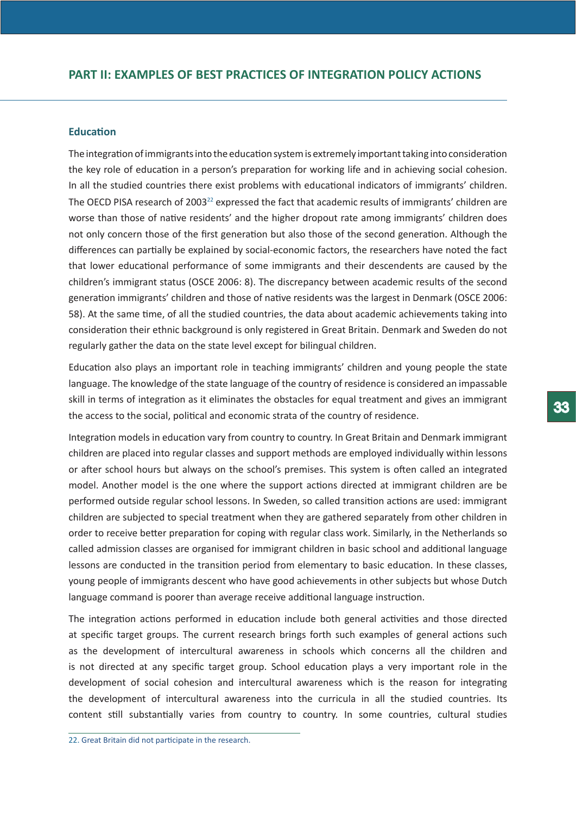## <span id="page-32-0"></span>**Education**

The integration of immigrants into the education system is extremely important taking into consideration the key role of education in a person's preparation for working life and in achieving social cohesion. In all the studied countries there exist problems with educational indicators of immigrants' children. The OECD PISA research of 2003<sup>22</sup> expressed the fact that academic results of immigrants' children are worse than those of native residents' and the higher dropout rate among immigrants' children does not only concern those of the first generation but also those of the second generation. Although the differences can partially be explained by social-economic factors, the researchers have noted the fact that lower educational performance of some immigrants and their descendents are caused by the children's immigrant status (OSCE 2006: 8). The discrepancy between academic results of the second generation immigrants' children and those of native residents was the largest in Denmark (OSCE 2006: 58). At the same time, of all the studied countries, the data about academic achievements taking into consideration their ethnic background is only registered in Great Britain. Denmark and Sweden do not regularly gather the data on the state level except for bilingual children.

Education also plays an important role in teaching immigrants' children and young people the state language. The knowledge of the state language of the country of residence is considered an impassable skill in terms of integration as it eliminates the obstacles for equal treatment and gives an immigrant the access to the social, political and economic strata of the country of residence.

Integration models in education vary from country to country. In Great Britain and Denmark immigrant children are placed into regular classes and support methods are employed individually within lessons or after school hours but always on the school's premises. This system is often called an integrated model. Another model is the one where the support actions directed at immigrant children are be performed outside regular school lessons. In Sweden, so called transition actions are used: immigrant children are subjected to special treatment when they are gathered separately from other children in order to receive better preparation for coping with regular class work. Similarly, in the Netherlands so called admission classes are organised for immigrant children in basic school and additional language lessons are conducted in the transition period from elementary to basic education. In these classes, young people of immigrants descent who have good achievements in other subjects but whose Dutch language command is poorer than average receive additional language instruction.

The integration actions performed in education include both general activities and those directed at specific target groups. The current research brings forth such examples of general actions such as the development of intercultural awareness in schools which concerns all the children and is not directed at any specific target group. School education plays a very important role in the development of social cohesion and intercultural awareness which is the reason for integrating the development of intercultural awareness into the curricula in all the studied countries. Its content still substantially varies from country to country. In some countries, cultural studies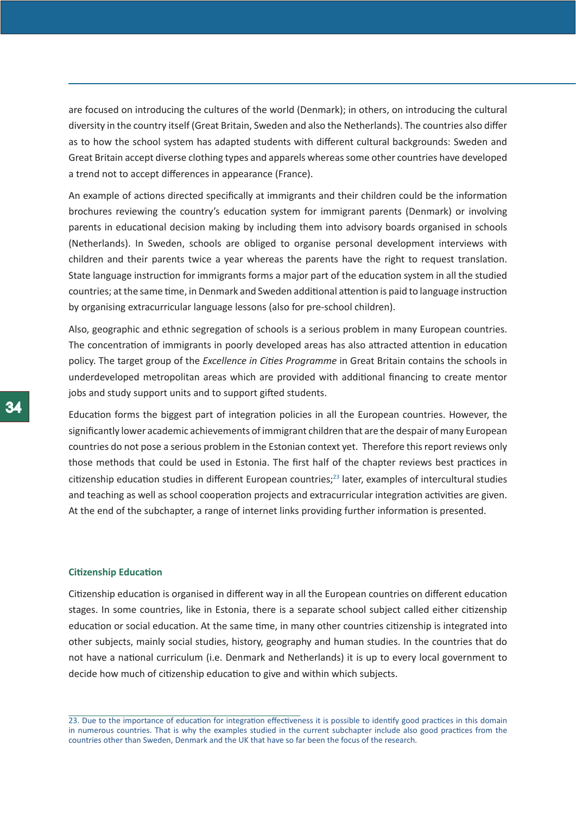<span id="page-33-0"></span>are focused on introducing the cultures of the world (Denmark); in others, on introducing the cultural diversity in the country itself (Great Britain, Sweden and also the Netherlands). The countries also differ as to how the school system has adapted students with different cultural backgrounds: Sweden and Great Britain accept diverse clothing types and apparels whereas some other countries have developed a trend not to accept differences in appearance (France).

An example of actions directed specifically at immigrants and their children could be the information brochures reviewing the country's education system for immigrant parents (Denmark) or involving parents in educational decision making by including them into advisory boards organised in schools (Netherlands). In Sweden, schools are obliged to organise personal development interviews with children and their parents twice a year whereas the parents have the right to request translation. State language instruction for immigrants forms a major part of the education system in all the studied countries; at the same time, in Denmark and Sweden additional attention is paid to language instruction by organising extracurricular language lessons (also for pre-school children).

Also, geographic and ethnic segregation of schools is a serious problem in many European countries. The concentration of immigrants in poorly developed areas has also attracted attention in education policy. The target group of the *Excellence in Cities Programme* in Great Britain contains the schools in underdeveloped metropolitan areas which are provided with additional financing to create mentor jobs and study support units and to support gifted students.

Education forms the biggest part of integration policies in all the European countries. However, the significantly lower academic achievements of immigrant children that are the despair of many European countries do not pose a serious problem in the Estonian context yet. Therefore this report reviews only those methods that could be used in Estonia. The first half of the chapter reviews best practices in citizenship education studies in different European countries;<sup>23</sup> later, examples of intercultural studies and teaching as well as school cooperation projects and extracurricular integration activities are given. At the end of the subchapter, a range of internet links providing further information is presented.

#### **Citizenship Education**

Citizenship education is organised in different way in all the European countries on different education stages. In some countries, like in Estonia, there is a separate school subject called either citizenship education or social education. At the same time, in many other countries citizenship is integrated into other subjects, mainly social studies, history, geography and human studies. In the countries that do not have a national curriculum (i.e. Denmark and Netherlands) it is up to every local government to decide how much of citizenship education to give and within which subjects.

<sup>23.</sup> Due to the importance of education for integration effectiveness it is possible to identify good practices in this domain in numerous countries. That is why the examples studied in the current subchapter include also good practices from the countries other than Sweden, Denmark and the UK that have so far been the focus of the research.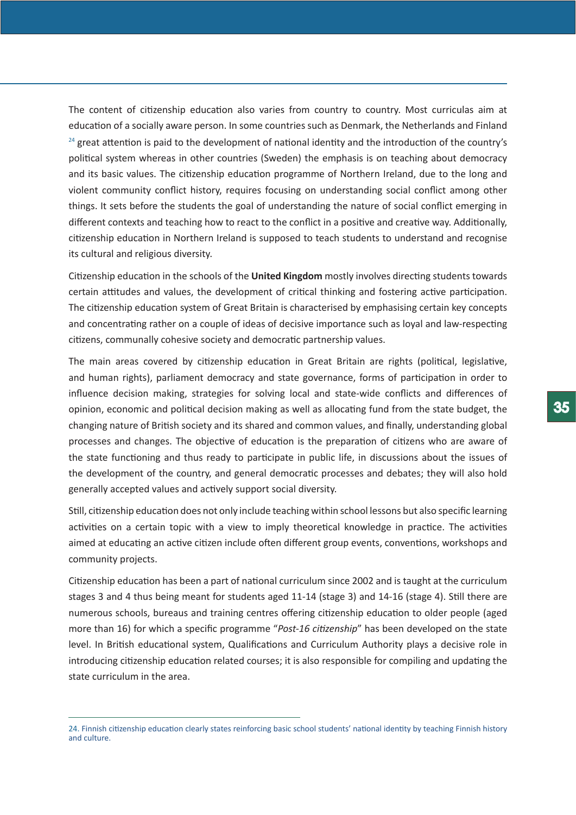The content of citizenship education also varies from country to country. Most curriculas aim at education of a socially aware person. In some countries such as Denmark, the Netherlands and Finland <sup>24</sup> great attention is paid to the development of national identity and the introduction of the country's political system whereas in other countries (Sweden) the emphasis is on teaching about democracy and its basic values. The citizenship education programme of Northern Ireland, due to the long and violent community conflict history, requires focusing on understanding social conflict among other things. It sets before the students the goal of understanding the nature of social conflict emerging in different contexts and teaching how to react to the conflict in a positive and creative way. Additionally, citizenship education in Northern Ireland is supposed to teach students to understand and recognise its cultural and religious diversity.

Citizenship education in the schools of the **United Kingdom** mostly involves directing students towards certain attitudes and values, the development of critical thinking and fostering active participation. The citizenship education system of Great Britain is characterised by emphasising certain key concepts and concentrating rather on a couple of ideas of decisive importance such as loyal and law-respecting citizens, communally cohesive society and democratic partnership values.

The main areas covered by citizenship education in Great Britain are rights (political, legislative, and human rights), parliament democracy and state governance, forms of participation in order to influence decision making, strategies for solving local and state-wide conflicts and differences of opinion, economic and political decision making as well as allocating fund from the state budget, the changing nature of British society and its shared and common values, and finally, understanding global processes and changes. The objective of education is the preparation of citizens who are aware of the state functioning and thus ready to participate in public life, in discussions about the issues of the development of the country, and general democratic processes and debates; they will also hold generally accepted values and actively support social diversity.

Still, citizenship education does not only include teaching within school lessons but also specific learning activities on a certain topic with a view to imply theoretical knowledge in practice. The activities aimed at educating an active citizen include often different group events, conventions, workshops and community projects.

Citizenship education has been a part of national curriculum since 2002 and is taught at the curriculum stages 3 and 4 thus being meant for students aged 11-14 (stage 3) and 14-16 (stage 4). Still there are numerous schools, bureaus and training centres offering citizenship education to older people (aged more than 16) for which a specific programme "*Post-16 citizenship*" has been developed on the state level. In British educational system, Qualifications and Curriculum Authority plays a decisive role in introducing citizenship education related courses; it is also responsible for compiling and updating the state curriculum in the area.

<sup>24.</sup> Finnish citizenship education clearly states reinforcing basic school students' national identity by teaching Finnish history and culture.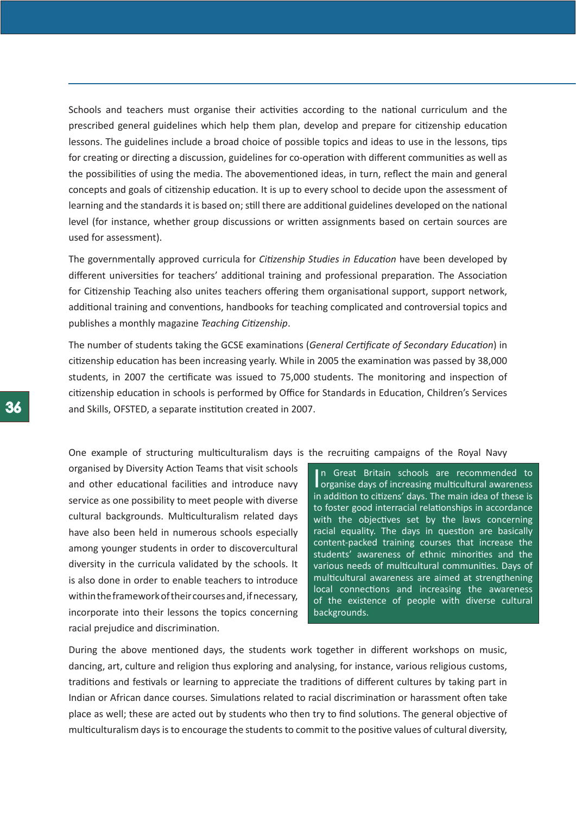Schools and teachers must organise their activities according to the national curriculum and the prescribed general guidelines which help them plan, develop and prepare for citizenship education lessons. The guidelines include a broad choice of possible topics and ideas to use in the lessons, tips for creating or directing a discussion, guidelines for co-operation with different communities as well as the possibilities of using the media. The abovementioned ideas, in turn, reflect the main and general concepts and goals of citizenship education. It is up to every school to decide upon the assessment of learning and the standards it is based on; still there are additional guidelines developed on the national level (for instance, whether group discussions or written assignments based on certain sources are used for assessment).

The governmentally approved curricula for *Citizenship Studies in Education* have been developed by different universities for teachers' additional training and professional preparation. The Association for Citizenship Teaching also unites teachers offering them organisational support, support network, additional training and conventions, handbooks for teaching complicated and controversial topics and publishes a monthly magazine *Teaching Citizenship*.

The number of students taking the GCSE examinations (*General Certificate of Secondary Education*) in citizenship education has been increasing yearly. While in 2005 the examination was passed by 38,000 students, in 2007 the certificate was issued to 75,000 students. The monitoring and inspection of citizenship education in schools is performed by Office for Standards in Education, Children's Services and Skills, OFSTED, a separate institution created in 2007.

One example of structuring multiculturalism days is the recruiting campaigns of the Royal Navy

organised by Diversity Action Teams that visit schools and other educational facilities and introduce navy service as one possibility to meet people with diverse cultural backgrounds. Multiculturalism related days have also been held in numerous schools especially among younger students in order to discovercultural diversity in the curricula validated by the schools. It is also done in order to enable teachers to introduce within the framework of their courses and, if necessary, incorporate into their lessons the topics concerning racial prejudice and discrimination.

In Great Britain schools are recommended to<br>organise days of increasing multicultural awareness n Great Britain schools are recommended to in addition to citizens' days. The main idea of these is to foster good interracial relationships in accordance with the objectives set by the laws concerning racial equality. The days in question are basically content-packed training courses that increase the students' awareness of ethnic minorities and the various needs of multicultural communities. Days of multicultural awareness are aimed at strengthening local connections and increasing the awareness of the existence of people with diverse cultural backgrounds.

During the above mentioned days, the students work together in different workshops on music, dancing, art, culture and religion thus exploring and analysing, for instance, various religious customs, traditions and festivals or learning to appreciate the traditions of different cultures by taking part in Indian or African dance courses. Simulations related to racial discrimination or harassment often take place as well; these are acted out by students who then try to find solutions. The general objective of multiculturalism days is to encourage the students to commit to the positive values of cultural diversity,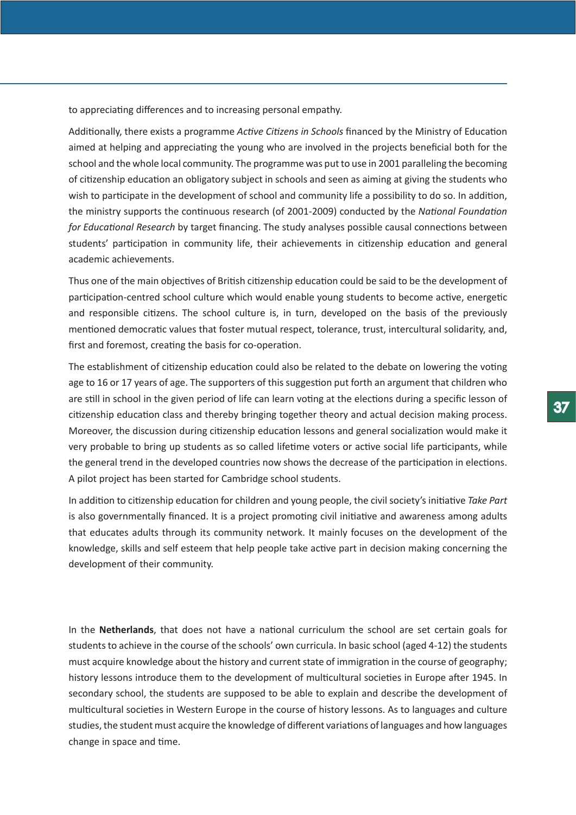to appreciating differences and to increasing personal empathy.

Additionally, there exists a programme *Active Citizens in Schools* financed by the Ministry of Education aimed at helping and appreciating the young who are involved in the projects beneficial both for the school and the whole local community. The programme was put to use in 2001 paralleling the becoming of citizenship education an obligatory subject in schools and seen as aiming at giving the students who wish to participate in the development of school and community life a possibility to do so. In addition, the ministry supports the continuous research (of 2001-2009) conducted by the *National Foundation for Educational Research* by target financing. The study analyses possible causal connections between students' participation in community life, their achievements in citizenship education and general academic achievements.

Thus one of the main objectives of British citizenship education could be said to be the development of participation-centred school culture which would enable young students to become active, energetic and responsible citizens. The school culture is, in turn, developed on the basis of the previously mentioned democratic values that foster mutual respect, tolerance, trust, intercultural solidarity, and, first and foremost, creating the basis for co-operation.

The establishment of citizenship education could also be related to the debate on lowering the voting age to 16 or 17 years of age. The supporters of this suggestion put forth an argument that children who are still in school in the given period of life can learn voting at the elections during a specific lesson of citizenship education class and thereby bringing together theory and actual decision making process. Moreover, the discussion during citizenship education lessons and general socialization would make it very probable to bring up students as so called lifetime voters or active social life participants, while the general trend in the developed countries now shows the decrease of the participation in elections. A pilot project has been started for Cambridge school students.

In addition to citizenship education for children and young people, the civil society's initiative *Take Part* is also governmentally financed. It is a project promoting civil initiative and awareness among adults that educates adults through its community network. It mainly focuses on the development of the knowledge, skills and self esteem that help people take active part in decision making concerning the development of their community.

In the **Netherlands**, that does not have a national curriculum the school are set certain goals for students to achieve in the course of the schools' own curricula. In basic school (aged 4-12) the students must acquire knowledge about the history and current state of immigration in the course of geography; history lessons introduce them to the development of multicultural societies in Europe after 1945. In secondary school, the students are supposed to be able to explain and describe the development of multicultural societies in Western Europe in the course of history lessons. As to languages and culture studies, the student must acquire the knowledge of different variations of languages and how languages change in space and time.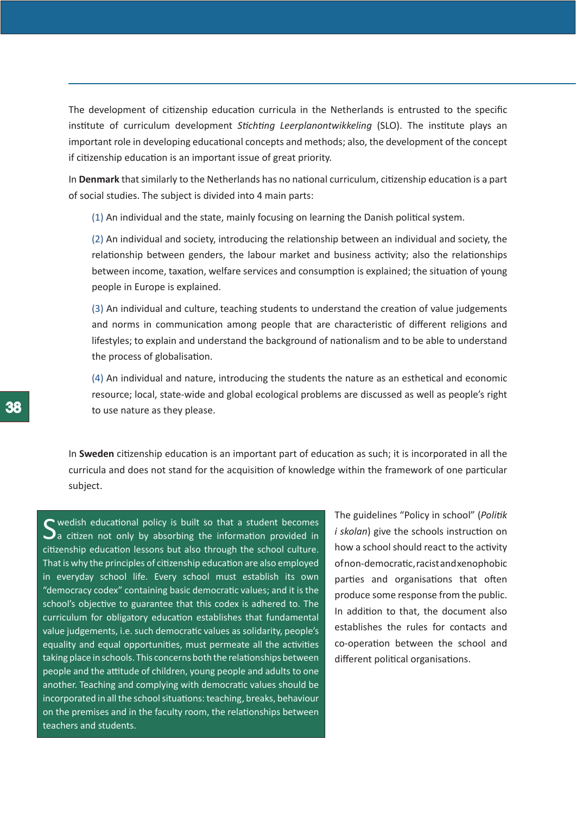The development of citizenship education curricula in the Netherlands is entrusted to the specific institute of curriculum development *Stichting Leerplanontwikkeling* (SLO). The institute plays an important role in developing educational concepts and methods; also, the development of the concept if citizenship education is an important issue of great priority.

In **Denmark** that similarly to the Netherlands has no national curriculum, citizenship education is a part of social studies. The subject is divided into 4 main parts:

(1) An individual and the state, mainly focusing on learning the Danish political system.

(2) An individual and society, introducing the relationship between an individual and society, the relationship between genders, the labour market and business activity; also the relationships between income, taxation, welfare services and consumption is explained; the situation of young people in Europe is explained.

(3) An individual and culture, teaching students to understand the creation of value judgements and norms in communication among people that are characteristic of different religions and lifestyles; to explain and understand the background of nationalism and to be able to understand the process of globalisation.

(4) An individual and nature, introducing the students the nature as an esthetical and economic resource; local, state-wide and global ecological problems are discussed as well as people's right to use nature as they please.

In **Sweden** citizenship education is an important part of education as such; it is incorporated in all the curricula and does not stand for the acquisition of knowledge within the framework of one particular subject.

Swedish educational policy is built so that a student becomes<br>Sa citizen not only by absorbing the information provided in citizenship education lessons but also through the school culture. That is why the principles of citizenship education are also employed in everyday school life. Every school must establish its own "democracy codex" containing basic democratic values; and it is the school's objective to guarantee that this codex is adhered to. The curriculum for obligatory education establishes that fundamental value judgements, i.e. such democratic values as solidarity, people's equality and equal opportunities, must permeate all the activities taking place in schools. This concerns both the relationships between people and the attitude of children, young people and adults to one another. Teaching and complying with democratic values should be incorporated in all the school situations: teaching, breaks, behaviour on the premises and in the faculty room, the relationships between teachers and students.

The guidelines "Policy in school" (*Politik i skolan*) give the schools instruction on how a school should react to the activity of non-democratic, racist and xenophobic parties and organisations that often produce some response from the public. In addition to that, the document also establishes the rules for contacts and co-operation between the school and different political organisations.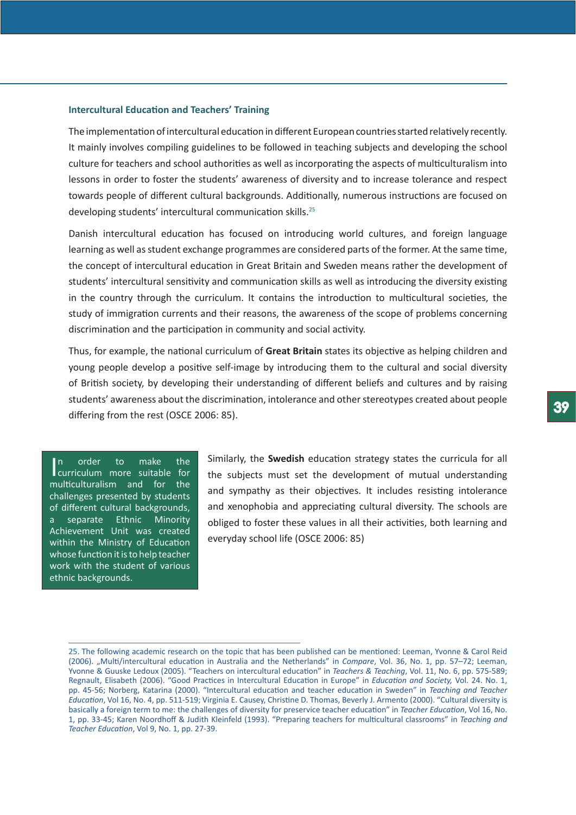# **Intercultural Education and Teachers' Training**

The implementation of intercultural education in different European countries started relatively recently. It mainly involves compiling guidelines to be followed in teaching subjects and developing the school culture for teachers and school authorities as well as incorporating the aspects of multiculturalism into lessons in order to foster the students' awareness of diversity and to increase tolerance and respect towards people of different cultural backgrounds. Additionally, numerous instructions are focused on developing students' intercultural communication skills.25

Danish intercultural education has focused on introducing world cultures, and foreign language learning as well as student exchange programmes are considered parts of the former. At the same time, the concept of intercultural education in Great Britain and Sweden means rather the development of students' intercultural sensitivity and communication skills as well as introducing the diversity existing in the country through the curriculum. It contains the introduction to multicultural societies, the study of immigration currents and their reasons, the awareness of the scope of problems concerning discrimination and the participation in community and social activity.

Thus, for example, the national curriculum of **Great Britain** states its objective as helping children and young people develop a positive self-image by introducing them to the cultural and social diversity of British society, by developing their understanding of different beliefs and cultures and by raising students' awareness about the discrimination, intolerance and other stereotypes created about people differing from the rest (OSCE 2006: 85).

In order to make the<br>curriculum more suitable for In order to make the multiculturalism and for the challenges presented by students of different cultural backgrounds, a separate Ethnic Minority Achievement Unit was created within the Ministry of Education whose function it is to help teacher work with the student of various ethnic backgrounds.

Similarly, the **Swedish** education strategy states the curricula for all the subjects must set the development of mutual understanding and sympathy as their objectives. It includes resisting intolerance and xenophobia and appreciating cultural diversity. The schools are obliged to foster these values in all their activities, both learning and everyday school life (OSCE 2006: 85)

<sup>25.</sup> The following academic research on the topic that has been published can be mentioned: Leeman, Yvonne & Carol Reid (2006). "Multi/intercultural education in Australia and the Netherlands" in *Compare*, Vol. 36, No. 1, pp. 57–72; Leeman, Yvonne & Guuske Ledoux (2005). "Teachers on intercultural education" in *Teachers & Teaching*, Vol. 11, No. 6, pp. 575-589; Regnault, Elisabeth (2006). "Good Practices in Intercultural Education in Europe" in *Education and Society,* Vol. 24. No. 1, pp. 45-56; Norberg, Katarina (2000). "Intercultural education and teacher education in Sweden" in *Teaching and Teacher Education*, Vol 16, No. 4, pp. 511-519; Virginia E. Causey, Christine D. Thomas, Beverly J. Armento (2000). "Cultural diversity is basically a foreign term to me: the challenges of diversity for preservice teacher education" in *Teacher Education*, Vol 16, No. 1, pp. 33-45; Karen Noordhoff & Judith Kleinfeld (1993). "Preparing teachers for multicultural classrooms" in *Teaching and Teacher Education*, Vol 9, No. 1, pp. 27-39.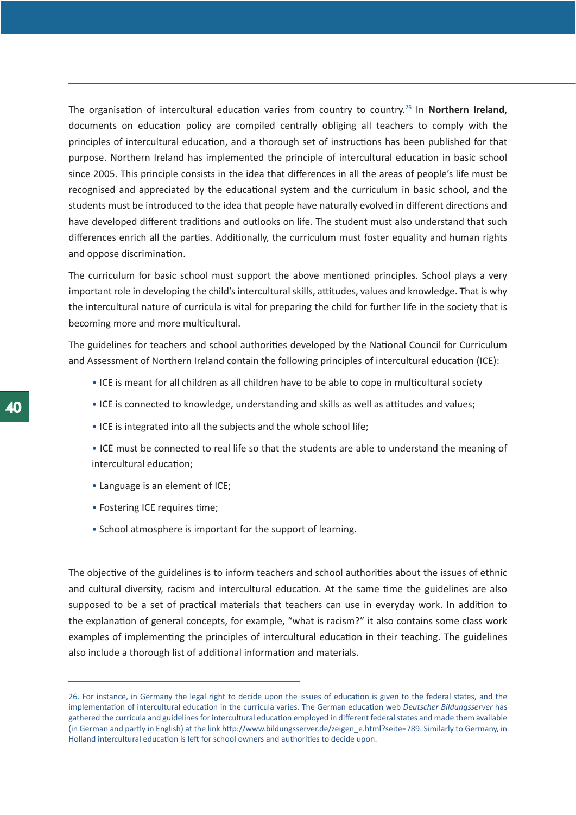The organisation of intercultural education varies from country to country.26 In **Northern Ireland**, documents on education policy are compiled centrally obliging all teachers to comply with the principles of intercultural education, and a thorough set of instructions has been published for that purpose. Northern Ireland has implemented the principle of intercultural education in basic school since 2005. This principle consists in the idea that differences in all the areas of people's life must be recognised and appreciated by the educational system and the curriculum in basic school, and the students must be introduced to the idea that people have naturally evolved in different directions and have developed different traditions and outlooks on life. The student must also understand that such differences enrich all the parties. Additionally, the curriculum must foster equality and human rights and oppose discrimination.

The curriculum for basic school must support the above mentioned principles. School plays a very important role in developing the child's intercultural skills, attitudes, values and knowledge. That is why the intercultural nature of curricula is vital for preparing the child for further life in the society that is becoming more and more multicultural.

The guidelines for teachers and school authorities developed by the National Council for Curriculum and Assessment of Northern Ireland contain the following principles of intercultural education (ICE):

- ICE is meant for all children as all children have to be able to cope in multicultural society
- ICE is connected to knowledge, understanding and skills as well as attitudes and values;
- ICE is integrated into all the subjects and the whole school life;
- ICE must be connected to real life so that the students are able to understand the meaning of intercultural education;
- Language is an element of ICE;
- Fostering ICE requires time;
- School atmosphere is important for the support of learning.

The objective of the guidelines is to inform teachers and school authorities about the issues of ethnic and cultural diversity, racism and intercultural education. At the same time the guidelines are also supposed to be a set of practical materials that teachers can use in everyday work. In addition to the explanation of general concepts, for example, "what is racism?" it also contains some class work examples of implementing the principles of intercultural education in their teaching. The guidelines also include a thorough list of additional information and materials.

<sup>26.</sup> For instance, in Germany the legal right to decide upon the issues of education is given to the federal states, and the implementation of intercultural education in the curricula varies. The German education web *Deutscher Bildungsserver* has gathered the curricula and guidelines for intercultural education employed in different federal states and made them available (in German and partly in English) at the link http://www.bildungsserver.de/zeigen\_e.html?seite=789. Similarly to Germany, in Holland intercultural education is left for school owners and authorities to decide upon.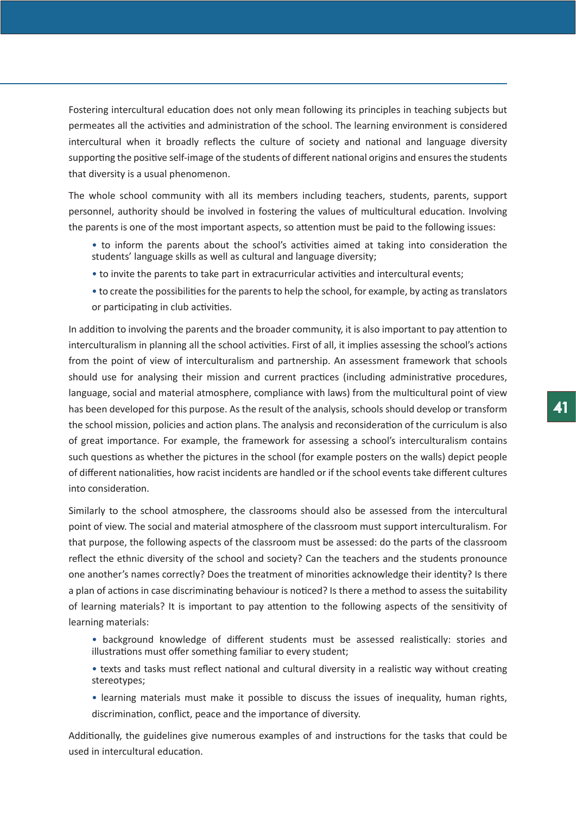Fostering intercultural education does not only mean following its principles in teaching subjects but permeates all the activities and administration of the school. The learning environment is considered intercultural when it broadly reflects the culture of society and national and language diversity supporting the positive self-image of the students of different national origins and ensures the students that diversity is a usual phenomenon.

The whole school community with all its members including teachers, students, parents, support personnel, authority should be involved in fostering the values of multicultural education. Involving the parents is one of the most important aspects, so attention must be paid to the following issues:

- to inform the parents about the school's activities aimed at taking into consideration the students' language skills as well as cultural and language diversity;
- to invite the parents to take part in extracurricular activities and intercultural events;
- to create the possibilities for the parents to help the school, for example, by acting as translators or participating in club activities.

In addition to involving the parents and the broader community, it is also important to pay attention to interculturalism in planning all the school activities. First of all, it implies assessing the school's actions from the point of view of interculturalism and partnership. An assessment framework that schools should use for analysing their mission and current practices (including administrative procedures, language, social and material atmosphere, compliance with laws) from the multicultural point of view has been developed for this purpose. As the result of the analysis, schools should develop or transform the school mission, policies and action plans. The analysis and reconsideration of the curriculum is also of great importance. For example, the framework for assessing a school's interculturalism contains such questions as whether the pictures in the school (for example posters on the walls) depict people of different nationalities, how racist incidents are handled or if the school events take different cultures into consideration.

Similarly to the school atmosphere, the classrooms should also be assessed from the intercultural point of view. The social and material atmosphere of the classroom must support interculturalism. For that purpose, the following aspects of the classroom must be assessed: do the parts of the classroom reflect the ethnic diversity of the school and society? Can the teachers and the students pronounce one another's names correctly? Does the treatment of minorities acknowledge their identity? Is there a plan of actions in case discriminating behaviour is noticed? Is there a method to assess the suitability of learning materials? It is important to pay attention to the following aspects of the sensitivity of learning materials:

- background knowledge of different students must be assessed realistically: stories and illustrations must offer something familiar to every student;
- texts and tasks must reflect national and cultural diversity in a realistic way without creating stereotypes;
- learning materials must make it possible to discuss the issues of inequality, human rights, discrimination, conflict, peace and the importance of diversity.

Additionally, the guidelines give numerous examples of and instructions for the tasks that could be used in intercultural education.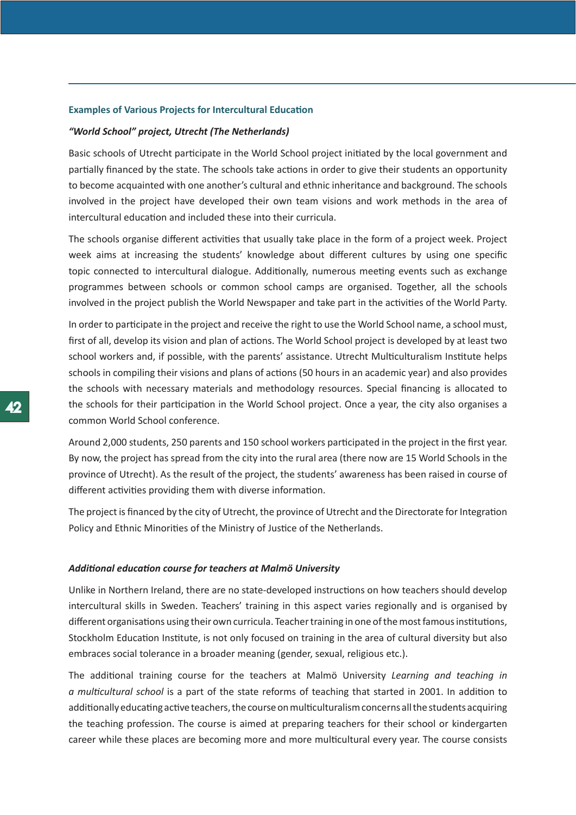# **Examples of Various Projects for Intercultural Education**

### *"World School" project, Utrecht (The Netherlands)*

Basic schools of Utrecht participate in the World School project initiated by the local government and partially financed by the state. The schools take actions in order to give their students an opportunity to become acquainted with one another's cultural and ethnic inheritance and background. The schools involved in the project have developed their own team visions and work methods in the area of intercultural education and included these into their curricula.

The schools organise different activities that usually take place in the form of a project week. Project week aims at increasing the students' knowledge about different cultures by using one specific topic connected to intercultural dialogue. Additionally, numerous meeting events such as exchange programmes between schools or common school camps are organised. Together, all the schools involved in the project publish the World Newspaper and take part in the activities of the World Party.

In order to participate in the project and receive the right to use the World School name, a school must, first of all, develop its vision and plan of actions. The World School project is developed by at least two school workers and, if possible, with the parents' assistance. Utrecht Multiculturalism Institute helps schools in compiling their visions and plans of actions (50 hours in an academic year) and also provides the schools with necessary materials and methodology resources. Special financing is allocated to the schools for their participation in the World School project. Once a year, the city also organises a common World School conference.

Around 2,000 students, 250 parents and 150 school workers participated in the project in the first year. By now, the project has spread from the city into the rural area (there now are 15 World Schools in the province of Utrecht). As the result of the project, the students' awareness has been raised in course of different activities providing them with diverse information.

The project is financed by the city of Utrecht, the province of Utrecht and the Directorate for Integration Policy and Ethnic Minorities of the Ministry of Justice of the Netherlands.

# *Additional education course for teachers at Malmö University*

Unlike in Northern Ireland, there are no state-developed instructions on how teachers should develop intercultural skills in Sweden. Teachers' training in this aspect varies regionally and is organised by different organisations using their own curricula. Teacher training in one of the most famous institutions, Stockholm Education Institute, is not only focused on training in the area of cultural diversity but also embraces social tolerance in a broader meaning (gender, sexual, religious etc.).

The additional training course for the teachers at Malmö University *Learning and teaching in a multicultural school* is a part of the state reforms of teaching that started in 2001. In addition to additionally educating active teachers, the course on multiculturalism concerns all the students acquiring the teaching profession. The course is aimed at preparing teachers for their school or kindergarten career while these places are becoming more and more multicultural every year. The course consists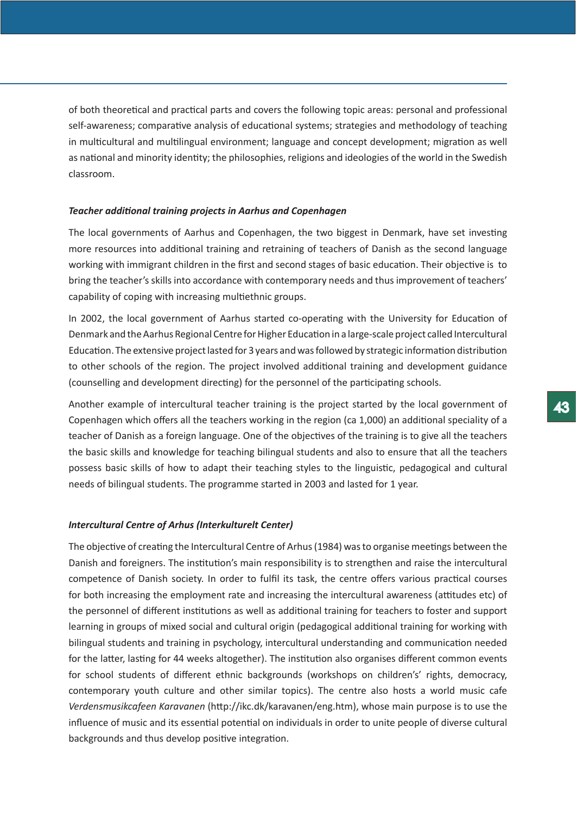of both theoretical and practical parts and covers the following topic areas: personal and professional self-awareness; comparative analysis of educational systems; strategies and methodology of teaching in multicultural and multilingual environment; language and concept development; migration as well as national and minority identity; the philosophies, religions and ideologies of the world in the Swedish classroom.

## *Teacher additional training projects in Aarhus and Copenhagen*

The local governments of Aarhus and Copenhagen, the two biggest in Denmark, have set investing more resources into additional training and retraining of teachers of Danish as the second language working with immigrant children in the first and second stages of basic education. Their objective is to bring the teacher's skills into accordance with contemporary needs and thus improvement of teachers' capability of coping with increasing multiethnic groups.

In 2002, the local government of Aarhus started co-operating with the University for Education of Denmark and the Aarhus Regional Centre for Higher Education in a large-scale project called Intercultural Education. The extensive project lasted for 3 years and was followed by strategic information distribution to other schools of the region. The project involved additional training and development guidance (counselling and development directing) for the personnel of the participating schools.

Another example of intercultural teacher training is the project started by the local government of Copenhagen which offers all the teachers working in the region (ca 1,000) an additional speciality of a teacher of Danish as a foreign language. One of the objectives of the training is to give all the teachers the basic skills and knowledge for teaching bilingual students and also to ensure that all the teachers possess basic skills of how to adapt their teaching styles to the linguistic, pedagogical and cultural needs of bilingual students. The programme started in 2003 and lasted for 1 year.

# *Intercultural Centre of Arhus (Interkulturelt Center)*

The objective of creating the Intercultural Centre of Arhus (1984) was to organise meetings between the Danish and foreigners. The institution's main responsibility is to strengthen and raise the intercultural competence of Danish society. In order to fulfil its task, the centre offers various practical courses for both increasing the employment rate and increasing the intercultural awareness (attitudes etc) of the personnel of different institutions as well as additional training for teachers to foster and support learning in groups of mixed social and cultural origin (pedagogical additional training for working with bilingual students and training in psychology, intercultural understanding and communication needed for the latter, lasting for 44 weeks altogether). The institution also organises different common events for school students of different ethnic backgrounds (workshops on children's' rights, democracy, contemporary youth culture and other similar topics). The centre also hosts a world music cafe *Verdensmusikcafeen Karavanen* (http://ikc.dk/karavanen/eng.htm), whose main purpose is to use the influence of music and its essential potential on individuals in order to unite people of diverse cultural backgrounds and thus develop positive integration.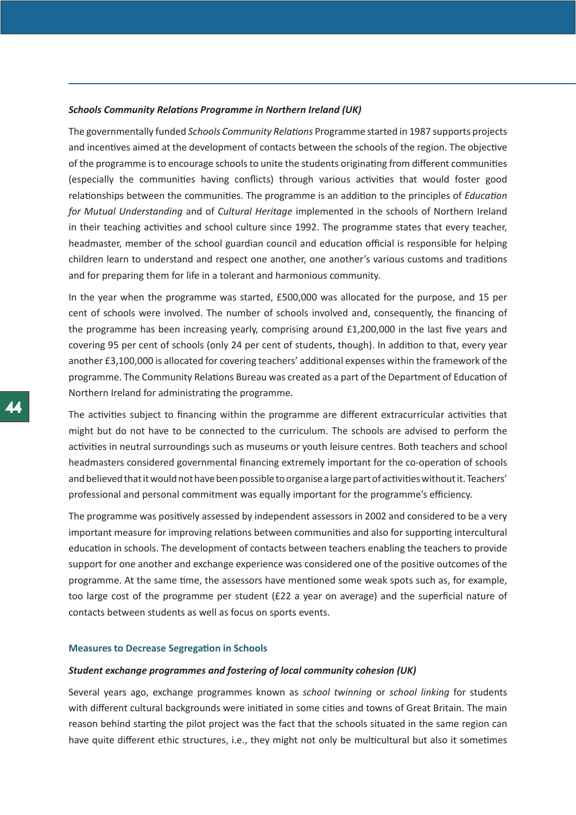## *Schools Community Relations Programme in Northern Ireland (UK)*

The governmentally funded *Schools Community Relations* Programme started in 1987 supports projects and incentives aimed at the development of contacts between the schools of the region. The objective of the programme is to encourage schools to unite the students originating from different communities (especially the communities having conflicts) through various activities that would foster good relationships between the communities. The programme is an addition to the principles of *Education for Mutual Understanding* and of *Cultural Heritage* implemented in the schools of Northern Ireland in their teaching activities and school culture since 1992. The programme states that every teacher, headmaster, member of the school guardian council and education official is responsible for helping children learn to understand and respect one another, one another's various customs and traditions and for preparing them for life in a tolerant and harmonious community.

In the year when the programme was started, £500,000 was allocated for the purpose, and 15 per cent of schools were involved. The number of schools involved and, consequently, the financing of the programme has been increasing yearly, comprising around £1,200,000 in the last five years and covering 95 per cent of schools (only 24 per cent of students, though). In addition to that, every year another £3,100,000 is allocated for covering teachers' additional expenses within the framework of the programme. The Community Relations Bureau was created as a part of the Department of Education of Northern Ireland for administrating the programme.

The activities subject to financing within the programme are different extracurricular activities that might but do not have to be connected to the curriculum. The schools are advised to perform the activities in neutral surroundings such as museums or youth leisure centres. Both teachers and school headmasters considered governmental financing extremely important for the co-operation of schools and believed that it would not have been possible to organise a large part of activities without it. Teachers' professional and personal commitment was equally important for the programme's efficiency.

The programme was positively assessed by independent assessors in 2002 and considered to be a very important measure for improving relations between communities and also for supporting intercultural education in schools. The development of contacts between teachers enabling the teachers to provide support for one another and exchange experience was considered one of the positive outcomes of the programme. At the same time, the assessors have mentioned some weak spots such as, for example, too large cost of the programme per student (£22 a year on average) and the superficial nature of contacts between students as well as focus on sports events.

#### **Measures to Decrease Segregation in Schools**

#### *Student exchange programmes and fostering of local community cohesion (UK)*

Several years ago, exchange programmes known as *school twinning* or *school linking* for students with different cultural backgrounds were initiated in some cities and towns of Great Britain. The main reason behind starting the pilot project was the fact that the schools situated in the same region can have quite different ethic structures, i.e., they might not only be multicultural but also it sometimes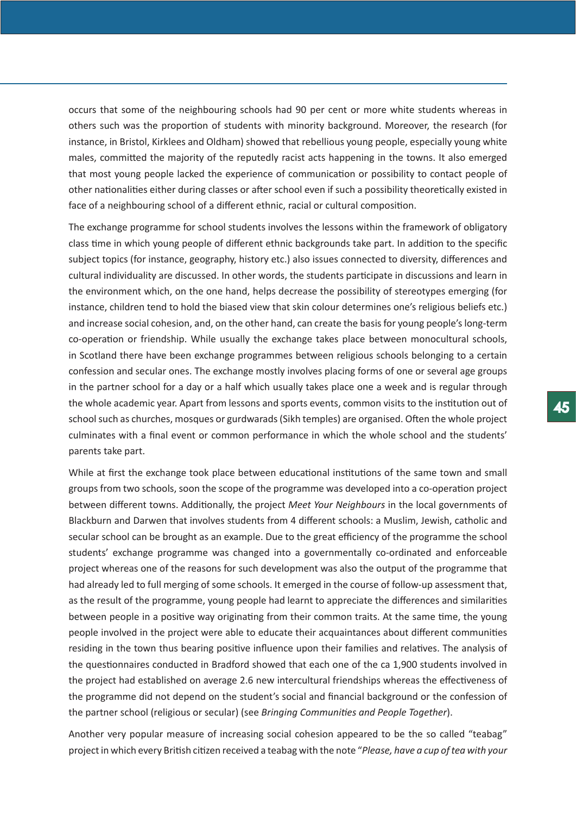occurs that some of the neighbouring schools had 90 per cent or more white students whereas in others such was the proportion of students with minority background. Moreover, the research (for instance, in Bristol, Kirklees and Oldham) showed that rebellious young people, especially young white males, committed the majority of the reputedly racist acts happening in the towns. It also emerged that most young people lacked the experience of communication or possibility to contact people of other nationalities either during classes or after school even if such a possibility theoretically existed in face of a neighbouring school of a different ethnic, racial or cultural composition.

The exchange programme for school students involves the lessons within the framework of obligatory class time in which young people of different ethnic backgrounds take part. In addition to the specific subject topics (for instance, geography, history etc.) also issues connected to diversity, differences and cultural individuality are discussed. In other words, the students participate in discussions and learn in the environment which, on the one hand, helps decrease the possibility of stereotypes emerging (for instance, children tend to hold the biased view that skin colour determines one's religious beliefs etc.) and increase social cohesion, and, on the other hand, can create the basis for young people's long-term co-operation or friendship. While usually the exchange takes place between monocultural schools, in Scotland there have been exchange programmes between religious schools belonging to a certain confession and secular ones. The exchange mostly involves placing forms of one or several age groups in the partner school for a day or a half which usually takes place one a week and is regular through the whole academic year. Apart from lessons and sports events, common visits to the institution out of school such as churches, mosques or gurdwarads (Sikh temples) are organised. Often the whole project culminates with a final event or common performance in which the whole school and the students' parents take part.

While at first the exchange took place between educational institutions of the same town and small groups from two schools, soon the scope of the programme was developed into a co-operation project between different towns. Additionally, the project *Meet Your Neighbours* in the local governments of Blackburn and Darwen that involves students from 4 different schools: a Muslim, Jewish, catholic and secular school can be brought as an example. Due to the great efficiency of the programme the school students' exchange programme was changed into a governmentally co-ordinated and enforceable project whereas one of the reasons for such development was also the output of the programme that had already led to full merging of some schools. It emerged in the course of follow-up assessment that, as the result of the programme, young people had learnt to appreciate the differences and similarities between people in a positive way originating from their common traits. At the same time, the young people involved in the project were able to educate their acquaintances about different communities residing in the town thus bearing positive influence upon their families and relatives. The analysis of the questionnaires conducted in Bradford showed that each one of the ca 1,900 students involved in the project had established on average 2.6 new intercultural friendships whereas the effectiveness of the programme did not depend on the student's social and financial background or the confession of the partner school (religious or secular) (see *Bringing Communities and People Together*).

Another very popular measure of increasing social cohesion appeared to be the so called "teabag" project in which every British citizen received a teabag with the note "*Please, have a cup of tea with your*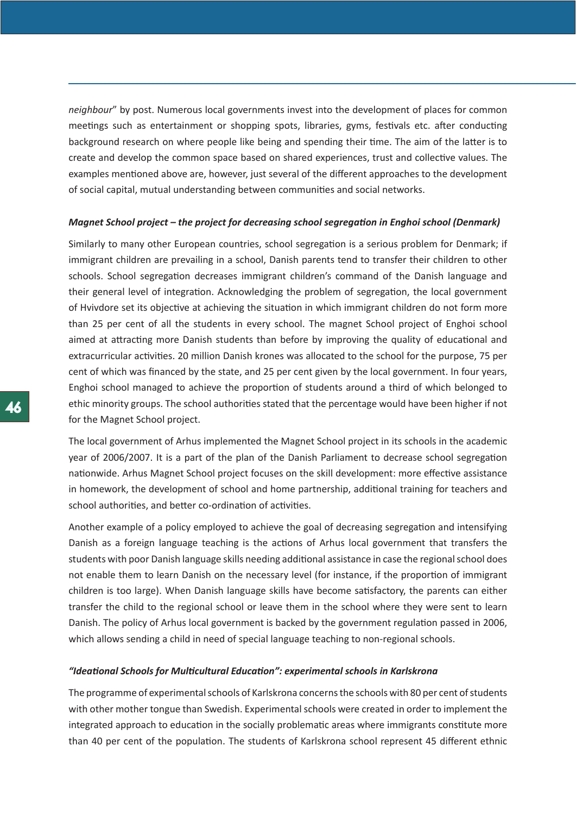*neighbour*" by post. Numerous local governments invest into the development of places for common meetings such as entertainment or shopping spots, libraries, gyms, festivals etc. after conducting background research on where people like being and spending their time. The aim of the latter is to create and develop the common space based on shared experiences, trust and collective values. The examples mentioned above are, however, just several of the different approaches to the development of social capital, mutual understanding between communities and social networks.

#### *Magnet School project – the project for decreasing school segregation in Enghoi school (Denmark)*

Similarly to many other European countries, school segregation is a serious problem for Denmark; if immigrant children are prevailing in a school, Danish parents tend to transfer their children to other schools. School segregation decreases immigrant children's command of the Danish language and their general level of integration. Acknowledging the problem of segregation, the local government of Hvivdore set its objective at achieving the situation in which immigrant children do not form more than 25 per cent of all the students in every school. The magnet School project of Enghoi school aimed at attracting more Danish students than before by improving the quality of educational and extracurricular activities. 20 million Danish krones was allocated to the school for the purpose, 75 per cent of which was financed by the state, and 25 per cent given by the local government. In four years, Enghoi school managed to achieve the proportion of students around a third of which belonged to ethic minority groups. The school authorities stated that the percentage would have been higher if not for the Magnet School project.

The local government of Arhus implemented the Magnet School project in its schools in the academic year of 2006/2007. It is a part of the plan of the Danish Parliament to decrease school segregation nationwide. Arhus Magnet School project focuses on the skill development: more effective assistance in homework, the development of school and home partnership, additional training for teachers and school authorities, and better co-ordination of activities.

Another example of a policy employed to achieve the goal of decreasing segregation and intensifying Danish as a foreign language teaching is the actions of Arhus local government that transfers the students with poor Danish language skills needing additional assistance in case the regional school does not enable them to learn Danish on the necessary level (for instance, if the proportion of immigrant children is too large). When Danish language skills have become satisfactory, the parents can either transfer the child to the regional school or leave them in the school where they were sent to learn Danish. The policy of Arhus local government is backed by the government regulation passed in 2006, which allows sending a child in need of special language teaching to non-regional schools.

# *"Ideational Schools for Multicultural Education": experimental schools in Karlskrona*

The programme of experimental schools of Karlskrona concerns the schools with 80 per cent of students with other mother tongue than Swedish. Experimental schools were created in order to implement the integrated approach to education in the socially problematic areas where immigrants constitute more than 40 per cent of the population. The students of Karlskrona school represent 45 different ethnic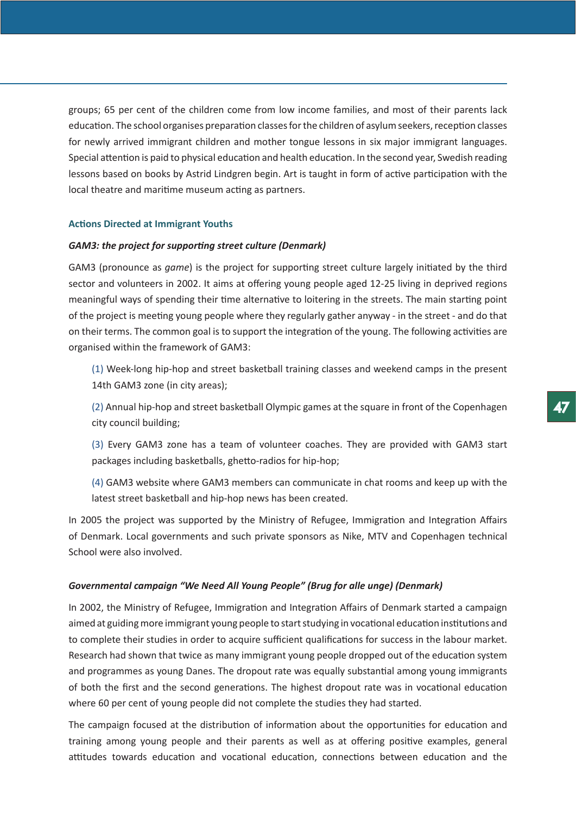groups; 65 per cent of the children come from low income families, and most of their parents lack education. The school organises preparation classes for the children of asylum seekers, reception classes for newly arrived immigrant children and mother tongue lessons in six major immigrant languages. Special attention is paid to physical education and health education. In the second year, Swedish reading lessons based on books by Astrid Lindgren begin. Art is taught in form of active participation with the local theatre and maritime museum acting as partners.

# **Actions Directed at Immigrant Youths**

# *GAM3: the project for supporting street culture (Denmark)*

GAM3 (pronounce as *game*) is the project for supporting street culture largely initiated by the third sector and volunteers in 2002. It aims at offering young people aged 12-25 living in deprived regions meaningful ways of spending their time alternative to loitering in the streets. The main starting point of the project is meeting young people where they regularly gather anyway - in the street - and do that on their terms. The common goal is to support the integration of the young. The following activities are organised within the framework of GAM3:

(1) Week-long hip-hop and street basketball training classes and weekend camps in the present 14th GAM3 zone (in city areas);

(2) Annual hip-hop and street basketball Olympic games at the square in front of the Copenhagen city council building;

(3) Every GAM3 zone has a team of volunteer coaches. They are provided with GAM3 start packages including basketballs, ghetto-radios for hip-hop;

(4) GAM3 website where GAM3 members can communicate in chat rooms and keep up with the latest street basketball and hip-hop news has been created.

In 2005 the project was supported by the Ministry of Refugee, Immigration and Integration Affairs of Denmark. Local governments and such private sponsors as Nike, MTV and Copenhagen technical School were also involved.

#### *Governmental campaign "We Need All Young People" (Brug for alle unge) (Denmark)*

In 2002, the Ministry of Refugee, Immigration and Integration Affairs of Denmark started a campaign aimed at guiding more immigrant young people to start studying in vocational education institutions and to complete their studies in order to acquire sufficient qualifications for success in the labour market. Research had shown that twice as many immigrant young people dropped out of the education system and programmes as young Danes. The dropout rate was equally substantial among young immigrants of both the first and the second generations. The highest dropout rate was in vocational education where 60 per cent of young people did not complete the studies they had started.

The campaign focused at the distribution of information about the opportunities for education and training among young people and their parents as well as at offering positive examples, general attitudes towards education and vocational education, connections between education and the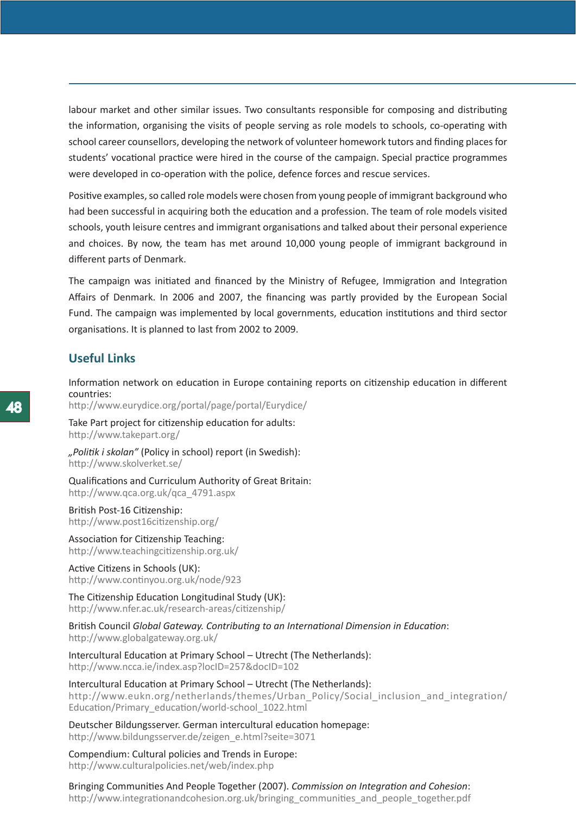labour market and other similar issues. Two consultants responsible for composing and distributing the information, organising the visits of people serving as role models to schools, co-operating with school career counsellors, developing the network of volunteer homework tutors and finding places for students' vocational practice were hired in the course of the campaign. Special practice programmes were developed in co-operation with the police, defence forces and rescue services.

Positive examples, so called role models were chosen from young people of immigrant background who had been successful in acquiring both the education and a profession. The team of role models visited schools, youth leisure centres and immigrant organisations and talked about their personal experience and choices. By now, the team has met around 10,000 young people of immigrant background in different parts of Denmark.

The campaign was initiated and financed by the Ministry of Refugee, Immigration and Integration Affairs of Denmark. In 2006 and 2007, the financing was partly provided by the European Social Fund. The campaign was implemented by local governments, education institutions and third sector organisations. It is planned to last from 2002 to 2009.

# **Useful Links**

Information network on education in Europe containing reports on citizenship education in different countries:

http://www.eurydice.org/portal/page/portal/Eurydice/

Take Part project for citizenship education for adults: http://www.takepart.org/

*"Politik i skolan"* (Policy in school) report (in Swedish): http://www.skolverket.se/

Qualifications and Curriculum Authority of Great Britain: http://www.qca.org.uk/qca\_4791.aspx

British Post-16 Citizenship: http://www.post16citizenship.org/

Association for Citizenship Teaching: http://www.teachingcitizenship.org.uk/

Active Citizens in Schools (UK): http://www.continyou.org.uk/node/923

The Citizenship Education Longitudinal Study (UK): http://www.nfer.ac.uk/research-areas/citizenship/

British Council *Global Gateway. Contributing to an International Dimension in Education*: http://www.globalgateway.org.uk/

Intercultural Education at Primary School – Utrecht (The Netherlands): http://www.ncca.ie/index.asp?locID=257&docID=102

Intercultural Education at Primary School – Utrecht (The Netherlands): http://www.eukn.org/netherlands/themes/Urban\_Policy/Social\_inclusion\_and\_integration/ Education/Primary\_education/world-school\_1022.html

Deutscher Bildungsserver. German intercultural education homepage: http://www.bildungsserver.de/zeigen\_e.html?seite=3071

Compendium: Cultural policies and Trends in Europe: http://www.culturalpolicies.net/web/index.php

Bringing Communities And People Together (2007). *Commission on Integration and Cohesion*: http://www.integrationandcohesion.org.uk/bringing\_communities\_and\_people\_together.pdf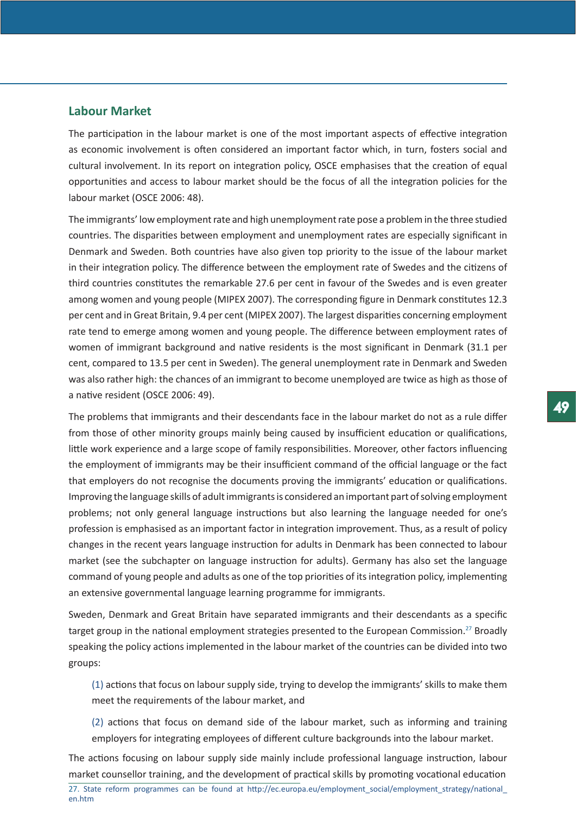# **Labour Market**

The participation in the labour market is one of the most important aspects of effective integration as economic involvement is often considered an important factor which, in turn, fosters social and cultural involvement. In its report on integration policy, OSCE emphasises that the creation of equal opportunities and access to labour market should be the focus of all the integration policies for the labour market (OSCE 2006: 48).

The immigrants' low employment rate and high unemployment rate pose a problem in the three studied countries. The disparities between employment and unemployment rates are especially significant in Denmark and Sweden. Both countries have also given top priority to the issue of the labour market in their integration policy. The difference between the employment rate of Swedes and the citizens of third countries constitutes the remarkable 27.6 per cent in favour of the Swedes and is even greater among women and young people (MIPEX 2007). The corresponding figure in Denmark constitutes 12.3 per cent and in Great Britain, 9.4 per cent (MIPEX 2007). The largest disparities concerning employment rate tend to emerge among women and young people. The difference between employment rates of women of immigrant background and native residents is the most significant in Denmark (31.1 per cent, compared to 13.5 per cent in Sweden). The general unemployment rate in Denmark and Sweden was also rather high: the chances of an immigrant to become unemployed are twice as high as those of a native resident (OSCE 2006: 49).

The problems that immigrants and their descendants face in the labour market do not as a rule differ from those of other minority groups mainly being caused by insufficient education or qualifications, little work experience and a large scope of family responsibilities. Moreover, other factors influencing the employment of immigrants may be their insufficient command of the official language or the fact that employers do not recognise the documents proving the immigrants' education or qualifications. Improving the language skills of adult immigrants is considered an important part of solving employment problems; not only general language instructions but also learning the language needed for one's profession is emphasised as an important factor in integration improvement. Thus, as a result of policy changes in the recent years language instruction for adults in Denmark has been connected to labour market (see the subchapter on language instruction for adults). Germany has also set the language command of young people and adults as one of the top priorities of its integration policy, implementing an extensive governmental language learning programme for immigrants.

Sweden, Denmark and Great Britain have separated immigrants and their descendants as a specific target group in the national employment strategies presented to the European Commission.<sup>27</sup> Broadly speaking the policy actions implemented in the labour market of the countries can be divided into two groups:

(1) actions that focus on labour supply side, trying to develop the immigrants' skills to make them meet the requirements of the labour market, and

(2) actions that focus on demand side of the labour market, such as informing and training employers for integrating employees of different culture backgrounds into the labour market.

The actions focusing on labour supply side mainly include professional language instruction, labour market counsellor training, and the development of practical skills by promoting vocational education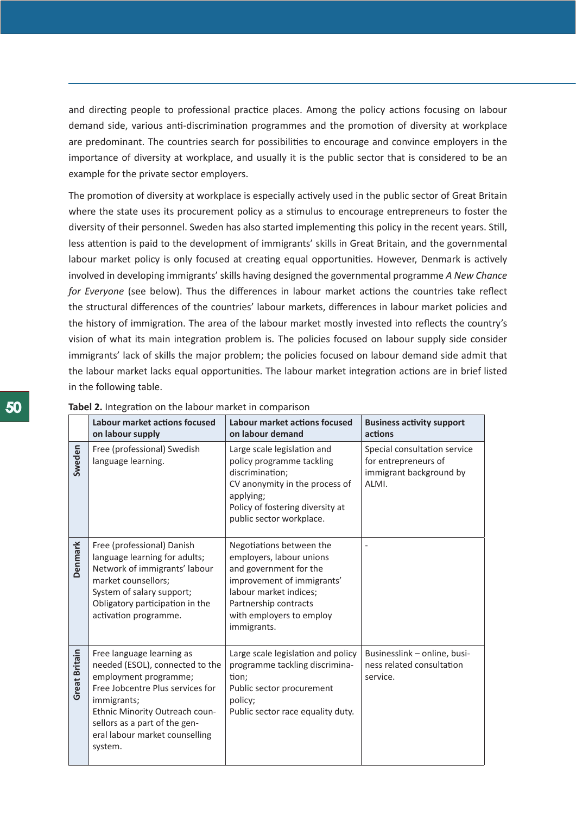and directing people to professional practice places. Among the policy actions focusing on labour demand side, various anti-discrimination programmes and the promotion of diversity at workplace are predominant. The countries search for possibilities to encourage and convince employers in the importance of diversity at workplace, and usually it is the public sector that is considered to be an example for the private sector employers.

The promotion of diversity at workplace is especially actively used in the public sector of Great Britain where the state uses its procurement policy as a stimulus to encourage entrepreneurs to foster the diversity of their personnel. Sweden has also started implementing this policy in the recent years. Still, less attention is paid to the development of immigrants' skills in Great Britain, and the governmental labour market policy is only focused at creating equal opportunities. However, Denmark is actively involved in developing immigrants' skills having designed the governmental programme *A New Chance for Everyone* (see below). Thus the differences in labour market actions the countries take reflect the structural differences of the countries' labour markets, differences in labour market policies and the history of immigration. The area of the labour market mostly invested into reflects the country's vision of what its main integration problem is. The policies focused on labour supply side consider immigrants' lack of skills the major problem; the policies focused on labour demand side admit that the labour market lacks equal opportunities. The labour market integration actions are in brief listed in the following table.

|                | <b>Tabel 2.</b> Integration on the labour market in comparison                                                                                                                                                                                           |                                                                                                                                                                                                            |                                                                                          |  |  |  |  |
|----------------|----------------------------------------------------------------------------------------------------------------------------------------------------------------------------------------------------------------------------------------------------------|------------------------------------------------------------------------------------------------------------------------------------------------------------------------------------------------------------|------------------------------------------------------------------------------------------|--|--|--|--|
|                | Labour market actions focused<br>on labour supply                                                                                                                                                                                                        | Labour market actions focused<br>on labour demand                                                                                                                                                          | <b>Business activity support</b><br>actions                                              |  |  |  |  |
| Sweden         | Free (professional) Swedish<br>language learning.                                                                                                                                                                                                        | Large scale legislation and<br>policy programme tackling<br>discrimination;<br>CV anonymity in the process of<br>applying;<br>Policy of fostering diversity at<br>public sector workplace.                 | Special consultation service<br>for entrepreneurs of<br>immigrant background by<br>ALMI. |  |  |  |  |
| <b>Denmark</b> | Free (professional) Danish<br>language learning for adults;<br>Network of immigrants' labour<br>market counsellors;<br>System of salary support;<br>Obligatory participation in the<br>activation programme.                                             | Negotiations between the<br>employers, labour unions<br>and government for the<br>improvement of immigrants'<br>labour market indices;<br>Partnership contracts<br>with employers to employ<br>immigrants. |                                                                                          |  |  |  |  |
| Great Britain  | Free language learning as<br>needed (ESOL), connected to the<br>employment programme;<br>Free Jobcentre Plus services for<br>immigrants;<br>Ethnic Minority Outreach coun-<br>sellors as a part of the gen-<br>eral labour market counselling<br>system. | Large scale legislation and policy<br>programme tackling discrimina-<br>tion;<br>Public sector procurement<br>policy;<br>Public sector race equality duty.                                                 | Businesslink - online, busi-<br>ness related consultation<br>service.                    |  |  |  |  |

| 50 | Tabel 2. Integration on the labour market in comparison |
|----|---------------------------------------------------------|
|    |                                                         |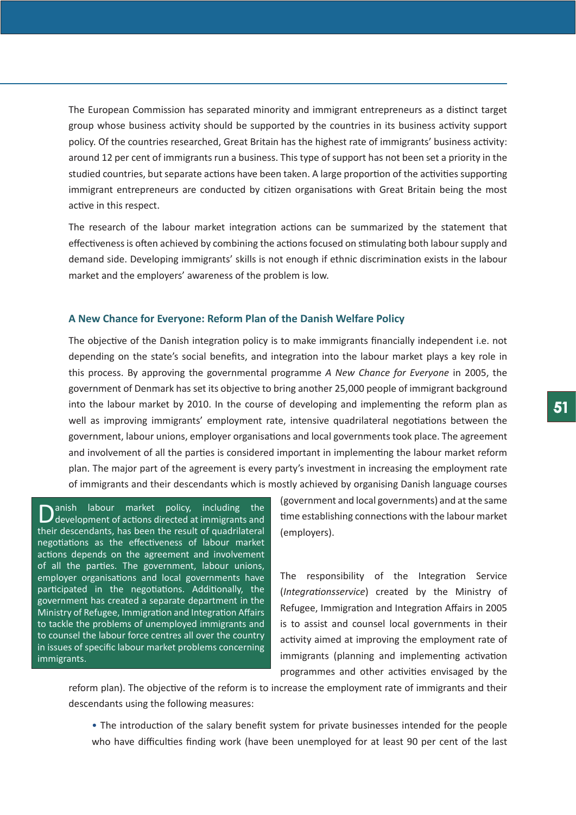The European Commission has separated minority and immigrant entrepreneurs as a distinct target group whose business activity should be supported by the countries in its business activity support policy. Of the countries researched, Great Britain has the highest rate of immigrants' business activity: around 12 per cent of immigrants run a business. This type of support has not been set a priority in the studied countries, but separate actions have been taken. A large proportion of the activities supporting immigrant entrepreneurs are conducted by citizen organisations with Great Britain being the most active in this respect.

The research of the labour market integration actions can be summarized by the statement that effectiveness is often achieved by combining the actions focused on stimulating both labour supply and demand side. Developing immigrants' skills is not enough if ethnic discrimination exists in the labour market and the employers' awareness of the problem is low.

# **A New Chance for Everyone: Reform Plan of the Danish Welfare Policy**

The objective of the Danish integration policy is to make immigrants financially independent i.e. not depending on the state's social benefits, and integration into the labour market plays a key role in this process. By approving the governmental programme *A New Chance for Everyone* in 2005, the government of Denmark has set its objective to bring another 25,000 people of immigrant background into the labour market by 2010. In the course of developing and implementing the reform plan as well as improving immigrants' employment rate, intensive quadrilateral negotiations between the government, labour unions, employer organisations and local governments took place. The agreement and involvement of all the parties is considered important in implementing the labour market reform plan. The major part of the agreement is every party's investment in increasing the employment rate of immigrants and their descendants which is mostly achieved by organising Danish language courses

Danish labour market policy, including the development of actions directed at immigrants and their descendants, has been the result of quadrilateral negotiations as the effectiveness of labour market actions depends on the agreement and involvement of all the parties. The government, labour unions, employer organisations and local governments have participated in the negotiations. Additionally, the government has created a separate department in the Ministry of Refugee, Immigration and Integration Affairs to tackle the problems of unemployed immigrants and to counsel the labour force centres all over the country in issues of specific labour market problems concerning immigrants.

(government and local governments) and at the same time establishing connections with the labour market (employers).

The responsibility of the Integration Service (*Integrationsservice*) created by the Ministry of Refugee, Immigration and Integration Affairs in 2005 is to assist and counsel local governments in their activity aimed at improving the employment rate of immigrants (planning and implementing activation programmes and other activities envisaged by the

reform plan). The objective of the reform is to increase the employment rate of immigrants and their descendants using the following measures:

• The introduction of the salary benefit system for private businesses intended for the people who have difficulties finding work (have been unemployed for at least 90 per cent of the last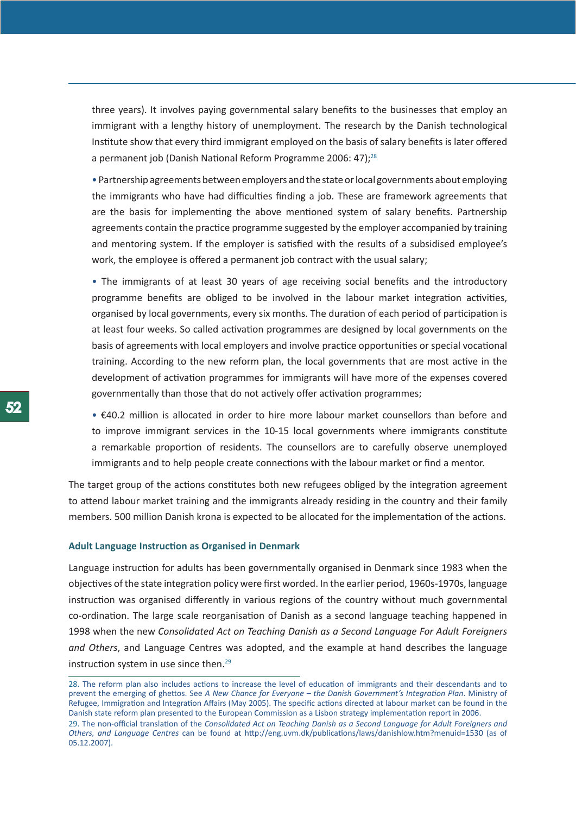three years). It involves paying governmental salary benefits to the businesses that employ an immigrant with a lengthy history of unemployment. The research by the Danish technological Institute show that every third immigrant employed on the basis of salary benefits is later offered a permanent job (Danish National Reform Programme 2006: 47);<sup>28</sup>

• Partnership agreements between employers and the state or local governments about employing the immigrants who have had difficulties finding a job. These are framework agreements that are the basis for implementing the above mentioned system of salary benefits. Partnership agreements contain the practice programme suggested by the employer accompanied by training and mentoring system. If the employer is satisfied with the results of a subsidised employee's work, the employee is offered a permanent job contract with the usual salary;

• The immigrants of at least 30 years of age receiving social benefits and the introductory programme benefits are obliged to be involved in the labour market integration activities, organised by local governments, every six months. The duration of each period of participation is at least four weeks. So called activation programmes are designed by local governments on the basis of agreements with local employers and involve practice opportunities or special vocational training. According to the new reform plan, the local governments that are most active in the development of activation programmes for immigrants will have more of the expenses covered governmentally than those that do not actively offer activation programmes;

• €40.2 million is allocated in order to hire more labour market counsellors than before and to improve immigrant services in the 10-15 local governments where immigrants constitute a remarkable proportion of residents. The counsellors are to carefully observe unemployed immigrants and to help people create connections with the labour market or find a mentor.

The target group of the actions constitutes both new refugees obliged by the integration agreement to attend labour market training and the immigrants already residing in the country and their family members. 500 million Danish krona is expected to be allocated for the implementation of the actions.

## **Adult Language Instruction as Organised in Denmark**

Language instruction for adults has been governmentally organised in Denmark since 1983 when the objectives of the state integration policy were first worded. In the earlier period, 1960s-1970s, language instruction was organised differently in various regions of the country without much governmental co-ordination. The large scale reorganisation of Danish as a second language teaching happened in 1998 when the new *Consolidated Act on Teaching Danish as a Second Language For Adult Foreigners and Others*, and Language Centres was adopted, and the example at hand describes the language instruction system in use since then.<sup>29</sup>

<sup>28.</sup> The reform plan also includes actions to increase the level of education of immigrants and their descendants and to prevent the emerging of ghettos. See *A New Chance for Everyone – the Danish Government's Integration Plan*. Ministry of Refugee, Immigration and Integration Affairs (May 2005). The specific actions directed at labour market can be found in the Danish state reform plan presented to the European Commission as a Lisbon strategy implementation report in 2006.

<sup>29.</sup> The non-official translation of the *Consolidated Act on Teaching Danish as a Second Language for Adult Foreigners and Others, and Language Centres* can be found at http://eng.uvm.dk/publications/laws/danishlow.htm?menuid=1530 (as of 05.12.2007).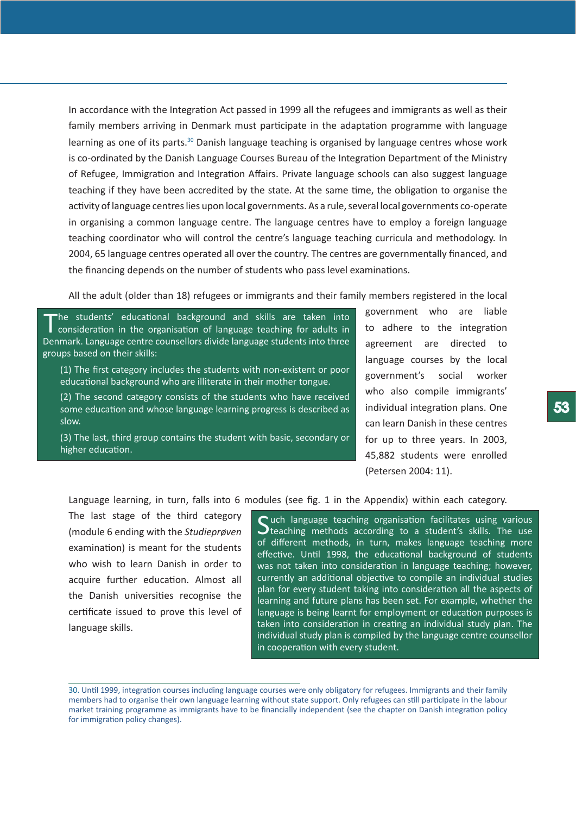In accordance with the Integration Act passed in 1999 all the refugees and immigrants as well as their family members arriving in Denmark must participate in the adaptation programme with language learning as one of its parts.<sup>30</sup> Danish language teaching is organised by language centres whose work is co-ordinated by the Danish Language Courses Bureau of the Integration Department of the Ministry of Refugee, Immigration and Integration Affairs. Private language schools can also suggest language teaching if they have been accredited by the state. At the same time, the obligation to organise the activity of language centres lies upon local governments. As a rule, several local governments co-operate in organising a common language centre. The language centres have to employ a foreign language teaching coordinator who will control the centre's language teaching curricula and methodology. In 2004, 65 language centres operated all over the country. The centres are governmentally financed, and the financing depends on the number of students who pass level examinations.

All the adult (older than 18) refugees or immigrants and their family members registered in the local

The students' educational background and skills are taken into<br>
consideration in the organisation of language teaching for adults in Denmark. Language centre counsellors divide language students into three groups based on their skills:

(1) The first category includes the students with non-existent or poor educational background who are illiterate in their mother tongue.

(2) The second category consists of the students who have received some education and whose language learning progress is described as slow.

(3) The last, third group contains the student with basic, secondary or higher education.

government who are liable to adhere to the integration agreement are directed to language courses by the local government's social worker who also compile immigrants' individual integration plans. One can learn Danish in these centres for up to three years. In 2003, 45,882 students were enrolled (Petersen 2004: 11).

Language learning, in turn, falls into 6 modules (see fig. 1 in the Appendix) within each category.

The last stage of the third category (module 6 ending with the *Studieprøven* examination) is meant for the students who wish to learn Danish in order to acquire further education. Almost all the Danish universities recognise the certificate issued to prove this level of language skills.

 $\bigcap$  uch language teaching organisation facilitates using various  $\bigcup$  teaching methods according to a student's skills. The use of different methods, in turn, makes language teaching more effective. Until 1998, the educational background of students was not taken into consideration in language teaching; however, currently an additional objective to compile an individual studies plan for every student taking into consideration all the aspects of learning and future plans has been set. For example, whether the language is being learnt for employment or education purposes is taken into consideration in creating an individual study plan. The individual study plan is compiled by the language centre counsellor in cooperation with every student.

<sup>30.</sup> Until 1999, integration courses including language courses were only obligatory for refugees. Immigrants and their family members had to organise their own language learning without state support. Only refugees can still participate in the labour market training programme as immigrants have to be financially independent (see the chapter on Danish integration policy for immigration policy changes).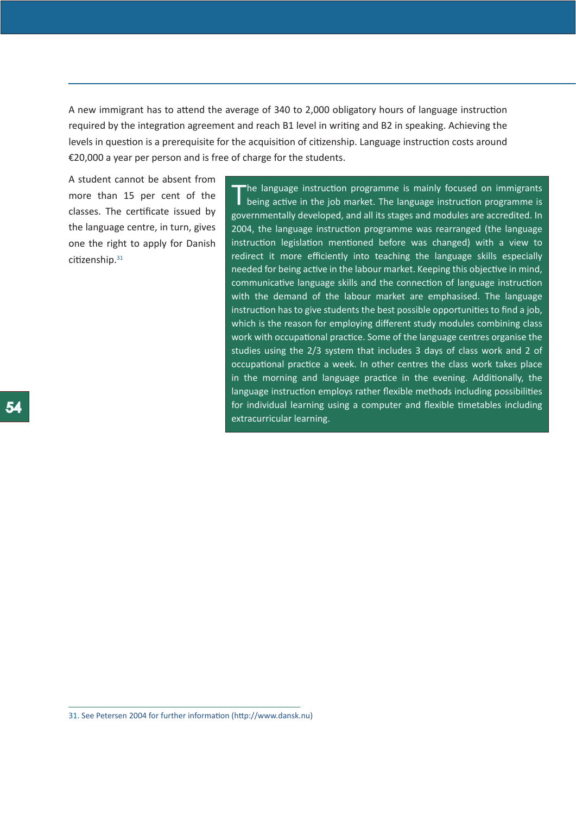A new immigrant has to attend the average of 340 to 2,000 obligatory hours of language instruction required by the integration agreement and reach B1 level in writing and B2 in speaking. Achieving the levels in question is a prerequisite for the acquisition of citizenship. Language instruction costs around €20,000 a year per person and is free of charge for the students.

A student cannot be absent from more than 15 per cent of the classes. The certificate issued by the language centre, in turn, gives one the right to apply for Danish citizenship.<sup>31</sup>

The language instruction programme is mainly focused on immigrants<br>being active in the job market. The language instruction programme is governmentally developed, and all its stages and modules are accredited. In 2004, the language instruction programme was rearranged (the language instruction legislation mentioned before was changed) with a view to redirect it more efficiently into teaching the language skills especially needed for being active in the labour market. Keeping this objective in mind, communicative language skills and the connection of language instruction with the demand of the labour market are emphasised. The language instruction has to give students the best possible opportunities to find a job, which is the reason for employing different study modules combining class work with occupational practice. Some of the language centres organise the studies using the 2/3 system that includes 3 days of class work and 2 of occupational practice a week. In other centres the class work takes place in the morning and language practice in the evening. Additionally, the language instruction employs rather flexible methods including possibilities for individual learning using a computer and flexible timetables including extracurricular learning.

<sup>31.</sup> See Petersen 2004 for further information (http://www.dansk.nu)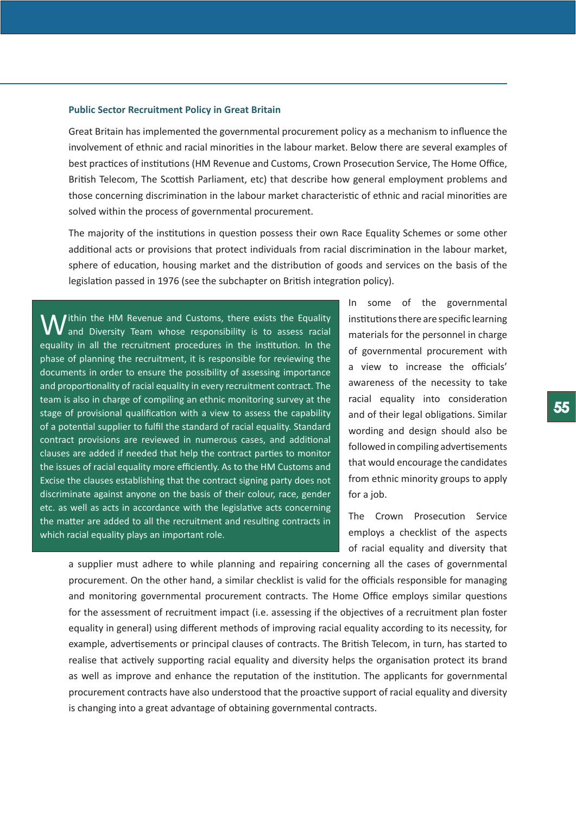## **Public Sector Recruitment Policy in Great Britain**

Great Britain has implemented the governmental procurement policy as a mechanism to influence the involvement of ethnic and racial minorities in the labour market. Below there are several examples of best practices of institutions (HM Revenue and Customs, Crown Prosecution Service, The Home Office, British Telecom, The Scottish Parliament, etc) that describe how general employment problems and those concerning discrimination in the labour market characteristic of ethnic and racial minorities are solved within the process of governmental procurement.

The majority of the institutions in question possess their own Race Equality Schemes or some other additional acts or provisions that protect individuals from racial discrimination in the labour market, sphere of education, housing market and the distribution of goods and services on the basis of the legislation passed in 1976 (see the subchapter on British integration policy).

**W** ithin the HM Revenue and Customs, there exists the Equality is to assess racial equality in all the recruitment procedures in the institution. In the phase of planning the recruitment, it is responsible for reviewing the documents in order to ensure the possibility of assessing importance and proportionality of racial equality in every recruitment contract. The team is also in charge of compiling an ethnic monitoring survey at the stage of provisional qualification with a view to assess the capability of a potential supplier to fulfil the standard of racial equality. Standard contract provisions are reviewed in numerous cases, and additional clauses are added if needed that help the contract parties to monitor the issues of racial equality more efficiently. As to the HM Customs and Excise the clauses establishing that the contract signing party does not discriminate against anyone on the basis of their colour, race, gender etc. as well as acts in accordance with the legislative acts concerning the matter are added to all the recruitment and resulting contracts in which racial equality plays an important role.

In some of the governmental institutions there are specific learning materials for the personnel in charge of governmental procurement with a view to increase the officials' awareness of the necessity to take racial equality into consideration and of their legal obligations. Similar wording and design should also be followed in compiling advertisements that would encourage the candidates from ethnic minority groups to apply for a job.

The Crown Prosecution Service employs a checklist of the aspects of racial equality and diversity that

a supplier must adhere to while planning and repairing concerning all the cases of governmental procurement. On the other hand, a similar checklist is valid for the officials responsible for managing and monitoring governmental procurement contracts. The Home Office employs similar questions for the assessment of recruitment impact (i.e. assessing if the objectives of a recruitment plan foster equality in general) using different methods of improving racial equality according to its necessity, for example, advertisements or principal clauses of contracts. The British Telecom, in turn, has started to realise that actively supporting racial equality and diversity helps the organisation protect its brand as well as improve and enhance the reputation of the institution. The applicants for governmental procurement contracts have also understood that the proactive support of racial equality and diversity is changing into a great advantage of obtaining governmental contracts.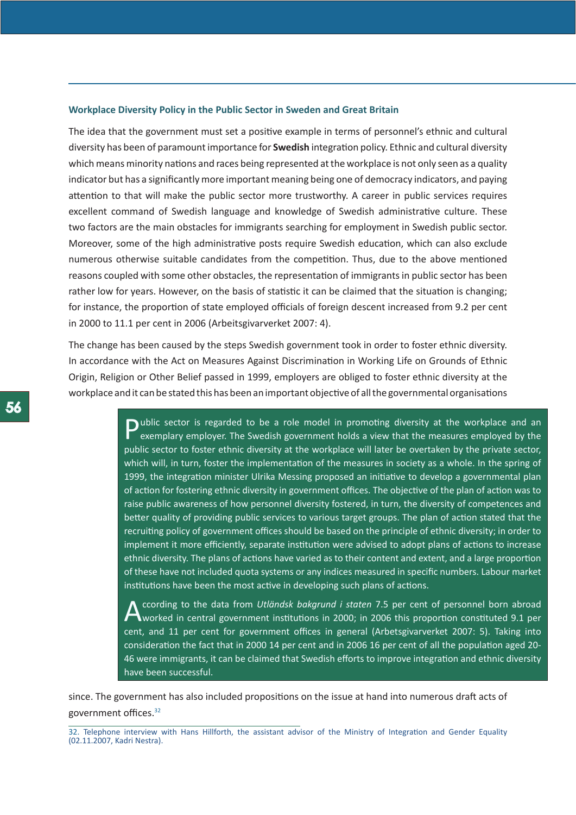## **Workplace Diversity Policy in the Public Sector in Sweden and Great Britain**

The idea that the government must set a positive example in terms of personnel's ethnic and cultural diversity has been of paramount importance for **Swedish** integration policy. Ethnic and cultural diversity which means minority nations and races being represented at the workplace is not only seen as a quality indicator but has a significantly more important meaning being one of democracy indicators, and paying attention to that will make the public sector more trustworthy. A career in public services requires excellent command of Swedish language and knowledge of Swedish administrative culture. These two factors are the main obstacles for immigrants searching for employment in Swedish public sector. Moreover, some of the high administrative posts require Swedish education, which can also exclude numerous otherwise suitable candidates from the competition. Thus, due to the above mentioned reasons coupled with some other obstacles, the representation of immigrants in public sector has been rather low for years. However, on the basis of statistic it can be claimed that the situation is changing; for instance, the proportion of state employed officials of foreign descent increased from 9.2 per cent in 2000 to 11.1 per cent in 2006 (Arbeitsgivarverket 2007: 4).

The change has been caused by the steps Swedish government took in order to foster ethnic diversity. In accordance with the Act on Measures Against Discrimination in Working Life on Grounds of Ethnic Origin, Religion or Other Belief passed in 1999, employers are obliged to foster ethnic diversity at the workplace and it can be stated this has been an important objective of all the governmental organisations

> **D**ublic sector is regarded to be a role model in promoting diversity at the workplace and an exemplary employer. The Swedish government holds a view that the measures employed by the public sector to foster ethnic diversity at the workplace will later be overtaken by the private sector, which will, in turn, foster the implementation of the measures in society as a whole. In the spring of 1999, the integration minister Ulrika Messing proposed an initiative to develop a governmental plan of action for fostering ethnic diversity in government offices. The objective of the plan of action was to raise public awareness of how personnel diversity fostered, in turn, the diversity of competences and better quality of providing public services to various target groups. The plan of action stated that the recruiting policy of government offices should be based on the principle of ethnic diversity; in order to implement it more efficiently, separate institution were advised to adopt plans of actions to increase ethnic diversity. The plans of actions have varied as to their content and extent, and a large proportion of these have not included quota systems or any indices measured in specific numbers. Labour market institutions have been the most active in developing such plans of actions.

> A ccording to the data from *Utländsk bakgrund i staten* 7.5 per cent of personnel born abroad<br>Worked in central government institutions in 2000; in 2006 this proportion constituted 9.1 per cent, and 11 per cent for government offices in general (Arbetsgivarverket 2007: 5). Taking into consideration the fact that in 2000 14 per cent and in 2006 16 per cent of all the population aged 20- 46 were immigrants, it can be claimed that Swedish efforts to improve integration and ethnic diversity have been successful.

since. The government has also included propositions on the issue at hand into numerous draft acts of government offices.32

<sup>32.</sup> Telephone interview with Hans Hillforth, the assistant advisor of the Ministry of Integration and Gender Equality (02.11.2007, Kadri Nestra).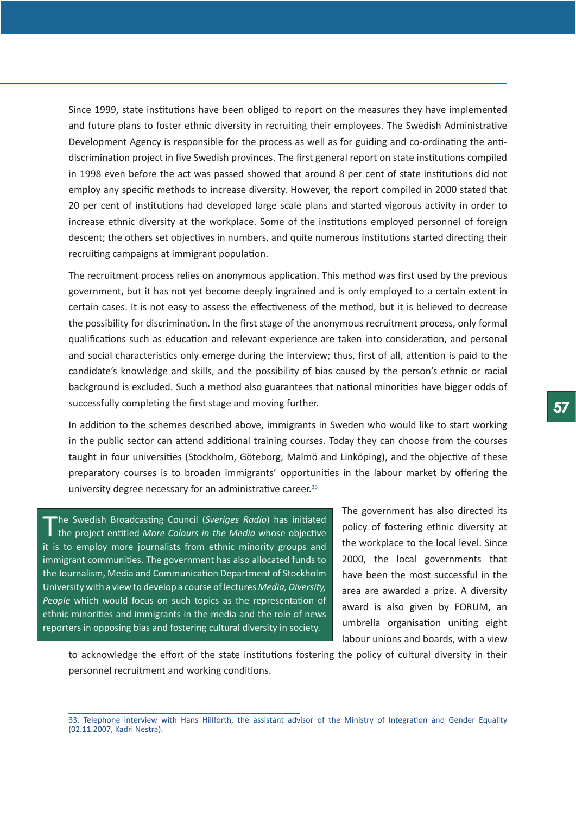Since 1999, state institutions have been obliged to report on the measures they have implemented and future plans to foster ethnic diversity in recruiting their employees. The Swedish Administrative Development Agency is responsible for the process as well as for guiding and co-ordinating the antidiscrimination project in five Swedish provinces. The first general report on state institutions compiled in 1998 even before the act was passed showed that around 8 per cent of state institutions did not employ any specific methods to increase diversity. However, the report compiled in 2000 stated that 20 per cent of institutions had developed large scale plans and started vigorous activity in order to increase ethnic diversity at the workplace. Some of the institutions employed personnel of foreign descent; the others set objectives in numbers, and quite numerous institutions started directing their recruiting campaigns at immigrant population.

The recruitment process relies on anonymous application. This method was first used by the previous government, but it has not yet become deeply ingrained and is only employed to a certain extent in certain cases. It is not easy to assess the effectiveness of the method, but it is believed to decrease the possibility for discrimination. In the first stage of the anonymous recruitment process, only formal qualifications such as education and relevant experience are taken into consideration, and personal and social characteristics only emerge during the interview; thus, first of all, attention is paid to the candidate's knowledge and skills, and the possibility of bias caused by the person's ethnic or racial background is excluded. Such a method also guarantees that national minorities have bigger odds of successfully completing the first stage and moving further.

In addition to the schemes described above, immigrants in Sweden who would like to start working in the public sector can attend additional training courses. Today they can choose from the courses taught in four universities (Stockholm, Göteborg, Malmö and Linköping), and the objective of these preparatory courses is to broaden immigrants' opportunities in the labour market by offering the university degree necessary for an administrative career.<sup>33</sup>

The Swedish Broadcasting Council (*Sveriges Radio*) has initiated the project entitled *More Colours in the Media* whose objective it is to employ more journalists from ethnic minority groups and immigrant communities. The government has also allocated funds to the Journalism, Media and Communication Department of Stockholm University with a view to develop a course of lectures *Media, Diversity, People* which would focus on such topics as the representation of ethnic minorities and immigrants in the media and the role of news reporters in opposing bias and fostering cultural diversity in society.

The government has also directed its policy of fostering ethnic diversity at the workplace to the local level. Since 2000, the local governments that have been the most successful in the area are awarded a prize. A diversity award is also given by FORUM, an umbrella organisation uniting eight labour unions and boards, with a view

to acknowledge the effort of the state institutions fostering the policy of cultural diversity in their personnel recruitment and working conditions.

<sup>33.</sup> Telephone interview with Hans Hillforth, the assistant advisor of the Ministry of Integration and Gender Equality (02.11.2007, Kadri Nestra).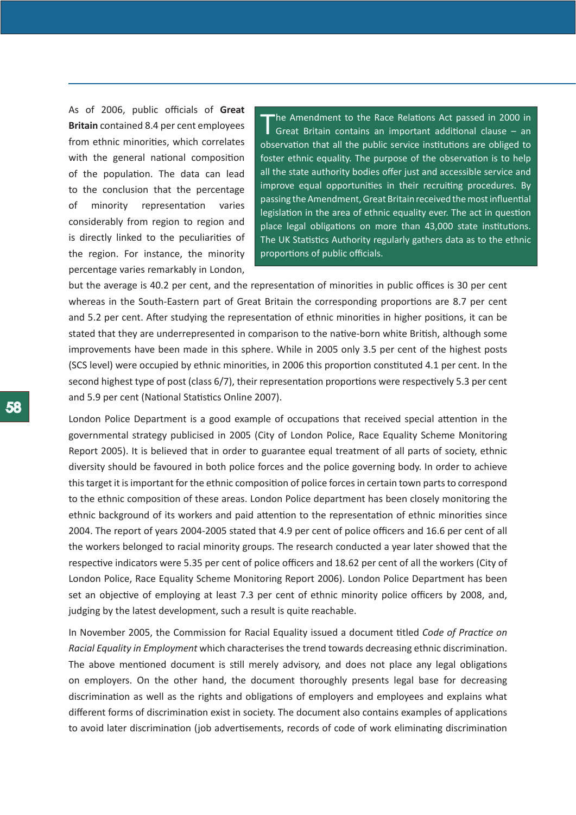As of 2006, public officials of **Great Britain** contained 8.4 per cent employees from ethnic minorities, which correlates with the general national composition of the population. The data can lead to the conclusion that the percentage of minority representation varies considerably from region to region and is directly linked to the peculiarities of the region. For instance, the minority percentage varies remarkably in London,

The Amendment to the Race Relations Act passed in 2000 in Great Britain contains an important additional clause – an observation that all the public service institutions are obliged to foster ethnic equality. The purpose of the observation is to help all the state authority bodies offer just and accessible service and improve equal opportunities in their recruiting procedures. By passing the Amendment, Great Britain received the most influential legislation in the area of ethnic equality ever. The act in question place legal obligations on more than 43,000 state institutions. The UK Statistics Authority regularly gathers data as to the ethnic proportions of public officials.

but the average is 40.2 per cent, and the representation of minorities in public offices is 30 per cent whereas in the South-Eastern part of Great Britain the corresponding proportions are 8.7 per cent and 5.2 per cent. After studying the representation of ethnic minorities in higher positions, it can be stated that they are underrepresented in comparison to the native-born white British, although some improvements have been made in this sphere. While in 2005 only 3.5 per cent of the highest posts (SCS level) were occupied by ethnic minorities, in 2006 this proportion constituted 4.1 per cent. In the second highest type of post (class 6/7), their representation proportions were respectively 5.3 per cent and 5.9 per cent (National Statistics Online 2007).

London Police Department is a good example of occupations that received special attention in the governmental strategy publicised in 2005 (City of London Police, Race Equality Scheme Monitoring Report 2005). It is believed that in order to guarantee equal treatment of all parts of society, ethnic diversity should be favoured in both police forces and the police governing body. In order to achieve this target it is important for the ethnic composition of police forces in certain town parts to correspond to the ethnic composition of these areas. London Police department has been closely monitoring the ethnic background of its workers and paid attention to the representation of ethnic minorities since 2004. The report of years 2004-2005 stated that 4.9 per cent of police officers and 16.6 per cent of all the workers belonged to racial minority groups. The research conducted a year later showed that the respective indicators were 5.35 per cent of police officers and 18.62 per cent of all the workers (City of London Police, Race Equality Scheme Monitoring Report 2006). London Police Department has been set an objective of employing at least 7.3 per cent of ethnic minority police officers by 2008, and, judging by the latest development, such a result is quite reachable.

In November 2005, the Commission for Racial Equality issued a document titled *Code of Practice on Racial Equality in Employment* which characterises the trend towards decreasing ethnic discrimination. The above mentioned document is still merely advisory, and does not place any legal obligations on employers. On the other hand, the document thoroughly presents legal base for decreasing discrimination as well as the rights and obligations of employers and employees and explains what different forms of discrimination exist in society. The document also contains examples of applications to avoid later discrimination (job advertisements, records of code of work eliminating discrimination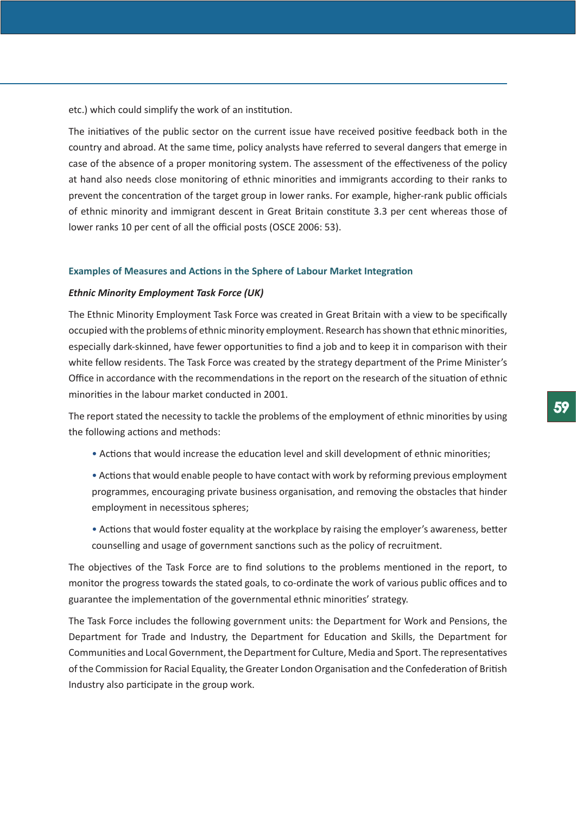etc.) which could simplify the work of an institution.

The initiatives of the public sector on the current issue have received positive feedback both in the country and abroad. At the same time, policy analysts have referred to several dangers that emerge in case of the absence of a proper monitoring system. The assessment of the effectiveness of the policy at hand also needs close monitoring of ethnic minorities and immigrants according to their ranks to prevent the concentration of the target group in lower ranks. For example, higher-rank public officials of ethnic minority and immigrant descent in Great Britain constitute 3.3 per cent whereas those of lower ranks 10 per cent of all the official posts (OSCE 2006: 53).

#### **Examples of Measures and Actions in the Sphere of Labour Market Integration**

### *Ethnic Minority Employment Task Force (UK)*

The Ethnic Minority Employment Task Force was created in Great Britain with a view to be specifically occupied with the problems of ethnic minority employment. Research has shown that ethnic minorities, especially dark-skinned, have fewer opportunities to find a job and to keep it in comparison with their white fellow residents. The Task Force was created by the strategy department of the Prime Minister's Office in accordance with the recommendations in the report on the research of the situation of ethnic minorities in the labour market conducted in 2001.

The report stated the necessity to tackle the problems of the employment of ethnic minorities by using the following actions and methods:

- Actions that would increase the education level and skill development of ethnic minorities;
- Actions that would enable people to have contact with work by reforming previous employment programmes, encouraging private business organisation, and removing the obstacles that hinder employment in necessitous spheres;
- Actions that would foster equality at the workplace by raising the employer's awareness, better counselling and usage of government sanctions such as the policy of recruitment.

The objectives of the Task Force are to find solutions to the problems mentioned in the report, to monitor the progress towards the stated goals, to co-ordinate the work of various public offices and to guarantee the implementation of the governmental ethnic minorities' strategy.

The Task Force includes the following government units: the Department for Work and Pensions, the Department for Trade and Industry, the Department for Education and Skills, the Department for Communities and Local Government, the Department for Culture, Media and Sport. The representatives of the Commission for Racial Equality, the Greater London Organisation and the Confederation of British Industry also participate in the group work.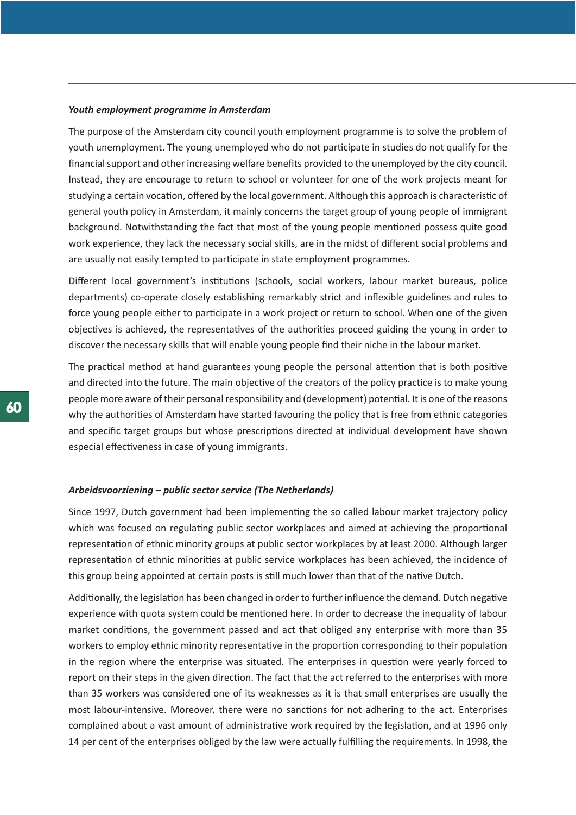## *Youth employment programme in Amsterdam*

The purpose of the Amsterdam city council youth employment programme is to solve the problem of youth unemployment. The young unemployed who do not participate in studies do not qualify for the financial support and other increasing welfare benefits provided to the unemployed by the city council. Instead, they are encourage to return to school or volunteer for one of the work projects meant for studying a certain vocation, offered by the local government. Although this approach is characteristic of general youth policy in Amsterdam, it mainly concerns the target group of young people of immigrant background. Notwithstanding the fact that most of the young people mentioned possess quite good work experience, they lack the necessary social skills, are in the midst of different social problems and are usually not easily tempted to participate in state employment programmes.

Different local government's institutions (schools, social workers, labour market bureaus, police departments) co-operate closely establishing remarkably strict and inflexible guidelines and rules to force young people either to participate in a work project or return to school. When one of the given objectives is achieved, the representatives of the authorities proceed guiding the young in order to discover the necessary skills that will enable young people find their niche in the labour market.

The practical method at hand guarantees young people the personal attention that is both positive and directed into the future. The main objective of the creators of the policy practice is to make young people more aware of their personal responsibility and (development) potential. It is one of the reasons why the authorities of Amsterdam have started favouring the policy that is free from ethnic categories and specific target groups but whose prescriptions directed at individual development have shown especial effectiveness in case of young immigrants.

#### *Arbeidsvoorziening – public sector service (The Netherlands)*

Since 1997, Dutch government had been implementing the so called labour market trajectory policy which was focused on regulating public sector workplaces and aimed at achieving the proportional representation of ethnic minority groups at public sector workplaces by at least 2000. Although larger representation of ethnic minorities at public service workplaces has been achieved, the incidence of this group being appointed at certain posts is still much lower than that of the native Dutch.

Additionally, the legislation has been changed in order to further influence the demand. Dutch negative experience with quota system could be mentioned here. In order to decrease the inequality of labour market conditions, the government passed and act that obliged any enterprise with more than 35 workers to employ ethnic minority representative in the proportion corresponding to their population in the region where the enterprise was situated. The enterprises in question were yearly forced to report on their steps in the given direction. The fact that the act referred to the enterprises with more than 35 workers was considered one of its weaknesses as it is that small enterprises are usually the most labour-intensive. Moreover, there were no sanctions for not adhering to the act. Enterprises complained about a vast amount of administrative work required by the legislation, and at 1996 only 14 per cent of the enterprises obliged by the law were actually fulfilling the requirements. In 1998, the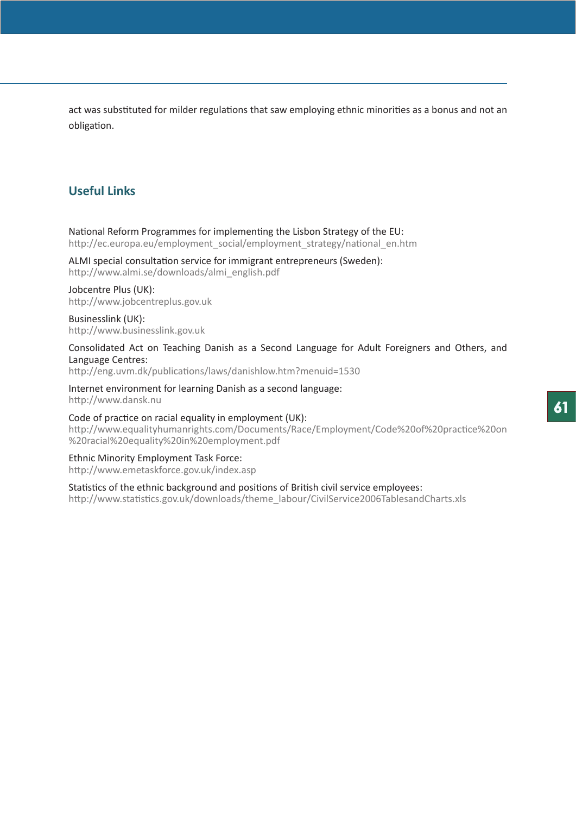act was substituted for milder regulations that saw employing ethnic minorities as a bonus and not an obligation.

# **Useful Links**

National Reform Programmes for implementing the Lisbon Strategy of the EU: http://ec.europa.eu/employment\_social/employment\_strategy/national\_en.htm

ALMI special consultation service for immigrant entrepreneurs (Sweden): http://www.almi.se/downloads/almi\_english.pdf

# Jobcentre Plus (UK):

http://www.jobcentreplus.gov.uk

Businesslink (UK): http://www.businesslink.gov.uk

Consolidated Act on Teaching Danish as a Second Language for Adult Foreigners and Others, and Language Centres:

http://eng.uvm.dk/publications/laws/danishlow.htm?menuid=1530

Internet environment for learning Danish as a second language: http://www.dansk.nu

Code of practice on racial equality in employment (UK): http://www.equalityhumanrights.com/Documents/Race/Employment/Code%20of%20practice%20on %20racial%20equality%20in%20employment.pdf

Ethnic Minority Employment Task Force: http://www.emetaskforce.gov.uk/index.asp

Statistics of the ethnic background and positions of British civil service employees: http://www.statistics.gov.uk/downloads/theme\_labour/CivilService2006TablesandCharts.xls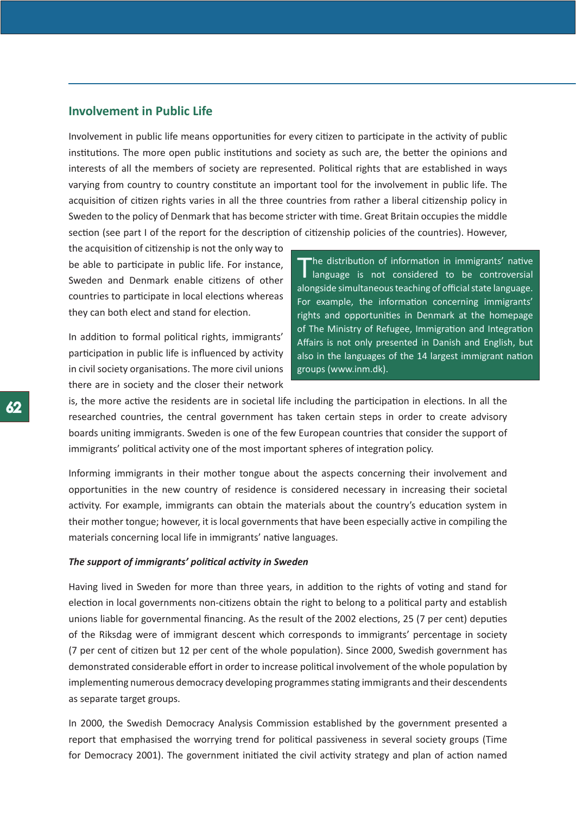# **Involvement in Public Life**

Involvement in public life means opportunities for every citizen to participate in the activity of public institutions. The more open public institutions and society as such are, the better the opinions and interests of all the members of society are represented. Political rights that are established in ways varying from country to country constitute an important tool for the involvement in public life. The acquisition of citizen rights varies in all the three countries from rather a liberal citizenship policy in Sweden to the policy of Denmark that has become stricter with time. Great Britain occupies the middle section (see part I of the report for the description of citizenship policies of the countries). However,

the acquisition of citizenship is not the only way to be able to participate in public life. For instance, Sweden and Denmark enable citizens of other countries to participate in local elections whereas they can both elect and stand for election.

In addition to formal political rights, immigrants' participation in public life is influenced by activity in civil society organisations. The more civil unions there are in society and the closer their network

The distribution of information in immigrants' native<br>I language is not considered to be controversial alongside simultaneous teaching of official state language. For example, the information concerning immigrants' rights and opportunities in Denmark at the homepage of The Ministry of Refugee, Immigration and Integration Affairs is not only presented in Danish and English, but also in the languages of the 14 largest immigrant nation groups (www.inm.dk).

is, the more active the residents are in societal life including the participation in elections. In all the researched countries, the central government has taken certain steps in order to create advisory boards uniting immigrants. Sweden is one of the few European countries that consider the support of immigrants' political activity one of the most important spheres of integration policy.

Informing immigrants in their mother tongue about the aspects concerning their involvement and opportunities in the new country of residence is considered necessary in increasing their societal activity. For example, immigrants can obtain the materials about the country's education system in their mother tongue; however, it is local governments that have been especially active in compiling the materials concerning local life in immigrants' native languages.

#### *The support of immigrants' political activity in Sweden*

Having lived in Sweden for more than three years, in addition to the rights of voting and stand for election in local governments non-citizens obtain the right to belong to a political party and establish unions liable for governmental financing. As the result of the 2002 elections, 25 (7 per cent) deputies of the Riksdag were of immigrant descent which corresponds to immigrants' percentage in society (7 per cent of citizen but 12 per cent of the whole population). Since 2000, Swedish government has demonstrated considerable effort in order to increase political involvement of the whole population by implementing numerous democracy developing programmes stating immigrants and their descendents as separate target groups.

In 2000, the Swedish Democracy Analysis Commission established by the government presented a report that emphasised the worrying trend for political passiveness in several society groups (Time for Democracy 2001). The government initiated the civil activity strategy and plan of action named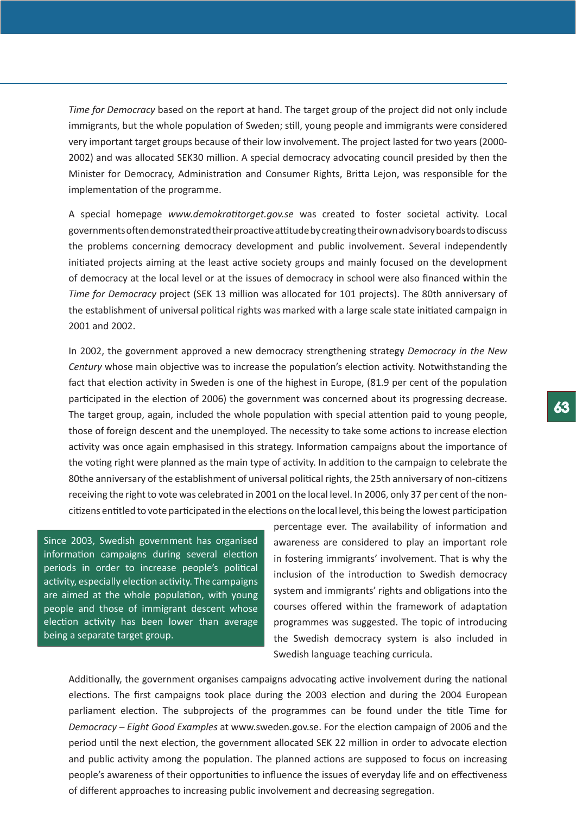*Time for Democracy* based on the report at hand. The target group of the project did not only include immigrants, but the whole population of Sweden; still, young people and immigrants were considered very important target groups because of their low involvement. The project lasted for two years (2000- 2002) and was allocated SEK30 million. A special democracy advocating council presided by then the Minister for Democracy, Administration and Consumer Rights, Britta Lejon, was responsible for the implementation of the programme.

A special homepage *www.demokratitorget.gov.se* was created to foster societal activity. Local governments often demonstrated their proactive attitude by creating their own advisory boards to discuss the problems concerning democracy development and public involvement. Several independently initiated projects aiming at the least active society groups and mainly focused on the development of democracy at the local level or at the issues of democracy in school were also financed within the *Time for Democracy* project (SEK 13 million was allocated for 101 projects). The 80th anniversary of the establishment of universal political rights was marked with a large scale state initiated campaign in 2001 and 2002.

In 2002, the government approved a new democracy strengthening strategy *Democracy in the New Century* whose main objective was to increase the population's election activity. Notwithstanding the fact that election activity in Sweden is one of the highest in Europe, (81.9 per cent of the population participated in the election of 2006) the government was concerned about its progressing decrease. The target group, again, included the whole population with special attention paid to young people, those of foreign descent and the unemployed. The necessity to take some actions to increase election activity was once again emphasised in this strategy. Information campaigns about the importance of the voting right were planned as the main type of activity. In addition to the campaign to celebrate the 80the anniversary of the establishment of universal political rights, the 25th anniversary of non-citizens receiving the right to vote was celebrated in 2001 on the local level. In 2006, only 37 per cent of the noncitizens entitled to vote participated in the elections on the local level, this being the lowest participation

Since 2003, Swedish government has organised information campaigns during several election periods in order to increase people's political activity, especially election activity. The campaigns are aimed at the whole population, with young people and those of immigrant descent whose election activity has been lower than average being a separate target group.

percentage ever. The availability of information and awareness are considered to play an important role in fostering immigrants' involvement. That is why the inclusion of the introduction to Swedish democracy system and immigrants' rights and obligations into the courses offered within the framework of adaptation programmes was suggested. The topic of introducing the Swedish democracy system is also included in Swedish language teaching curricula.

Additionally, the government organises campaigns advocating active involvement during the national elections. The first campaigns took place during the 2003 election and during the 2004 European parliament election. The subprojects of the programmes can be found under the title Time for *Democracy – Eight Good Examples* at www.sweden.gov.se. For the election campaign of 2006 and the period until the next election, the government allocated SEK 22 million in order to advocate election and public activity among the population. The planned actions are supposed to focus on increasing people's awareness of their opportunities to influence the issues of everyday life and on effectiveness of different approaches to increasing public involvement and decreasing segregation.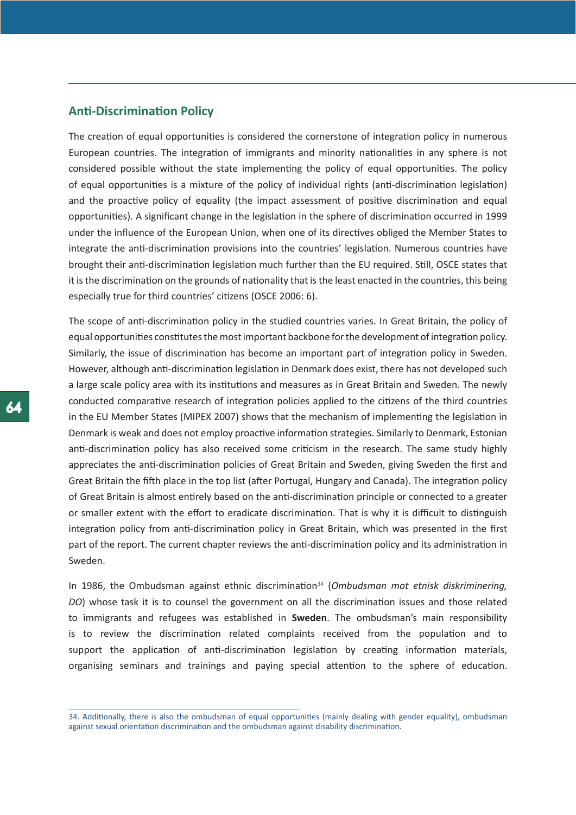# **Anti-Discrimination Policy**

The creation of equal opportunities is considered the cornerstone of integration policy in numerous European countries. The integration of immigrants and minority nationalities in any sphere is not considered possible without the state implementing the policy of equal opportunities. The policy of equal opportunities is a mixture of the policy of individual rights (anti-discrimination legislation) and the proactive policy of equality (the impact assessment of positive discrimination and equal opportunities). A significant change in the legislation in the sphere of discrimination occurred in 1999 under the influence of the European Union, when one of its directives obliged the Member States to integrate the anti-discrimination provisions into the countries' legislation. Numerous countries have brought their anti-discrimination legislation much further than the EU required. Still, OSCE states that it is the discrimination on the grounds of nationality that is the least enacted in the countries, this being especially true for third countries' citizens (OSCE 2006: 6).

The scope of anti-discrimination policy in the studied countries varies. In Great Britain, the policy of equal opportunities constitutes the most important backbone for the development of integration policy. Similarly, the issue of discrimination has become an important part of integration policy in Sweden. However, although anti-discrimination legislation in Denmark does exist, there has not developed such a large scale policy area with its institutions and measures as in Great Britain and Sweden. The newly conducted comparative research of integration policies applied to the citizens of the third countries in the EU Member States (MIPEX 2007) shows that the mechanism of implementing the legislation in Denmark is weak and does not employ proactive information strategies. Similarly to Denmark, Estonian anti-discrimination policy has also received some criticism in the research. The same study highly appreciates the anti-discrimination policies of Great Britain and Sweden, giving Sweden the first and Great Britain the fifth place in the top list (after Portugal, Hungary and Canada). The integration policy of Great Britain is almost entirely based on the anti-discrimination principle or connected to a greater or smaller extent with the effort to eradicate discrimination. That is why it is difficult to distinguish integration policy from anti-discrimination policy in Great Britain, which was presented in the first part of the report. The current chapter reviews the anti-discrimination policy and its administration in Sweden.

In 1986, the Ombudsman against ethnic discrimination34 (*Ombudsman mot etnisk diskriminering, DO*) whose task it is to counsel the government on all the discrimination issues and those related to immigrants and refugees was established in **Sweden**. The ombudsman's main responsibility is to review the discrimination related complaints received from the population and to support the application of anti-discrimination legislation by creating information materials, organising seminars and trainings and paying special attention to the sphere of education.

<sup>34.</sup> Additionally, there is also the ombudsman of equal opportunities (mainly dealing with gender equality), ombudsman against sexual orientation discrimination and the ombudsman against disability discrimination.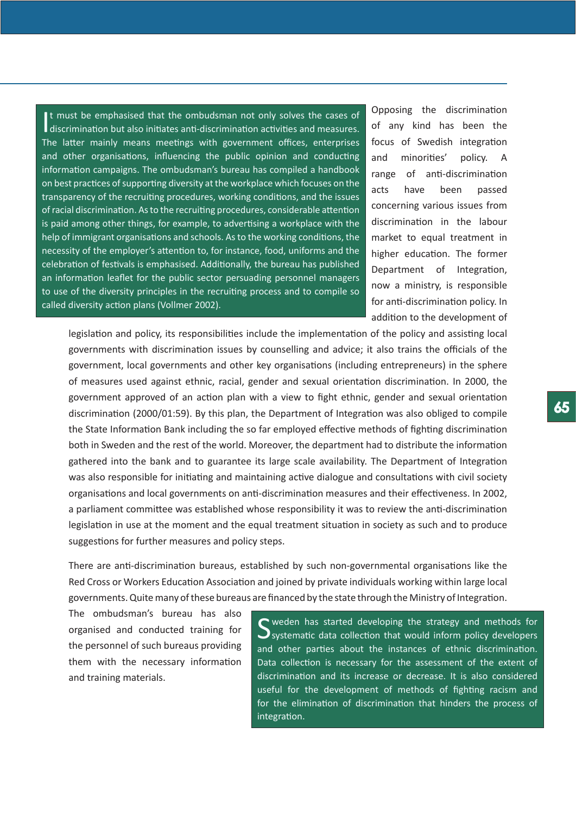It must be emphasised that the ombudsman not only solves the cases of discrimination but also initiates anti-discrimination activities and measures. t must be emphasised that the ombudsman not only solves the cases of The latter mainly means meetings with government offices, enterprises and other organisations, influencing the public opinion and conducting information campaigns. The ombudsman's bureau has compiled a handbook on best practices of supporting diversity at the workplace which focuses on the transparency of the recruiting procedures, working conditions, and the issues of racial discrimination. As to the recruiting procedures, considerable attention is paid among other things, for example, to advertising a workplace with the help of immigrant organisations and schools. As to the working conditions, the necessity of the employer's attention to, for instance, food, uniforms and the celebration of festivals is emphasised. Additionally, the bureau has published an information leaflet for the public sector persuading personnel managers to use of the diversity principles in the recruiting process and to compile so called diversity action plans (Vollmer 2002).

Opposing the discrimination of any kind has been the focus of Swedish integration and minorities' policy. A range of anti-discrimination acts have been passed concerning various issues from discrimination in the labour market to equal treatment in higher education. The former Department of Integration, now a ministry, is responsible for anti-discrimination policy. In addition to the development of

legislation and policy, its responsibilities include the implementation of the policy and assisting local governments with discrimination issues by counselling and advice; it also trains the officials of the government, local governments and other key organisations (including entrepreneurs) in the sphere of measures used against ethnic, racial, gender and sexual orientation discrimination. In 2000, the government approved of an action plan with a view to fight ethnic, gender and sexual orientation discrimination (2000/01:59). By this plan, the Department of Integration was also obliged to compile the State Information Bank including the so far employed effective methods of fighting discrimination both in Sweden and the rest of the world. Moreover, the department had to distribute the information gathered into the bank and to guarantee its large scale availability. The Department of Integration was also responsible for initiating and maintaining active dialogue and consultations with civil society organisations and local governments on anti-discrimination measures and their effectiveness. In 2002, a parliament committee was established whose responsibility it was to review the anti-discrimination legislation in use at the moment and the equal treatment situation in society as such and to produce suggestions for further measures and policy steps.

There are anti-discrimination bureaus, established by such non-governmental organisations like the Red Cross or Workers Education Association and joined by private individuals working within large local governments. Quite many of these bureaus are financed by the state through the Ministry of Integration.

The ombudsman's bureau has also organised and conducted training for the personnel of such bureaus providing them with the necessary information and training materials.

S weden has started developing the strategy and methods for Systematic data collection that would inform policy developers and other parties about the instances of ethnic discrimination. Data collection is necessary for the assessment of the extent of discrimination and its increase or decrease. It is also considered useful for the development of methods of fighting racism and for the elimination of discrimination that hinders the process of integration.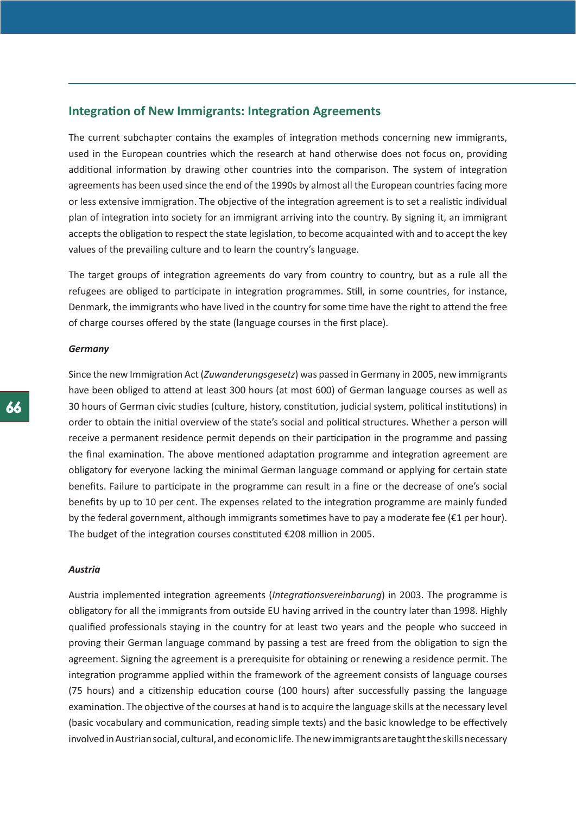# **Integration of New Immigrants: Integration Agreements**

The current subchapter contains the examples of integration methods concerning new immigrants, used in the European countries which the research at hand otherwise does not focus on, providing additional information by drawing other countries into the comparison. The system of integration agreements has been used since the end of the 1990s by almost all the European countries facing more or less extensive immigration. The objective of the integration agreement is to set a realistic individual plan of integration into society for an immigrant arriving into the country. By signing it, an immigrant accepts the obligation to respect the state legislation, to become acquainted with and to accept the key values of the prevailing culture and to learn the country's language.

The target groups of integration agreements do vary from country to country, but as a rule all the refugees are obliged to participate in integration programmes. Still, in some countries, for instance, Denmark, the immigrants who have lived in the country for some time have the right to attend the free of charge courses offered by the state (language courses in the first place).

#### *Germany*

Since the new Immigration Act (*Zuwanderungsgesetz*) was passed in Germany in 2005, new immigrants have been obliged to attend at least 300 hours (at most 600) of German language courses as well as 30 hours of German civic studies (culture, history, constitution, judicial system, political institutions) in order to obtain the initial overview of the state's social and political structures. Whether a person will receive a permanent residence permit depends on their participation in the programme and passing the final examination. The above mentioned adaptation programme and integration agreement are obligatory for everyone lacking the minimal German language command or applying for certain state benefits. Failure to participate in the programme can result in a fine or the decrease of one's social benefits by up to 10 per cent. The expenses related to the integration programme are mainly funded by the federal government, although immigrants sometimes have to pay a moderate fee (€1 per hour). The budget of the integration courses constituted €208 million in 2005.

## *Austria*

Austria implemented integration agreements (*Integrationsvereinbarung*) in 2003. The programme is obligatory for all the immigrants from outside EU having arrived in the country later than 1998. Highly qualified professionals staying in the country for at least two years and the people who succeed in proving their German language command by passing a test are freed from the obligation to sign the agreement. Signing the agreement is a prerequisite for obtaining or renewing a residence permit. The integration programme applied within the framework of the agreement consists of language courses (75 hours) and a citizenship education course (100 hours) after successfully passing the language examination. The objective of the courses at hand is to acquire the language skills at the necessary level (basic vocabulary and communication, reading simple texts) and the basic knowledge to be effectively involved in Austrian social, cultural, and economic life. The new immigrants are taught the skills necessary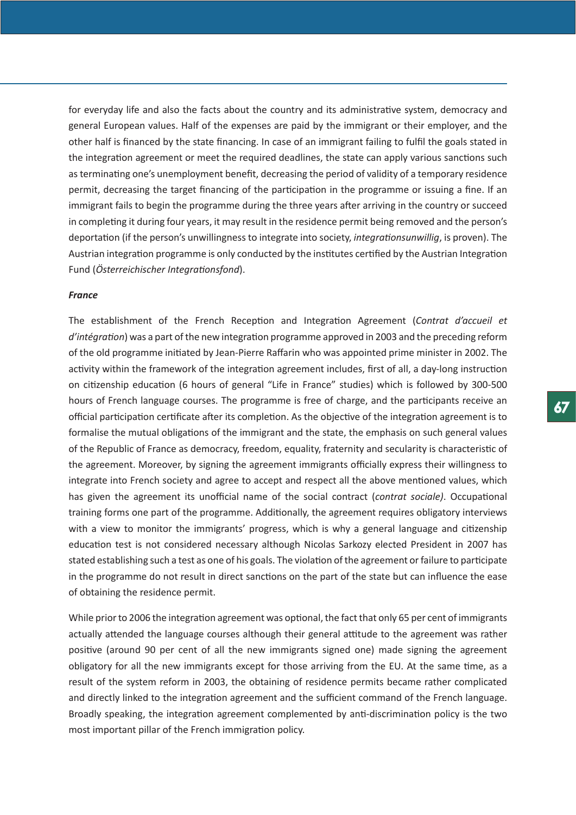for everyday life and also the facts about the country and its administrative system, democracy and general European values. Half of the expenses are paid by the immigrant or their employer, and the other half is financed by the state financing. In case of an immigrant failing to fulfil the goals stated in the integration agreement or meet the required deadlines, the state can apply various sanctions such as terminating one's unemployment benefit, decreasing the period of validity of a temporary residence permit, decreasing the target financing of the participation in the programme or issuing a fine. If an immigrant fails to begin the programme during the three years after arriving in the country or succeed in completing it during four years, it may result in the residence permit being removed and the person's deportation (if the person's unwillingness to integrate into society, *integrationsunwillig*, is proven). The Austrian integration programme is only conducted by the institutes certified by the Austrian Integration Fund (*Österreichischer Integrationsfond*).

#### *France*

The establishment of the French Reception and Integration Agreement (*Contrat d'accueil et d'intégration*) was a part of the new integration programme approved in 2003 and the preceding reform of the old programme initiated by Jean-Pierre Raffarin who was appointed prime minister in 2002. The activity within the framework of the integration agreement includes, first of all, a day-long instruction on citizenship education (6 hours of general "Life in France" studies) which is followed by 300-500 hours of French language courses. The programme is free of charge, and the participants receive an official participation certificate after its completion. As the objective of the integration agreement is to formalise the mutual obligations of the immigrant and the state, the emphasis on such general values of the Republic of France as democracy, freedom, equality, fraternity and secularity is characteristic of the agreement. Moreover, by signing the agreement immigrants officially express their willingness to integrate into French society and agree to accept and respect all the above mentioned values, which has given the agreement its unofficial name of the social contract (*contrat sociale)*. Occupational training forms one part of the programme. Additionally, the agreement requires obligatory interviews with a view to monitor the immigrants' progress, which is why a general language and citizenship education test is not considered necessary although Nicolas Sarkozy elected President in 2007 has stated establishing such a test as one of his goals. The violation of the agreement or failure to participate in the programme do not result in direct sanctions on the part of the state but can influence the ease of obtaining the residence permit.

While prior to 2006 the integration agreement was optional, the fact that only 65 per cent of immigrants actually attended the language courses although their general attitude to the agreement was rather positive (around 90 per cent of all the new immigrants signed one) made signing the agreement obligatory for all the new immigrants except for those arriving from the EU. At the same time, as a result of the system reform in 2003, the obtaining of residence permits became rather complicated and directly linked to the integration agreement and the sufficient command of the French language. Broadly speaking, the integration agreement complemented by anti-discrimination policy is the two most important pillar of the French immigration policy.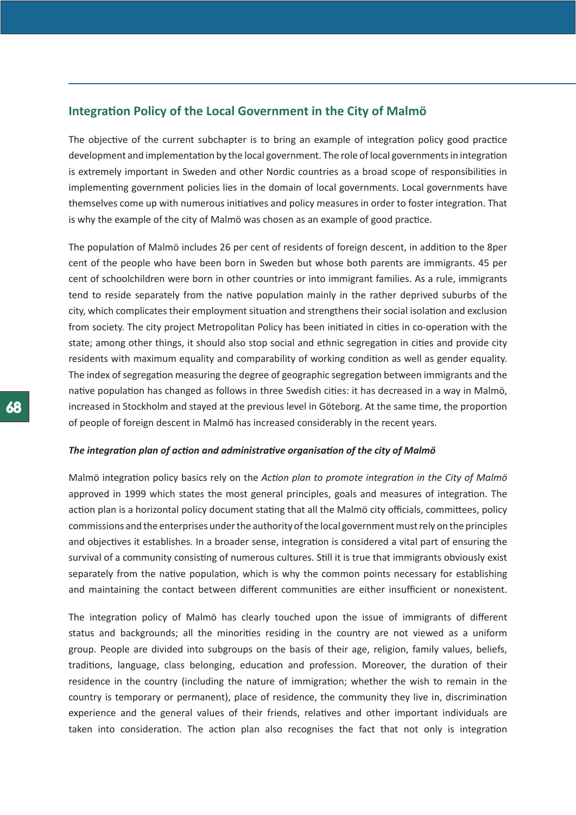# **Integration Policy of the Local Government in the City of Malmö**

The objective of the current subchapter is to bring an example of integration policy good practice development and implementation by the local government. The role of local governments in integration is extremely important in Sweden and other Nordic countries as a broad scope of responsibilities in implementing government policies lies in the domain of local governments. Local governments have themselves come up with numerous initiatives and policy measures in order to foster integration. That is why the example of the city of Malmö was chosen as an example of good practice.

The population of Malmö includes 26 per cent of residents of foreign descent, in addition to the 8per cent of the people who have been born in Sweden but whose both parents are immigrants. 45 per cent of schoolchildren were born in other countries or into immigrant families. As a rule, immigrants tend to reside separately from the native population mainly in the rather deprived suburbs of the city, which complicates their employment situation and strengthens their social isolation and exclusion from society. The city project Metropolitan Policy has been initiated in cities in co-operation with the state; among other things, it should also stop social and ethnic segregation in cities and provide city residents with maximum equality and comparability of working condition as well as gender equality. The index of segregation measuring the degree of geographic segregation between immigrants and the native population has changed as follows in three Swedish cities: it has decreased in a way in Malmö, increased in Stockholm and stayed at the previous level in Göteborg. At the same time, the proportion of people of foreign descent in Malmö has increased considerably in the recent years.

#### *The integration plan of action and administrative organisation of the city of Malmö*

Malmö integration policy basics rely on the *Action plan to promote integration in the City of Malmö*  approved in 1999 which states the most general principles, goals and measures of integration. The action plan is a horizontal policy document stating that all the Malmö city officials, committees, policy commissions and the enterprises under the authority of the local government must rely on the principles and objectives it establishes. In a broader sense, integration is considered a vital part of ensuring the survival of a community consisting of numerous cultures. Still it is true that immigrants obviously exist separately from the native population, which is why the common points necessary for establishing and maintaining the contact between different communities are either insufficient or nonexistent.

The integration policy of Malmö has clearly touched upon the issue of immigrants of different status and backgrounds; all the minorities residing in the country are not viewed as a uniform group. People are divided into subgroups on the basis of their age, religion, family values, beliefs, traditions, language, class belonging, education and profession. Moreover, the duration of their residence in the country (including the nature of immigration; whether the wish to remain in the country is temporary or permanent), place of residence, the community they live in, discrimination experience and the general values of their friends, relatives and other important individuals are taken into consideration. The action plan also recognises the fact that not only is integration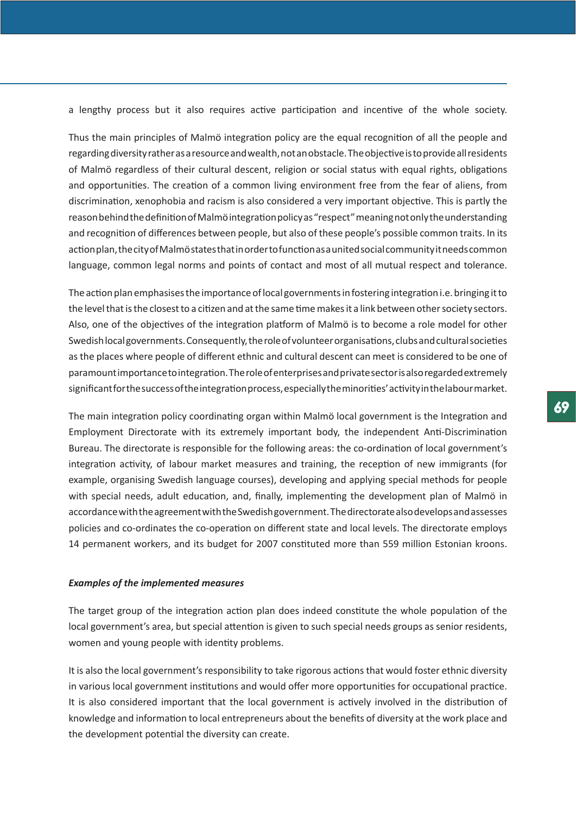a lengthy process but it also requires active participation and incentive of the whole society.

Thus the main principles of Malmö integration policy are the equal recognition of all the people and regarding diversity rather as a resource and wealth, not an obstacle. The objective is to provide all residents of Malmö regardless of their cultural descent, religion or social status with equal rights, obligations and opportunities. The creation of a common living environment free from the fear of aliens, from discrimination, xenophobia and racism is also considered a very important objective. This is partly the reason behind the definition of Malmö integration policy as "respect" meaning not only the understanding and recognition of differences between people, but also of these people's possible common traits. In its action plan, the city of Malmö states that in order to function as a united social community it needs common language, common legal norms and points of contact and most of all mutual respect and tolerance.

The action plan emphasises the importance of local governments in fostering integration i.e. bringing it to the level that is the closest to a citizen and at the same time makes it a link between other society sectors. Also, one of the objectives of the integration platform of Malmö is to become a role model for other Swedish local governments. Consequently, the role of volunteer organisations, clubs and cultural societies as the places where people of different ethnic and cultural descent can meet is considered to be one of paramount importance to integration. The role of enterprises and private sector is also regarded extremely significant for the success of the integration process, especially the minorities' activity in the labour market.

The main integration policy coordinating organ within Malmö local government is the Integration and Employment Directorate with its extremely important body, the independent Anti-Discrimination Bureau. The directorate is responsible for the following areas: the co-ordination of local government's integration activity, of labour market measures and training, the reception of new immigrants (for example, organising Swedish language courses), developing and applying special methods for people with special needs, adult education, and, finally, implementing the development plan of Malmö in accordance with the agreement with the Swedish government. The directorate also develops and assesses policies and co-ordinates the co-operation on different state and local levels. The directorate employs 14 permanent workers, and its budget for 2007 constituted more than 559 million Estonian kroons.

### *Examples of the implemented measures*

The target group of the integration action plan does indeed constitute the whole population of the local government's area, but special attention is given to such special needs groups as senior residents, women and young people with identity problems.

It is also the local government's responsibility to take rigorous actions that would foster ethnic diversity in various local government institutions and would offer more opportunities for occupational practice. It is also considered important that the local government is actively involved in the distribution of knowledge and information to local entrepreneurs about the benefits of diversity at the work place and the development potential the diversity can create.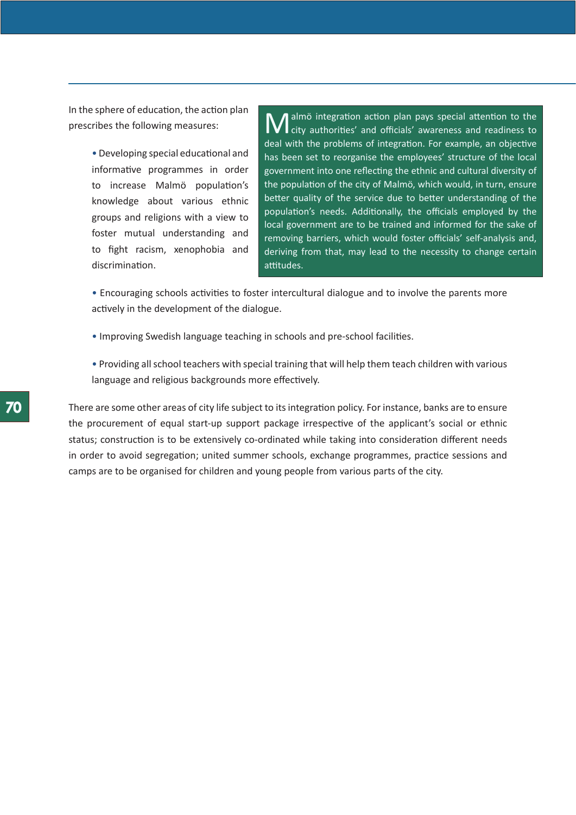In the sphere of education, the action plan prescribes the following measures:

> • Developing special educational and informative programmes in order to increase Malmö population's knowledge about various ethnic groups and religions with a view to foster mutual understanding and to fight racism, xenophobia and discrimination.

**M** almö integration action plan pays special attention to the city authorities' and officials' awareness and readiness to deal with the problems of integration. For example, an objective has been set to reorganise the employees' structure of the local government into one reflecting the ethnic and cultural diversity of the population of the city of Malmö, which would, in turn, ensure better quality of the service due to better understanding of the population's needs. Additionally, the officials employed by the local government are to be trained and informed for the sake of removing barriers, which would foster officials' self-analysis and, deriving from that, may lead to the necessity to change certain attitudes.

• Encouraging schools activities to foster intercultural dialogue and to involve the parents more actively in the development of the dialogue.

- Improving Swedish language teaching in schools and pre-school facilities.
- Providing all school teachers with special training that will help them teach children with various language and religious backgrounds more effectively.

There are some other areas of city life subject to its integration policy. For instance, banks are to ensure the procurement of equal start-up support package irrespective of the applicant's social or ethnic status; construction is to be extensively co-ordinated while taking into consideration different needs in order to avoid segregation; united summer schools, exchange programmes, practice sessions and camps are to be organised for children and young people from various parts of the city.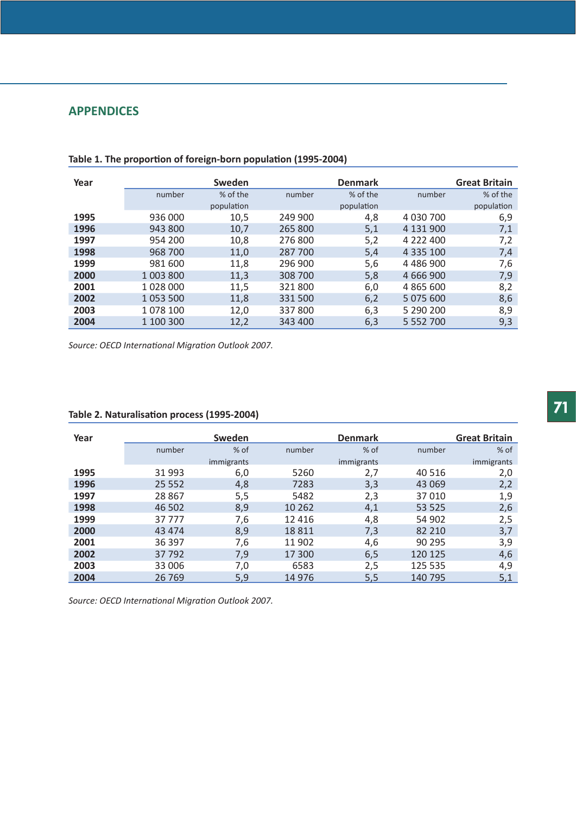# **APPENDICES**

| Year |           | Sweden     |         | <b>Denmark</b> |               | <b>Great Britain</b> |
|------|-----------|------------|---------|----------------|---------------|----------------------|
|      | number    | % of the   | number  | % of the       | number        | % of the             |
|      |           | population |         | population     |               | population           |
| 1995 | 936 000   | 10,5       | 249 900 | 4,8            | 4 030 700     | 6,9                  |
| 1996 | 943 800   | 10,7       | 265 800 | 5,1            | 4 131 900     | 7,1                  |
| 1997 | 954 200   | 10,8       | 276 800 | 5,2            | 4 222 400     | 7,2                  |
| 1998 | 968 700   | 11,0       | 287 700 | 5,4            | 4 3 3 5 1 0 0 | 7,4                  |
| 1999 | 981 600   | 11,8       | 296 900 | 5,6            | 4 486 900     | 7,6                  |
| 2000 | 1 003 800 | 11,3       | 308 700 | 5,8            | 4 666 900     | 7,9                  |
| 2001 | 1 028 000 | 11,5       | 321800  | 6,0            | 4 865 600     | 8,2                  |
| 2002 | 1 053 500 | 11,8       | 331 500 | 6,2            | 5 075 600     | 8,6                  |
| 2003 | 1078 100  | 12,0       | 337800  | 6,3            | 5 290 200     | 8,9                  |
| 2004 | 1 100 300 | 12,2       | 343 400 | 6,3            | 5 5 5 2 7 0 0 | 9,3                  |

**Table 1. The proportion of foreign-born population (1995-2004)** 

*Source: OECD International Migration Outlook 2007.*

| Year | Sweden   |            | <b>Denmark</b> |            | <b>Great Britain</b> |            |
|------|----------|------------|----------------|------------|----------------------|------------|
|      | number   | $%$ of     | number         | $%$ of     | number               | $%$ of     |
|      |          | immigrants |                | immigrants |                      | immigrants |
| 1995 | 31 993   | 6,0        | 5260           | 2,7        | 40 516               | 2,0        |
| 1996 | 25 5 5 2 | 4,8        | 7283           | 3,3        | 43 069               | 2,2        |
| 1997 | 28 867   | 5,5        | 5482           | 2,3        | 37010                | 1,9        |
| 1998 | 46 502   | 8,9        | 10 262         | 4,1        | 53 525               | 2,6        |
| 1999 | 37777    | 7,6        | 12 4 16        | 4,8        | 54 902               | 2,5        |
| 2000 | 43 4 74  | 8,9        | 18811          | 7,3        | 82 210               | 3,7        |
| 2001 | 36 397   | 7,6        | 11 902         | 4,6        | 90 295               | 3,9        |
| 2002 | 37 792   | 7,9        | 17 300         | 6,5        | 120 125              | 4,6        |
| 2003 | 33 006   | 7,0        | 6583           | 2,5        | 125 535              | 4,9        |
| 2004 | 26 7 69  | 5,9        | 14 9 76        | 5,5        | 140 795              | 5,1        |

# **Table 2. Naturalisation process (1995-2004)**

*Source: OECD International Migration Outlook 2007.*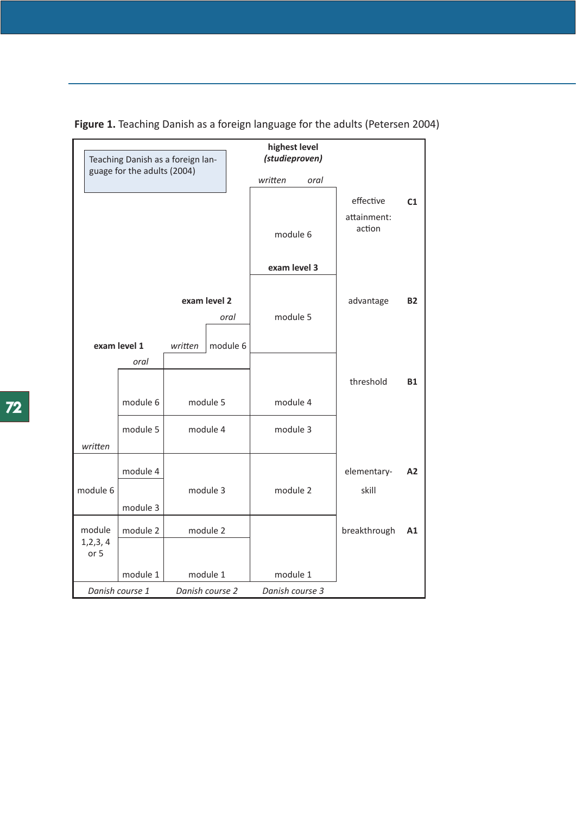

**Figure 1.** Teaching Danish as a foreign language for the adults (Petersen 2004)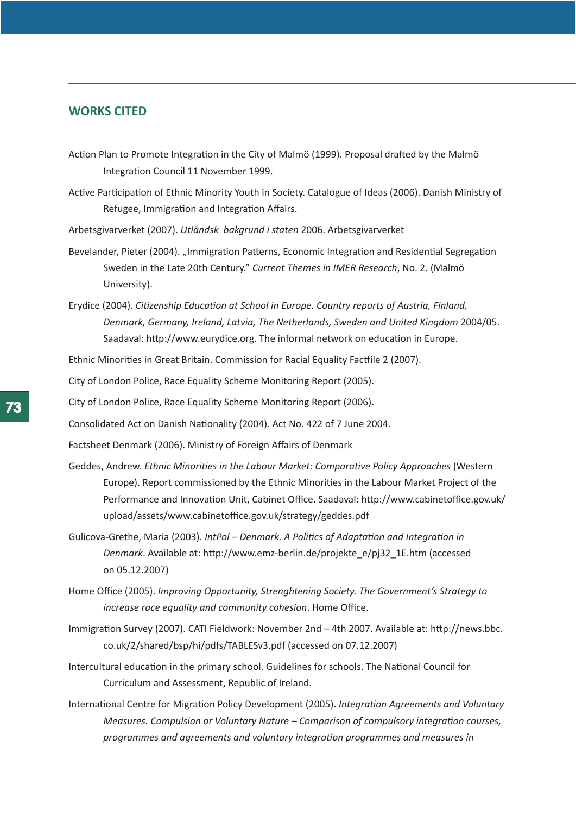## **WORKS CITED**

- Action Plan to Promote Integration in the City of Malmö (1999). Proposal drafted by the Malmö Integration Council 11 November 1999.
- Active Participation of Ethnic Minority Youth in Society. Catalogue of Ideas (2006). Danish Ministry of Refugee, Immigration and Integration Affairs.
- Arbetsgivarverket (2007). *Utländsk bakgrund i staten* 2006. Arbetsgivarverket
- Bevelander, Pieter (2004). "Immigration Patterns, Economic Integration and Residential Segregation Sweden in the Late 20th Century." *Current Themes in IMER Research*, No. 2. (Malmö University).
- Erydice (2004). *Citizenship Education at School in Europe. Country reports of Austria, Finland, Denmark, Germany, Ireland, Latvia, The Netherlands, Sweden and United Kingdom* 2004/05. Saadaval: http://www.eurydice.org. The informal network on education in Europe.
- Ethnic Minorities in Great Britain. Commission for Racial Equality Factfile 2 (2007).

City of London Police, Race Equality Scheme Monitoring Report (2005).

City of London Police, Race Equality Scheme Monitoring Report (2006).

Consolidated Act on Danish Nationality (2004). Act No. 422 of 7 June 2004.

Factsheet Denmark (2006). Ministry of Foreign Affairs of Denmark

- Geddes, Andrew. *Ethnic Minorities in the Labour Market: Comparative Policy Approaches* (Western Europe). Report commissioned by the Ethnic Minorities in the Labour Market Project of the Performance and Innovation Unit, Cabinet Office. Saadaval: http://www.cabinetoffice.gov.uk/ upload/assets/www.cabinetoffice.gov.uk/strategy/geddes.pdf
- Gulicova-Grethe, Maria (2003). *IntPol Denmark. A Politics of Adaptation and Integration in Denmark*. Available at: http://www.emz-berlin.de/projekte\_e/pj32\_1E.htm (accessed on 05.12.2007)
- Home Office (2005). *Improving Opportunity, Strenghtening Society. The Government's Strategy to increase race equality and community cohesion*. Home Office.
- Immigration Survey (2007). CATI Fieldwork: November 2nd 4th 2007. Available at: http://news.bbc. co.uk/2/shared/bsp/hi/pdfs/TABLESv3.pdf (accessed on 07.12.2007)
- Intercultural education in the primary school. Guidelines for schools. The National Council for Curriculum and Assessment, Republic of Ireland.
- International Centre for Migration Policy Development (2005). *Integration Agreements and Voluntary Measures. Compulsion or Voluntary Nature – Comparison of compulsory integration courses, programmes and agreements and voluntary integration programmes and measures in*